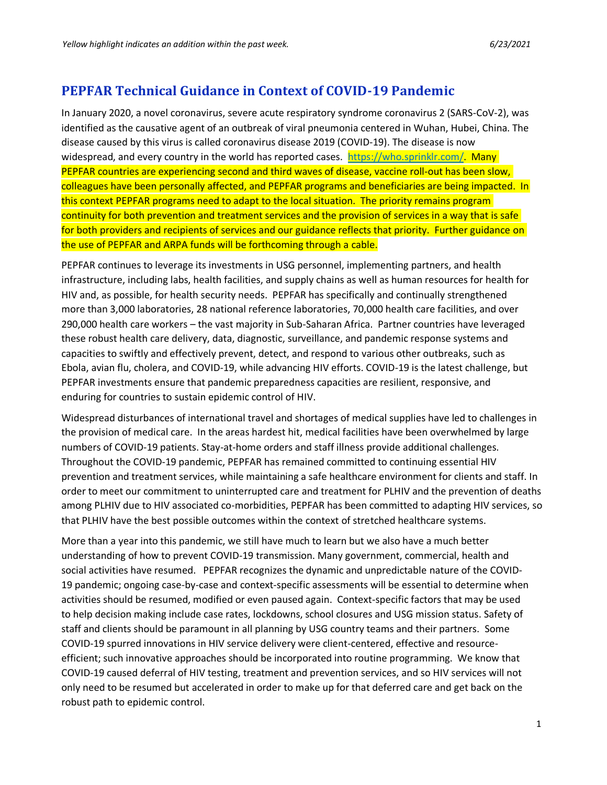# **PEPFAR Technical Guidance in Context of COVID-19 Pandemic**

In January 2020, a novel coronavirus, severe acute respiratory syndrome coronavirus 2 (SARS-CoV-2), was identified as the causative agent of an outbreak of viral pneumonia centered in Wuhan, Hubei, China. The disease caused by this virus is called coronavirus disease 2019 (COVID-19). The disease is now widespread, and every country in the world has reported cases. [https://who.sprinklr.com/.](https://who.sprinklr.com/) Many PEPFAR countries are experiencing second and third waves of disease, vaccine roll-out has been slow, colleagues have been personally affected, and PEPFAR programs and beneficiaries are being impacted. In this context PEPFAR programs need to adapt to the local situation. The priority remains program continuity for both prevention and treatment services and the provision of services in a way that is safe for both providers and recipients of services and our guidance reflects that priority. Further guidance on the use of PEPFAR and ARPA funds will be forthcoming through a cable.

PEPFAR continues to leverage its investments in USG personnel, implementing partners, and health infrastructure, including labs, health facilities, and supply chains as well as human resources for health for HIV and, as possible, for health security needs. PEPFAR has specifically and continually strengthened more than 3,000 laboratories, 28 national reference laboratories, 70,000 health care facilities, and over 290,000 health care workers – the vast majority in Sub-Saharan Africa. Partner countries have leveraged these robust health care delivery, data, diagnostic, surveillance, and pandemic response systems and capacities to swiftly and effectively prevent, detect, and respond to various other outbreaks, such as Ebola, avian flu, cholera, and COVID-19, while advancing HIV efforts. COVID-19 is the latest challenge, but PEPFAR investments ensure that pandemic preparedness capacities are resilient, responsive, and enduring for countries to sustain epidemic control of HIV.

Widespread disturbances of international travel and shortages of medical supplies have led to challenges in the provision of medical care. In the areas hardest hit, medical facilities have been overwhelmed by large numbers of COVID-19 patients. Stay-at-home orders and staff illness provide additional challenges. Throughout the COVID-19 pandemic, PEPFAR has remained committed to continuing essential HIV prevention and treatment services, while maintaining a safe healthcare environment for clients and staff. In order to meet our commitment to uninterrupted care and treatment for PLHIV and the prevention of deaths among PLHIV due to HIV associated co-morbidities, PEPFAR has been committed to adapting HIV services, so that PLHIV have the best possible outcomes within the context of stretched healthcare systems.

More than a year into this pandemic, we still have much to learn but we also have a much better understanding of how to prevent COVID-19 transmission. Many government, commercial, health and social activities have resumed. PEPFAR recognizes the dynamic and unpredictable nature of the COVID-19 pandemic; ongoing case-by-case and context-specific assessments will be essential to determine when activities should be resumed, modified or even paused again. Context-specific factors that may be used to help decision making include case rates, lockdowns, school closures and USG mission status. Safety of staff and clients should be paramount in all planning by USG country teams and their partners. Some COVID-19 spurred innovations in HIV service delivery were client-centered, effective and resourceefficient; such innovative approaches should be incorporated into routine programming. We know that COVID-19 caused deferral of HIV testing, treatment and prevention services, and so HIV services will not only need to be resumed but accelerated in order to make up for that deferred care and get back on the robust path to epidemic control.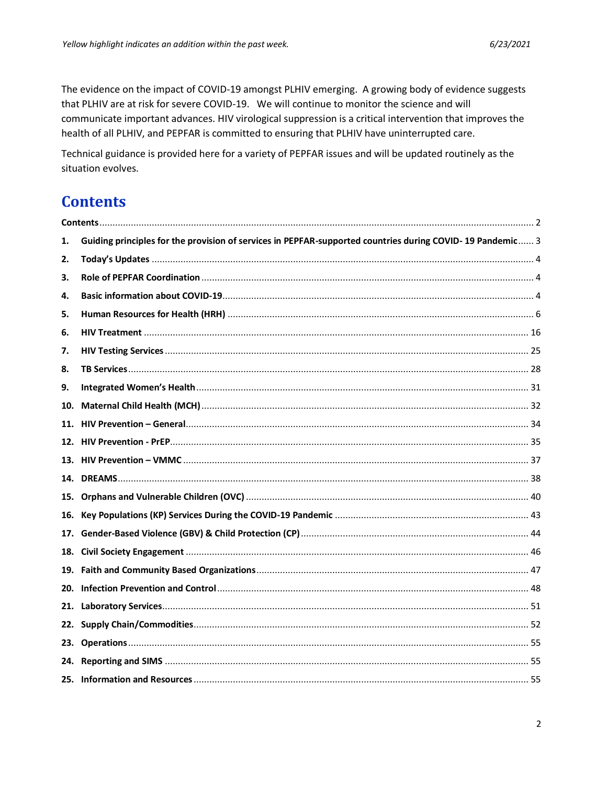The evidence on the impact of COVID-19 amongst PLHIV emerging. A growing body of evidence suggests that PLHIV are at risk for severe COVID-19. We will continue to monitor the science and will communicate important advances. HIV virological suppression is a critical intervention that improves the health of all PLHIV, and PEPFAR is committed to ensuring that PLHIV have uninterrupted care.

Technical guidance is provided here for a variety of PEPFAR issues and will be updated routinely as the situation evolves.

# <span id="page-1-0"></span>**Contents**

| 1.  | Guiding principles for the provision of services in PEPFAR-supported countries during COVID-19 Pandemic 3 |  |
|-----|-----------------------------------------------------------------------------------------------------------|--|
| 2.  |                                                                                                           |  |
| 3.  |                                                                                                           |  |
| 4.  |                                                                                                           |  |
| 5.  |                                                                                                           |  |
| 6.  |                                                                                                           |  |
| 7.  |                                                                                                           |  |
| 8.  |                                                                                                           |  |
| 9.  |                                                                                                           |  |
| 10. |                                                                                                           |  |
| 11. |                                                                                                           |  |
|     |                                                                                                           |  |
|     |                                                                                                           |  |
|     |                                                                                                           |  |
|     |                                                                                                           |  |
| 16. |                                                                                                           |  |
| 17. |                                                                                                           |  |
| 18. |                                                                                                           |  |
|     |                                                                                                           |  |
|     |                                                                                                           |  |
| 21. |                                                                                                           |  |
|     |                                                                                                           |  |
|     |                                                                                                           |  |
|     |                                                                                                           |  |
|     |                                                                                                           |  |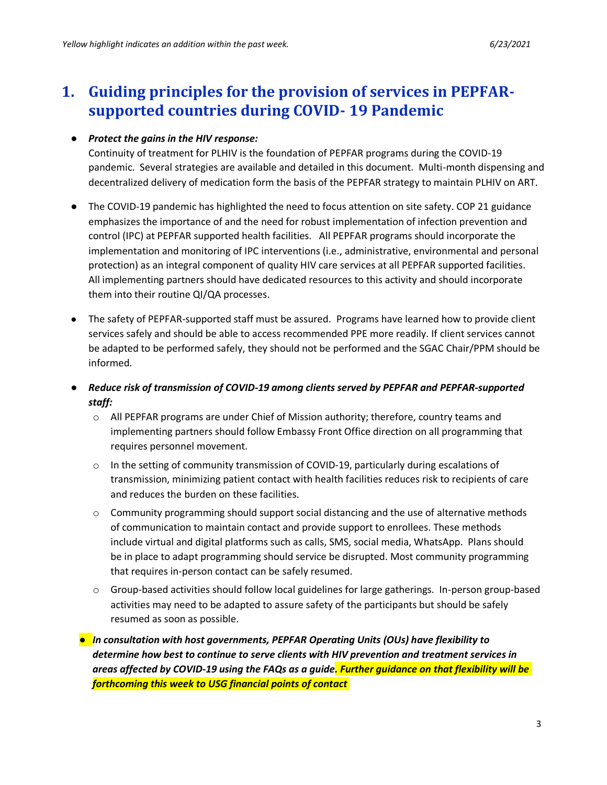# <span id="page-2-0"></span>**1. Guiding principles for the provision of services in PEPFARsupported countries during COVID- 19 Pandemic**

### ● *Protect the gains in the HIV response:*

Continuity of treatment for PLHIV is the foundation of PEPFAR programs during the COVID-19 pandemic. Several strategies are available and detailed in this document. Multi-month dispensing and decentralized delivery of medication form the basis of the PEPFAR strategy to maintain PLHIV on ART.

- The COVID-19 pandemic has highlighted the need to focus attention on site safety. COP 21 guidance emphasizes the importance of and the need for robust implementation of infection prevention and control (IPC) at PEPFAR supported health facilities. All PEPFAR programs should incorporate the implementation and monitoring of IPC interventions (i.e., administrative, environmental and personal protection) as an integral component of quality HIV care services at all PEPFAR supported facilities. All implementing partners should have dedicated resources to this activity and should incorporate them into their routine QI/QA processes.
- The safety of PEPFAR-supported staff must be assured. Programs have learned how to provide client services safely and should be able to access recommended PPE more readily. If client services cannot be adapted to be performed safely, they should not be performed and the SGAC Chair/PPM should be informed*.*
- *Reduce risk of transmission of COVID-19 among clients served by PEPFAR and PEPFAR-supported staff:*
	- o All PEPFAR programs are under Chief of Mission authority; therefore, country teams and implementing partners should follow Embassy Front Office direction on all programming that requires personnel movement.
	- $\circ$  In the setting of community transmission of COVID-19, particularly during escalations of transmission, minimizing patient contact with health facilities reduces risk to recipients of care and reduces the burden on these facilities.
	- $\circ$  Community programming should support social distancing and the use of alternative methods of communication to maintain contact and provide support to enrollees. These methods include virtual and digital platforms such as calls, SMS, social media, WhatsApp. Plans should be in place to adapt programming should service be disrupted. Most community programming that requires in-person contact can be safely resumed.
	- $\circ$  Group-based activities should follow local guidelines for large gatherings. In-person group-based activities may need to be adapted to assure safety of the participants but should be safely resumed as soon as possible.
	- *In consultation with host governments, PEPFAR Operating Units (OUs) have flexibility to determine how best to continue to serve clients with HIV prevention and treatment services in areas affected by COVID-19 using the FAQs as a guide. Further guidance on that flexibility will be forthcoming this week to USG financial points of contact*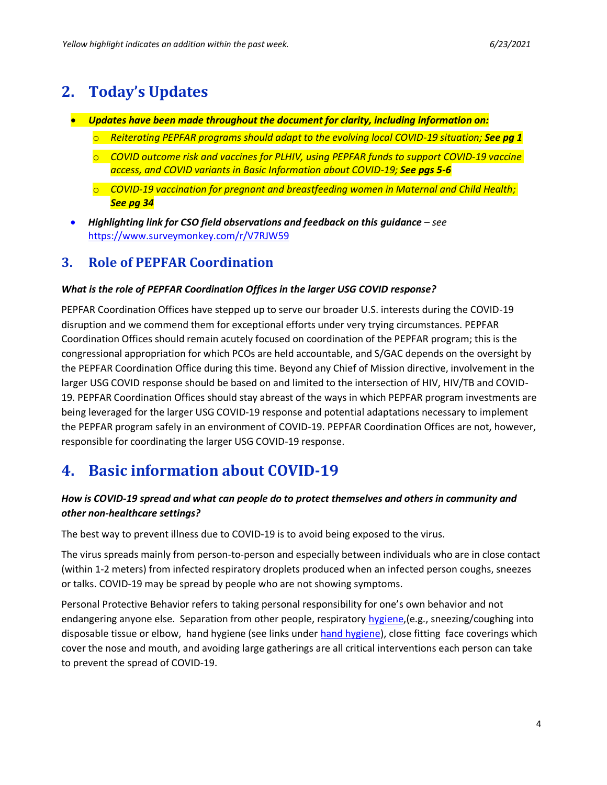# <span id="page-3-0"></span>**2. Today's Updates**

- *Updates have been made throughout the document for clarity, including information on:*
	- o *Reiterating PEPFAR programs should adapt to the evolving local COVID-19 situation; See pg 1*
	- o *COVID outcome risk and vaccines for PLHIV, using PEPFAR funds to support COVID-19 vaccine access, and COVID variants in Basic Information about COVID-19; See pgs 5-6*
	- o *COVID-19 vaccination for pregnant and breastfeeding women in Maternal and Child Health; See pg 34*
- *Highlighting link for CSO field observations and feedback on this guidance see* <https://www.surveymonkey.com/r/V7RJW59>

# <span id="page-3-1"></span>**3. Role of PEPFAR Coordination**

### *What is the role of PEPFAR Coordination Offices in the larger USG COVID response?*

PEPFAR Coordination Offices have stepped up to serve our broader U.S. interests during the COVID-19 disruption and we commend them for exceptional efforts under very trying circumstances. PEPFAR Coordination Offices should remain acutely focused on coordination of the PEPFAR program; this is the congressional appropriation for which PCOs are held accountable, and S/GAC depends on the oversight by the PEPFAR Coordination Office during this time. Beyond any Chief of Mission directive, involvement in the larger USG COVID response should be based on and limited to the intersection of HIV, HIV/TB and COVID-19. PEPFAR Coordination Offices should stay abreast of the ways in which PEPFAR program investments are being leveraged for the larger USG COVID-19 response and potential adaptations necessary to implement the PEPFAR program safely in an environment of COVID-19. PEPFAR Coordination Offices are not, however, responsible for coordinating the larger USG COVID-19 response.

# <span id="page-3-2"></span>**4. Basic information about COVID-19**

## *How is COVID-19 spread and what can people do to protect themselves and others in community and other non-healthcare settings?*

The best way to prevent illness due to COVID-19 is to avoid being exposed to the virus.

The virus spreads mainly from person-to-person and especially between individuals who are in close contact (within 1-2 meters) from infected respiratory droplets produced when an infected person coughs, sneezes or talks. COVID-19 may be spread by people who are not showing symptoms.

Personal Protective Behavior refers to taking personal responsibility for one's own behavior and not endangering anyone else. Separation from other people, respiratory [hygiene,](https://www.cdc.gov/oralhealth/infectioncontrol/faqs/respiratory-hygiene.html)(e.g., sneezing/coughing into disposable tissue or elbow, hand hygiene (see links under [hand hygiene\)](#page-47-0), close fitting face coverings which cover the nose and mouth, and avoiding large gatherings are all critical interventions each person can take to prevent the spread of COVID-19.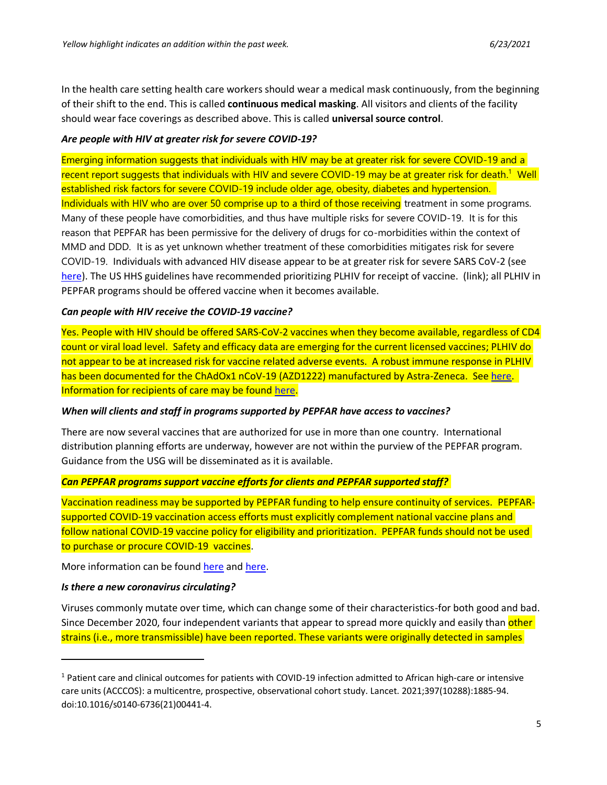In the health care setting health care workers should wear a medical mask continuously, from the beginning of their shift to the end. This is called **continuous medical masking**. All visitors and clients of the facility should wear face coverings as described above. This is called **universal source control**.

#### *Are people with HIV at greater risk for severe COVID-19?*

Emerging information suggests that individuals with HIV may be at greater risk for severe COVID-19 and a recent report suggests that individuals with HIV and severe COVID-19 may be at greater risk for death.<sup>1</sup> Well established risk factors for severe COVID-19 include older age, obesity, diabetes and hypertension. Individuals with HIV who are over 50 comprise up to a third of those receiving treatment in some programs. Many of these people have comorbidities, and thus have multiple risks for severe COVID-19. It is for this reason that PEPFAR has been permissive for the delivery of drugs for co-morbidities within the context of MMD and DDD. It is as yet unknown whether treatment of these comorbidities mitigates risk for severe COVID-19. Individuals with advanced HIV disease appear to be at greater risk for severe SARS CoV-2 (see [here\)](https://clinicalinfo.hiv.gov/en/guidelines/covid-19-and-persons-hiv-interim-guidance/interim-guidance-covid-19-and-persons-hiv). The US HHS guidelines have recommended prioritizing PLHIV for receipt of vaccine. (link); all PLHIV in PEPFAR programs should be offered vaccine when it becomes available.

#### *Can people with HIV receive the COVID-19 vaccine?*

Yes. People with HIV should be offered SARS-CoV-2 vaccines when they become available, regardless of CD4 count or viral load level. Safety and efficacy data are emerging for the current licensed vaccines; PLHIV do not appear to be at increased risk for vaccine related adverse events. A robust immune response in PLHIV has been documented for the ChAdOx1 nCoV-19 (AZD1222) manufactured by Astra-Zeneca. Se[e here.](https://www.thelancet.com/journals/lanhiv/article/PIIS2352-3018(21)00103-X/fulltext) Information for recipients of care may be found [here.](https://www.unaids.org/sites/default/files/media_asset/covid19-vaccines-and-hiv_en.pdf)

#### *When will clients and staff in programs supported by PEPFAR have access to vaccines?*

There are now several vaccines that are authorized for use in more than one country. International distribution planning efforts are underway, however are not within the purview of the PEPFAR program. Guidance from the USG will be disseminated as it is available.

### *Can PEPFAR programs support vaccine efforts for clients and PEPFAR supported staff?*

Vaccination readiness may be supported by PEPFAR funding to help ensure continuity of services. PEPFARsupported COVID-19 vaccination access efforts must explicitly complement national vaccine plans and follow national COVID-19 vaccine policy for eligibility and prioritization. PEPFAR funds should not be used to purchase or procure COVID-19 vaccines.

More information can be found [here](https://www.cdc.gov/vaccines/covid-19/hcp/mrna-vaccine-basics.html) and [here.](https://www.cdc.gov/coronavirus/2019-ncov/vaccines/different-vaccines/mrna.html)

#### *Is there a new coronavirus circulating?*

Viruses commonly mutate over time, which can change some of their characteristics-for both good and bad. Since December 2020, four independent variants that appear to spread more quickly and easily than other strains (i.e., more transmissible) have been reported. These variants were originally detected in samples

<sup>1</sup> Patient care and clinical outcomes for patients with COVID-19 infection admitted to African high-care or intensive care units (ACCCOS): a multicentre, prospective, observational cohort study. Lancet. 2021;397(10288):1885-94. doi:10.1016/s0140-6736(21)00441-4.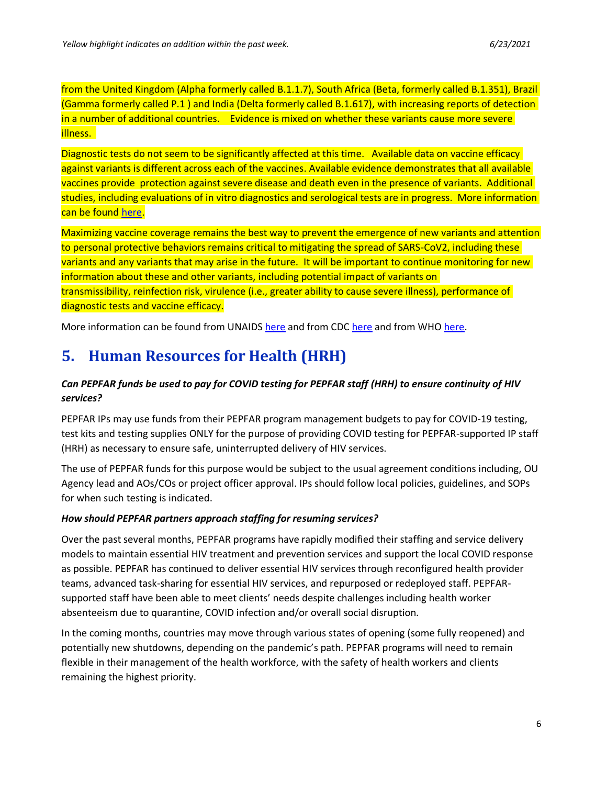from the United Kingdom (Alpha formerly called B.1.1.7), South Africa (Beta, formerly called B.1.351), Brazil (Gamma formerly called P.1 ) and India (Delta formerly called B.1.617), with increasing reports of detection in a number of additional countries. Evidence is mixed on whether these variants cause more severe illness.

Diagnostic tests do not seem to be significantly affected at this time. Available data on vaccine efficacy against variants is different across each of the vaccines. Available evidence demonstrates that all available vaccines provide protection against severe disease and death even in the presence of variants. Additional studies, including evaluations of in vitro diagnostics and serological tests are in progress. More information can be found [here.](https://www.cdc.gov/coronavirus/2019-ncov/transmission/variant.html)

Maximizing vaccine coverage remains the best way to prevent the emergence of new variants and attention to personal protective behaviors remains critical to mitigating the spread of SARS-CoV2, including these variants and any variants that may arise in the future. It will be important to continue monitoring for new information about these and other variants, including potential impact of variants on transmissibility, reinfection risk, virulence (i.e., greater ability to cause severe illness), performance of diagnostic tests and vaccine efficacy.

More information can be found from UNAIDS [here](https://www.cdc.gov/coronavirus/2019-ncov/more/science-and-research/scientific-brief-emerging-variants.html) and from CDC [here](https://www.cdc.gov/coronavirus/2019-ncov/more/scientific-brief-emerging-variant.html) and from WHO [here.](https://www.who.int/csr/don/31-december-2020-sars-cov2-variants/en/)

# <span id="page-5-0"></span>**5. Human Resources for Health (HRH)**

## *Can PEPFAR funds be used to pay for COVID testing for PEPFAR staff (HRH) to ensure continuity of HIV services?*

PEPFAR IPs may use funds from their PEPFAR program management budgets to pay for COVID-19 testing, test kits and testing supplies ONLY for the purpose of providing COVID testing for PEPFAR-supported IP staff (HRH) as necessary to ensure safe, uninterrupted delivery of HIV services.

The use of PEPFAR funds for this purpose would be subject to the usual agreement conditions including, OU Agency lead and AOs/COs or project officer approval. IPs should follow local policies, guidelines, and SOPs for when such testing is indicated.

### *How should PEPFAR partners approach staffing for resuming services?*

Over the past several months, PEPFAR programs have rapidly modified their staffing and service delivery models to maintain essential HIV treatment and prevention services and support the local COVID response as possible. PEPFAR has continued to deliver essential HIV services through reconfigured health provider teams, advanced task-sharing for essential HIV services, and repurposed or redeployed staff. PEPFARsupported staff have been able to meet clients' needs despite challenges including health worker absenteeism due to quarantine, COVID infection and/or overall social disruption.

In the coming months, countries may move through various states of opening (some fully reopened) and potentially new shutdowns, depending on the pandemic's path. PEPFAR programs will need to remain flexible in their management of the health workforce, with the safety of health workers and clients remaining the highest priority.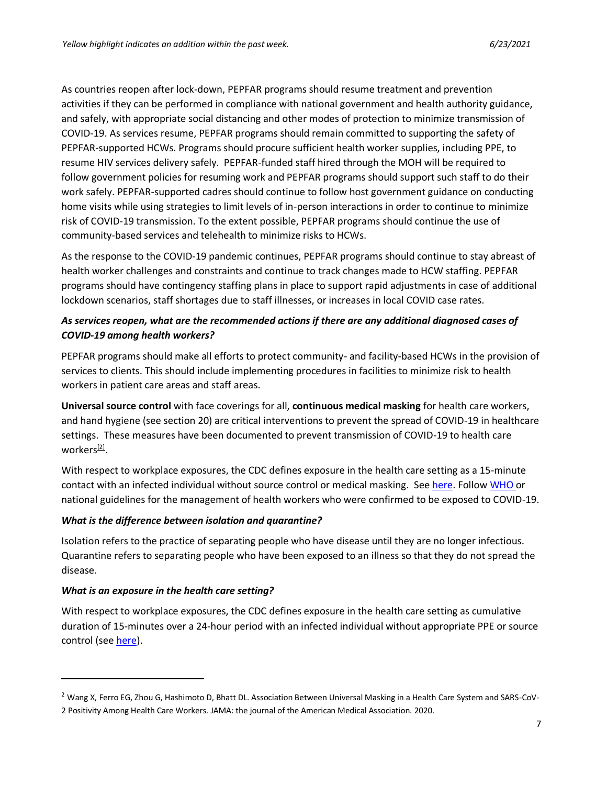As countries reopen after lock-down, PEPFAR programs should resume treatment and prevention activities if they can be performed in compliance with national government and health authority guidance, and safely, with appropriate social distancing and other modes of protection to minimize transmission of COVID-19. As services resume, PEPFAR programs should remain committed to supporting the safety of PEPFAR-supported HCWs. Programs should procure sufficient health worker supplies, including PPE, to resume HIV services delivery safely. PEPFAR-funded staff hired through the MOH will be required to follow government policies for resuming work and PEPFAR programs should support such staff to do their work safely. PEPFAR-supported cadres should continue to follow host government guidance on conducting home visits while using strategies to limit levels of in-person interactions in order to continue to minimize risk of COVID-19 transmission. To the extent possible, PEPFAR programs should continue the use of community-based services and telehealth to minimize risks to HCWs.

As the response to the COVID-19 pandemic continues, PEPFAR programs should continue to stay abreast of health worker challenges and constraints and continue to track changes made to HCW staffing. PEPFAR programs should have contingency staffing plans in place to support rapid adjustments in case of additional lockdown scenarios, staff shortages due to staff illnesses, or increases in local COVID case rates.

## *As services reopen, what are the recommended actions if there are any additional diagnosed cases of COVID-19 among health workers?*

PEPFAR programs should make all efforts to protect community- and facility-based HCWs in the provision of services to clients. This should include implementing procedures in facilities to minimize risk to health workers in patient care areas and staff areas.

**Universal source control** with face coverings for all, **continuous medical masking** for health care workers, and hand hygiene (see section 20) are critical interventions to prevent the spread of COVID-19 in healthcare settings. These measures have been documented to prevent transmission of COVID-19 to health care workers<sup>[2]</sup>.

With respect to workplace exposures, the CDC defines exposure in the health care setting as a 15-minute contact with an infected individual without source control or medical masking. See [here.](https://gcc01.safelinks.protection.outlook.com/?url=https%3A%2F%2Fwww.cdc.gov%2Fcoronavirus%2F2019-ncov%2Fhcp%2Fguidance-risk-assesment-hcp.html&data=04%7C01%7CDominisS%40state.gov%7C7c51af54b450473921f608d87f42679f%7C66cf50745afe48d1a691a12b2121f44b%7C0%7C1%7C637399270473890684%7CUnknown%7CTWFpbGZsb3d8eyJWIjoiMC4wLjAwMDAiLCJQIjoiV2luMzIiLCJBTiI6Ik1haWwiLCJXVCI6Mn0%3D%7C1000&sdata=6oJHe%2Fua5i2xZNOrY%2FaksV7NdZMUMaw4yjFg4DHPn7Y%3D&reserved=0) Follow [WHO o](https://gcc01.safelinks.protection.outlook.com/?url=https%3A%2F%2Fapps.who.int%2Firis%2Fhandle%2F10665%2F331340&data=04%7C01%7CDominisS%40state.gov%7C7c51af54b450473921f608d87f42679f%7C66cf50745afe48d1a691a12b2121f44b%7C0%7C1%7C637399270473900632%7CUnknown%7CTWFpbGZsb3d8eyJWIjoiMC4wLjAwMDAiLCJQIjoiV2luMzIiLCJBTiI6Ik1haWwiLCJXVCI6Mn0%3D%7C1000&sdata=fir7sPE1MKTsJzFC5M8a2iHpDruUJKIo6%2BB8sjYBC%2F8%3D&reserved=0)r national guidelines for the management of health workers who were confirmed to be exposed to COVID-19.

### *What is the difference between isolation and quarantine?*

Isolation refers to the practice of separating people who have disease until they are no longer infectious. Quarantine refers to separating people who have been exposed to an illness so that they do not spread the disease.

### *What is an exposure in the health care setting?*

With respect to workplace exposures, the CDC defines exposure in the health care setting as cumulative duration of 15-minutes over a 24-hour period with an infected individual without appropriate PPE or source control (see [here\)](https://www.cdc.gov/coronavirus/2019-ncov/hcp/guidance-risk-assesment-hcp.html).

<sup>&</sup>lt;sup>2</sup> Wang X, Ferro EG, Zhou G, Hashimoto D, Bhatt DL. Association Between Universal Masking in a Health Care System and SARS-CoV-

<sup>2</sup> Positivity Among Health Care Workers. JAMA: the journal of the American Medical Association. 2020.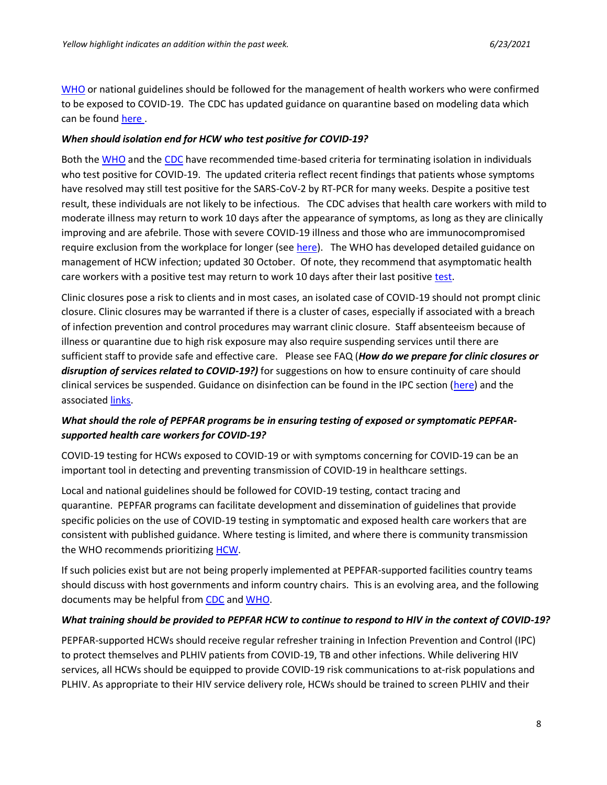[WHO](https://apps.who.int/iris/handle/10665/331340) or national guidelines should be followed for the management of health workers who were confirmed to be exposed to COVID-19. The CDC has updated guidance on quarantine based on modeling data which can be found [here .](https://www.cdc.gov/coronavirus/2019-ncov/more/scientific-brief-options-to-reduce-quarantine.html)

#### *When should isolation end for HCW who test positive for COVID-19?*

Both the [WHO](https://www.who.int/publications/i/item/criteria-for-releasing-covid-19-patients-from-isolation) and the [CDC](https://www.cdc.gov/coronavirus/2019-ncov/hcp/disposition-hospitalized-patients.html) have recommended time-based criteria for terminating isolation in individuals who test positive for COVID-19. The updated criteria reflect recent findings that patients whose symptoms have resolved may still test positive for the SARS-CoV-2 by RT-PCR for many weeks. Despite a positive test result, these individuals are not likely to be infectious. The CDC advises that health care workers with mild to moderate illness may return to work 10 days after the appearance of symptoms, as long as they are clinically improving and are afebrile. Those with severe COVID-19 illness and those who are immunocompromised require exclusion from the workplace for longer (see [here\)](https://gcc01.safelinks.protection.outlook.com/?url=https%3A%2F%2Fwww.cdc.gov%2Fcoronavirus%2F2019-ncov%2Fhcp%2Freturn-to-work.html&data=04%7C01%7CDominisS%40state.gov%7C7c51af54b450473921f608d87f42679f%7C66cf50745afe48d1a691a12b2121f44b%7C0%7C1%7C637399270473910589%7CUnknown%7CTWFpbGZsb3d8eyJWIjoiMC4wLjAwMDAiLCJQIjoiV2luMzIiLCJBTiI6Ik1haWwiLCJXVCI6Mn0%3D%7C1000&sdata=ZdWOLR8e6yBizJXgseDmc8F9dOTDEJcZCl%2BlsQ0kKOg%3D&reserved=0). The WHO has developed detailed guidance on management of HCW infection; updated 30 October. Of note, they recommend that asymptomatic health care workers with a positive test may return to work 10 days after their last positive [test.](https://www.who.int/publications/i/item/10665-336265)

Clinic closures pose a risk to clients and in most cases, an isolated case of COVID-19 should not prompt clinic closure. Clinic closures may be warranted if there is a cluster of cases, especially if associated with a breach of infection prevention and control procedures may warrant clinic closure. Staff absenteeism because of illness or quarantine due to high risk exposure may also require suspending services until there are sufficient staff to provide safe and effective care. Please see FAQ (*How do we prepare for clinic closures or disruption of services related to COVID-19?)* for suggestions on how to ensure continuity of care should clinical services be suspended. Guidance on disinfection can be found in the IPC section (here) and the associated [links.](https://gcc01.safelinks.protection.outlook.com/?url=https%3A%2F%2Fwww.who.int%2Fpublications%2Fi%2Fitem%2Fcleaning-and-disinfection-of-environmental-surfaces-inthe-context-of-covid-19&data=04%7C01%7CDominisS%40state.gov%7C7c51af54b450473921f608d87f42679f%7C66cf50745afe48d1a691a12b2121f44b%7C0%7C1%7C637399270473910589%7CUnknown%7CTWFpbGZsb3d8eyJWIjoiMC4wLjAwMDAiLCJQIjoiV2luMzIiLCJBTiI6Ik1haWwiLCJXVCI6Mn0%3D%7C1000&sdata=t50w%2BzR0xNn%2FUuHbbqR5L6J%2BTidBGvS0cAFSaLX8r9k%3D&reserved=0)

## *What should the role of PEPFAR programs be in ensuring testing of exposed or symptomatic PEPFARsupported health care workers for COVID-19?*

COVID-19 testing for HCWs exposed to COVID-19 or with symptoms concerning for COVID-19 can be an important tool in detecting and preventing transmission of COVID-19 in healthcare settings.

Local and national guidelines should be followed for COVID-19 testing, contact tracing and quarantine. PEPFAR programs can facilitate development and dissemination of guidelines that provide specific policies on the use of COVID-19 testing in symptomatic and exposed health care workers that are consistent with published guidance. Where testing is limited, and where there is community transmission the WHO recommends prioritizing [HCW.](https://gcc01.safelinks.protection.outlook.com/?url=https%3A%2F%2Fwww.who.int%2Fpublications%2Fi%2Fitem%2Flaboratory-testing-strategy-recommendations-for-covid-19-interim-guidance&data=04%7C01%7CDominisS%40state.gov%7C7c51af54b450473921f608d87f42679f%7C66cf50745afe48d1a691a12b2121f44b%7C0%7C1%7C637399270473910589%7CUnknown%7CTWFpbGZsb3d8eyJWIjoiMC4wLjAwMDAiLCJQIjoiV2luMzIiLCJBTiI6Ik1haWwiLCJXVCI6Mn0%3D%7C1000&sdata=dkcSNbShhuNlqKOMXgw128x0iSquciTD4HtY14VN4CI%3D&reserved=0)

If such policies exist but are not being properly implemented at PEPFAR-supported facilities country teams should discuss with host governments and inform country chairs. This is an evolving area, and the following documents may be helpful from [CDC](https://gcc01.safelinks.protection.outlook.com/?url=https%3A%2F%2Fwww.cdc.gov%2Fcoronavirus%2F2019-ncov%2Fhcp%2Fnon-us-settings%2Fpublic-health-management-hcw-exposed.html&data=04%7C01%7CDominisS%40state.gov%7C7c51af54b450473921f608d87f42679f%7C66cf50745afe48d1a691a12b2121f44b%7C0%7C1%7C637399270473920549%7CUnknown%7CTWFpbGZsb3d8eyJWIjoiMC4wLjAwMDAiLCJQIjoiV2luMzIiLCJBTiI6Ik1haWwiLCJXVCI6Mn0%3D%7C1000&sdata=pSnjttEyskReEshLSePiURDXkINDkzE7FNn6rkT2u8o%3D&reserved=0) and [WHO.](https://gcc01.safelinks.protection.outlook.com/?url=https%3A%2F%2Fapps.who.int%2Firis%2Fbitstream%2Fhandle%2F10665%2F331340%2FWHO-2019-nCov-HCW_risk_assessment-2020.1-eng.pdf&data=04%7C01%7CDominisS%40state.gov%7C7c51af54b450473921f608d87f42679f%7C66cf50745afe48d1a691a12b2121f44b%7C0%7C1%7C637399270473920549%7CUnknown%7CTWFpbGZsb3d8eyJWIjoiMC4wLjAwMDAiLCJQIjoiV2luMzIiLCJBTiI6Ik1haWwiLCJXVCI6Mn0%3D%7C1000&sdata=OJEmiRvFcu27kQcDxxrzR5xYnJ8xDmJYmmg%2B8Vo4hsk%3D&reserved=0)

#### *What training should be provided to PEPFAR HCW to continue to respond to HIV in the context of COVID-19?*

PEPFAR-supported HCWs should receive regular refresher training in Infection Prevention and Control (IPC) to protect themselves and PLHIV patients from COVID-19, TB and other infections. While delivering HIV services, all HCWs should be equipped to provide COVID-19 risk communications to at-risk populations and PLHIV. As appropriate to their HIV service delivery role, HCWs should be trained to screen PLHIV and their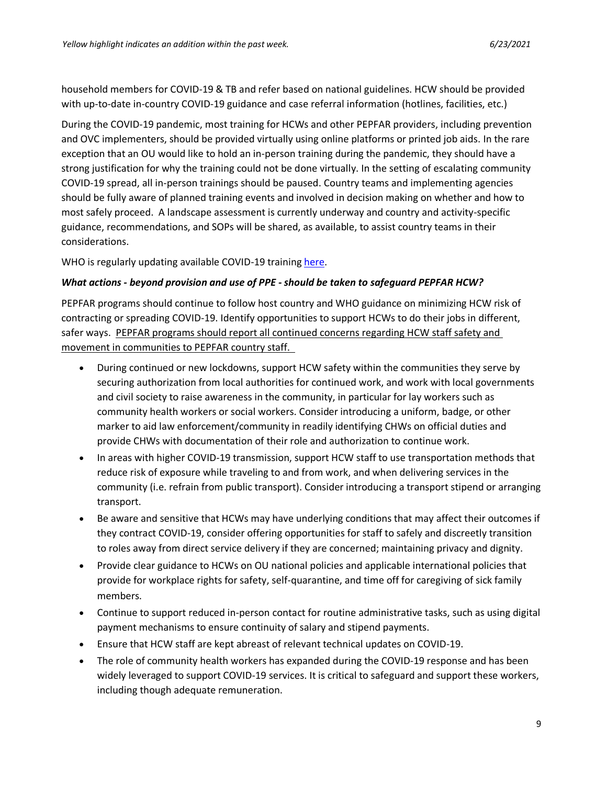household members for COVID-19 & TB and refer based on national guidelines. HCW should be provided with up-to-date in-country COVID-19 guidance and case referral information (hotlines, facilities, etc.)

During the COVID-19 pandemic, most training for HCWs and other PEPFAR providers, including prevention and OVC implementers, should be provided virtually using online platforms or printed job aids. In the rare exception that an OU would like to hold an in-person training during the pandemic, they should have a strong justification for why the training could not be done virtually. In the setting of escalating community COVID-19 spread, all in-person trainings should be paused. Country teams and implementing agencies should be fully aware of planned training events and involved in decision making on whether and how to most safely proceed. A landscape assessment is currently underway and country and activity-specific guidance, recommendations, and SOPs will be shared, as available, to assist country teams in their considerations.

WHO is regularly updating available COVID-19 training [here.](https://www.who.int/emergencies/diseases/novel-coronavirus-2019/training/online-training)

#### *What actions - beyond provision and use of PPE - should be taken to safeguard PEPFAR HCW?*

PEPFAR programs should continue to follow host country and WHO guidance on minimizing HCW risk of contracting or spreading COVID-19. Identify opportunities to support HCWs to do their jobs in different, safer ways. PEPFAR programs should report all continued concerns regarding HCW staff safety and movement in communities to PEPFAR country staff.

- During continued or new lockdowns, support HCW safety within the communities they serve by securing authorization from local authorities for continued work, and work with local governments and civil society to raise awareness in the community, in particular for lay workers such as community health workers or social workers. Consider introducing a uniform, badge, or other marker to aid law enforcement/community in readily identifying CHWs on official duties and provide CHWs with documentation of their role and authorization to continue work.
- In areas with higher COVID-19 transmission, support HCW staff to use transportation methods that reduce risk of exposure while traveling to and from work, and when delivering services in the community (i.e. refrain from public transport). Consider introducing a transport stipend or arranging transport.
- Be aware and sensitive that HCWs may have underlying conditions that may affect their outcomes if they contract COVID-19, consider offering opportunities for staff to safely and discreetly transition to roles away from direct service delivery if they are concerned; maintaining privacy and dignity.
- Provide clear guidance to HCWs on OU national policies and applicable international policies that provide for workplace rights for safety, self-quarantine, and time off for caregiving of sick family members.
- Continue to support reduced in-person contact for routine administrative tasks, such as using digital payment mechanisms to ensure continuity of salary and stipend payments.
- Ensure that HCW staff are kept abreast of relevant technical updates on COVID-19.
- The role of community health workers has expanded during the COVID-19 response and has been widely leveraged to support COVID-19 services. It is critical to safeguard and support these workers, including though adequate remuneration.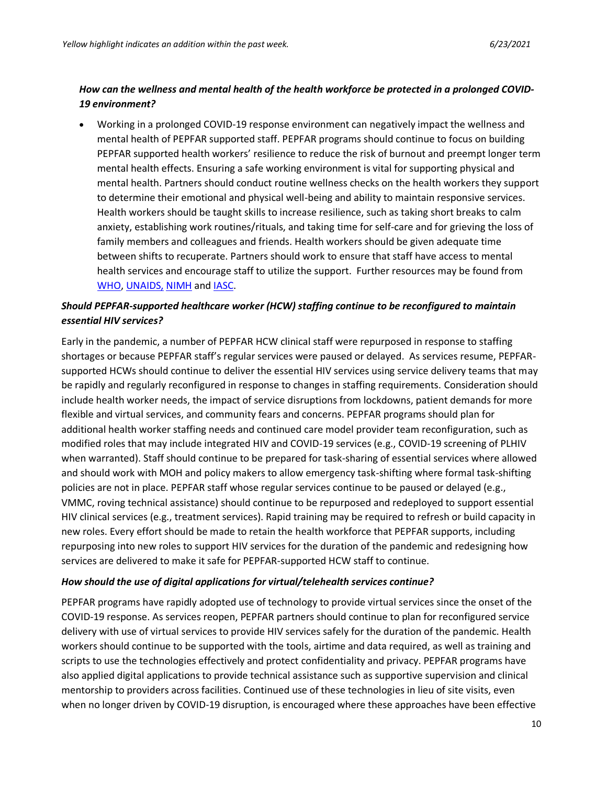## *How can the wellness and mental health of the health workforce be protected in a prolonged COVID-19 environment?*

• Working in a prolonged COVID-19 response environment can negatively impact the wellness and mental health of PEPFAR supported staff. PEPFAR programs should continue to focus on building PEPFAR supported health workers' resilience to reduce the risk of burnout and preempt longer term mental health effects. Ensuring a safe working environment is vital for supporting physical and mental health. Partners should conduct routine wellness checks on the health workers they support to determine their emotional and physical well-being and ability to maintain responsive services. Health workers should be taught skills to increase resilience, such as taking short breaks to calm anxiety, establishing work routines/rituals, and taking time for self-care and for grieving the loss of family members and colleagues and friends. Health workers should be given adequate time between shifts to recuperate. Partners should work to ensure that staff have access to mental health services and encourage staff to utilize the support. Further resources may be found from [WHO,](https://www.who.int/docs/default-source/coronaviruse/mental-health-considerations.pdf) [UNAIDS,](https://www.unaids.org/en/resources/infographics/hiv-and-covid-19) [NIMH](https://www.nimh.nih.gov/health/education-awareness/shareable-resources-on-coping-with-covid-19.shtml) and [IASC.](https://interagencystandingcommittee.org/iasc-reference-group-mental-health-and-psychosocial-support-emergency-settings/interim-briefing)

# *Should PEPFAR-supported healthcare worker (HCW) staffing continue to be reconfigured to maintain essential HIV services?*

Early in the pandemic, a number of PEPFAR HCW clinical staff were repurposed in response to staffing shortages or because PEPFAR staff's regular services were paused or delayed. As services resume, PEPFARsupported HCWs should continue to deliver the essential HIV services using service delivery teams that may be rapidly and regularly reconfigured in response to changes in staffing requirements. Consideration should include health worker needs, the impact of service disruptions from lockdowns, patient demands for more flexible and virtual services, and community fears and concerns. PEPFAR programs should plan for additional health worker staffing needs and continued care model provider team reconfiguration, such as modified roles that may include integrated HIV and COVID-19 services (e.g., COVID-19 screening of PLHIV when warranted). Staff should continue to be prepared for task-sharing of essential services where allowed and should work with MOH and policy makers to allow emergency task-shifting where formal task-shifting policies are not in place. PEPFAR staff whose regular services continue to be paused or delayed (e.g., VMMC, roving technical assistance) should continue to be repurposed and redeployed to support essential HIV clinical services (e.g., treatment services). Rapid training may be required to refresh or build capacity in new roles. Every effort should be made to retain the health workforce that PEPFAR supports, including repurposing into new roles to support HIV services for the duration of the pandemic and redesigning how services are delivered to make it safe for PEPFAR-supported HCW staff to continue.

### *How should the use of digital applications for virtual/telehealth services continue?*

PEPFAR programs have rapidly adopted use of technology to provide virtual services since the onset of the COVID-19 response. As services reopen, PEPFAR partners should continue to plan for reconfigured service delivery with use of virtual services to provide HIV services safely for the duration of the pandemic. Health workers should continue to be supported with the tools, airtime and data required, as well as training and scripts to use the technologies effectively and protect confidentiality and privacy. PEPFAR programs have also applied digital applications to provide technical assistance such as supportive supervision and clinical mentorship to providers across facilities. Continued use of these technologies in lieu of site visits, even when no longer driven by COVID-19 disruption, is encouraged where these approaches have been effective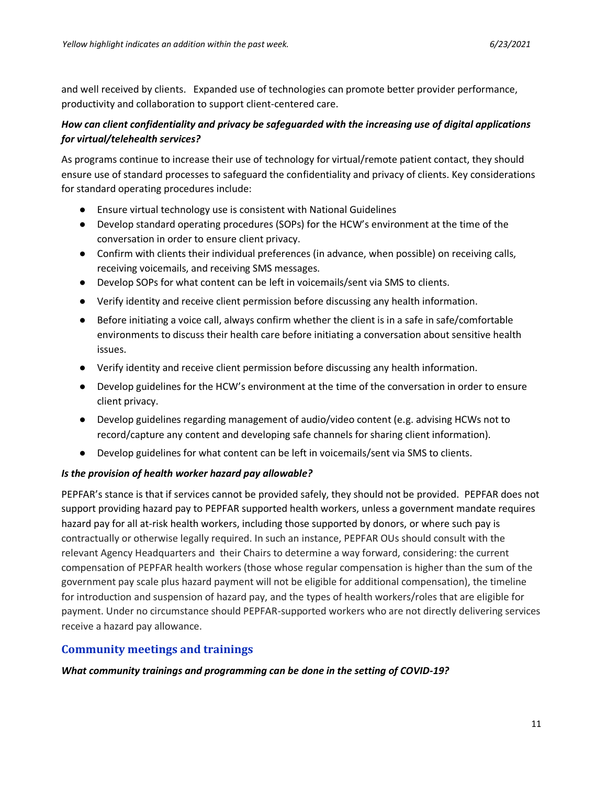and well received by clients. Expanded use of technologies can promote better provider performance, productivity and collaboration to support client-centered care.

## *How can client confidentiality and privacy be safeguarded with the increasing use of digital applications for virtual/telehealth services?*

As programs continue to increase their use of technology for virtual/remote patient contact, they should ensure use of standard processes to safeguard the confidentiality and privacy of clients. Key considerations for standard operating procedures include:

- Ensure virtual technology use is consistent with National Guidelines
- Develop standard operating procedures (SOPs) for the HCW's environment at the time of the conversation in order to ensure client privacy.
- Confirm with clients their individual preferences (in advance, when possible) on receiving calls, receiving voicemails, and receiving SMS messages.
- Develop SOPs for what content can be left in voicemails/sent via SMS to clients.
- Verify identity and receive client permission before discussing any health information.
- Before initiating a voice call, always confirm whether the client is in a safe in safe/comfortable environments to discuss their health care before initiating a conversation about sensitive health issues.
- Verify identity and receive client permission before discussing any health information.
- Develop guidelines for the HCW's environment at the time of the conversation in order to ensure client privacy.
- Develop guidelines regarding management of audio/video content (e.g. advising HCWs not to record/capture any content and developing safe channels for sharing client information).
- Develop guidelines for what content can be left in voicemails/sent via SMS to clients.

### *Is the provision of health worker hazard pay allowable?*

PEPFAR's stance is that if services cannot be provided safely, they should not be provided. PEPFAR does not support providing hazard pay to PEPFAR supported health workers, unless a government mandate requires hazard pay for all at-risk health workers, including those supported by donors, or where such pay is contractually or otherwise legally required. In such an instance, PEPFAR OUs should consult with the relevant Agency Headquarters and their Chairs to determine a way forward, considering: the current compensation of PEPFAR health workers (those whose regular compensation is higher than the sum of the government pay scale plus hazard payment will not be eligible for additional compensation), the timeline for introduction and suspension of hazard pay, and the types of health workers/roles that are eligible for payment. Under no circumstance should PEPFAR-supported workers who are not directly delivering services receive a hazard pay allowance.

## <span id="page-10-0"></span>**Community meetings and trainings**

### *What community trainings and programming can be done in the setting of COVID-19?*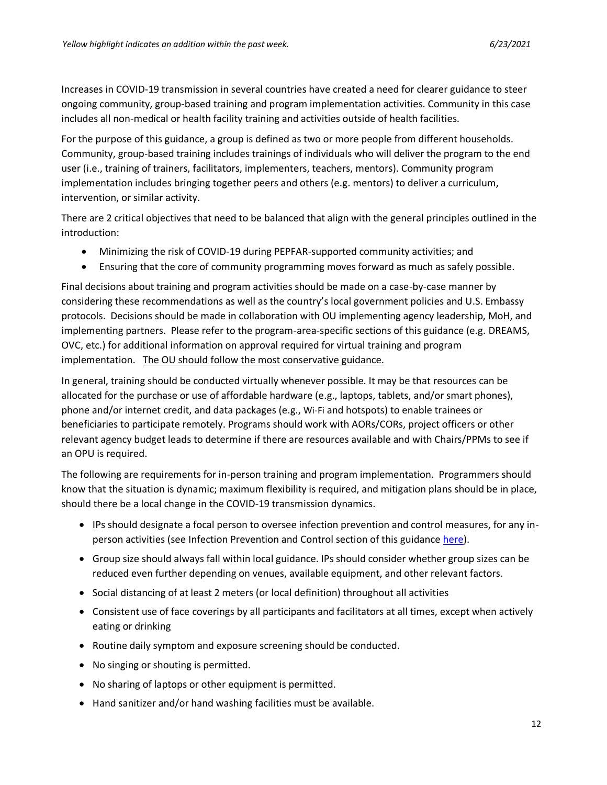Increases in COVID-19 transmission in several countries have created a need for clearer guidance to steer ongoing community, group-based training and program implementation activities. Community in this case includes all non-medical or health facility training and activities outside of health facilities.

For the purpose of this guidance, a group is defined as two or more people from different households. Community, group-based training includes trainings of individuals who will deliver the program to the end user (i.e., training of trainers, facilitators, implementers, teachers, mentors). Community program implementation includes bringing together peers and others (e.g. mentors) to deliver a curriculum, intervention, or similar activity.

There are 2 critical objectives that need to be balanced that align with the general principles outlined in the introduction:

- Minimizing the risk of COVID-19 during PEPFAR-supported community activities; and
- Ensuring that the core of community programming moves forward as much as safely possible.

Final decisions about training and program activities should be made on a case-by-case manner by considering these recommendations as well as the country's local government policies and U.S. Embassy protocols. Decisions should be made in collaboration with OU implementing agency leadership, MoH, and implementing partners. Please refer to the program-area-specific sections of this guidance (e.g. DREAMS, OVC, etc.) for additional information on approval required for virtual training and program implementation. The OU should follow the most conservative guidance.

In general, training should be conducted virtually whenever possible. It may be that resources can be allocated for the purchase or use of affordable hardware (e.g., laptops, tablets, and/or smart phones), phone and/or internet credit, and data packages (e.g., Wi-Fi and hotspots) to enable trainees or beneficiaries to participate remotely. Programs should work with AORs/CORs, project officers or other relevant agency budget leads to determine if there are resources available and with Chairs/PPMs to see if an OPU is required.

The following are requirements for in-person training and program implementation. Programmers should know that the situation is dynamic; maximum flexibility is required, and mitigation plans should be in place, should there be a local change in the COVID-19 transmission dynamics.

- IPs should designate a focal person to oversee infection prevention and control measures, for any inperson activities (see Infection Prevention and Control section of this guidance [here](#page-47-0)).
- Group size should always fall within local guidance. IPs should consider whether group sizes can be reduced even further depending on venues, available equipment, and other relevant factors.
- Social distancing of at least 2 meters (or local definition) throughout all activities
- Consistent use of face coverings by all participants and facilitators at all times, except when actively eating or drinking
- Routine daily symptom and exposure screening should be conducted.
- No singing or shouting is permitted.
- No sharing of laptops or other equipment is permitted.
- Hand sanitizer and/or hand washing facilities must be available.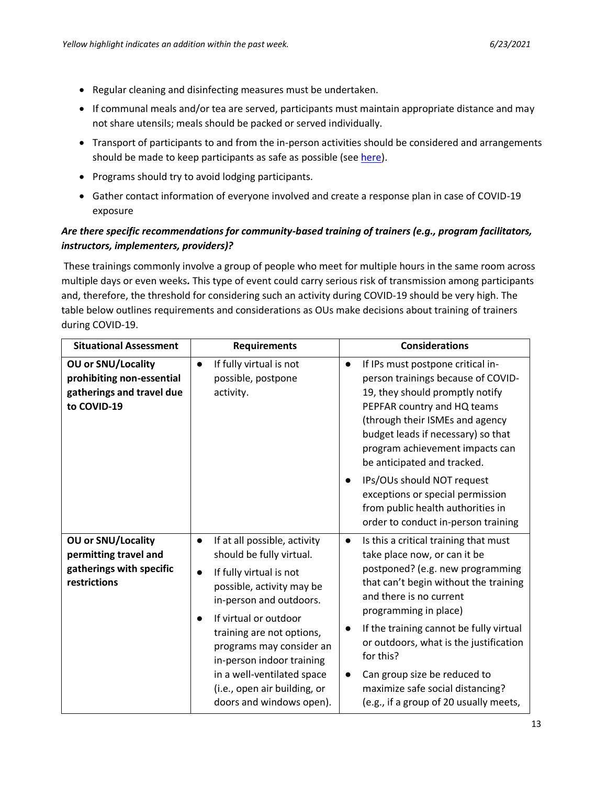- Regular cleaning and disinfecting measures must be undertaken.
- If communal meals and/or tea are served, participants must maintain appropriate distance and may not share utensils; meals should be packed or served individually.
- Transport of participants to and from the in-person activities should be considered and arrangements should be made to keep participants as safe as possible (see [here\)](https://www.cdc.gov/coronavirus/2019-ncov/daily-life-coping/using-transportation.html).
- Programs should try to avoid lodging participants.
- Gather contact information of everyone involved and create a response plan in case of COVID-19 exposure

## *Are there specific recommendations for community-based training of trainers (e.g., program facilitators, instructors, implementers, providers)?*

These trainings commonly involve a group of people who meet for multiple hours in the same room across multiple days or even weeks*.* This type of event could carry serious risk of transmission among participants and, therefore, the threshold for considering such an activity during COVID-19 should be very high. The table below outlines requirements and considerations as OUs make decisions about training of trainers during COVID-19.

| <b>Situational Assessment</b>                                                                      | <b>Requirements</b>                                                                                                                                                                                                                                                                                                                                                            | <b>Considerations</b>                                                                                                                                                                                                                                                                                                                                                                                                                                                                   |
|----------------------------------------------------------------------------------------------------|--------------------------------------------------------------------------------------------------------------------------------------------------------------------------------------------------------------------------------------------------------------------------------------------------------------------------------------------------------------------------------|-----------------------------------------------------------------------------------------------------------------------------------------------------------------------------------------------------------------------------------------------------------------------------------------------------------------------------------------------------------------------------------------------------------------------------------------------------------------------------------------|
| <b>OU or SNU/Locality</b><br>prohibiting non-essential<br>gatherings and travel due<br>to COVID-19 | If fully virtual is not<br>$\bullet$<br>possible, postpone<br>activity.                                                                                                                                                                                                                                                                                                        | If IPs must postpone critical in-<br>person trainings because of COVID-<br>19, they should promptly notify<br>PEPFAR country and HQ teams<br>(through their ISMEs and agency<br>budget leads if necessary) so that<br>program achievement impacts can<br>be anticipated and tracked.<br>IPs/OUs should NOT request<br>exceptions or special permission<br>from public health authorities in                                                                                             |
| OU or SNU/Locality<br>permitting travel and<br>gatherings with specific<br>restrictions            | If at all possible, activity<br>$\bullet$<br>should be fully virtual.<br>If fully virtual is not<br>$\bullet$<br>possible, activity may be<br>in-person and outdoors.<br>If virtual or outdoor<br>training are not options,<br>programs may consider an<br>in-person indoor training<br>in a well-ventilated space<br>(i.e., open air building, or<br>doors and windows open). | order to conduct in-person training<br>Is this a critical training that must<br>$\bullet$<br>take place now, or can it be<br>postponed? (e.g. new programming<br>that can't begin without the training<br>and there is no current<br>programming in place)<br>If the training cannot be fully virtual<br>or outdoors, what is the justification<br>for this?<br>Can group size be reduced to<br>$\bullet$<br>maximize safe social distancing?<br>(e.g., if a group of 20 usually meets, |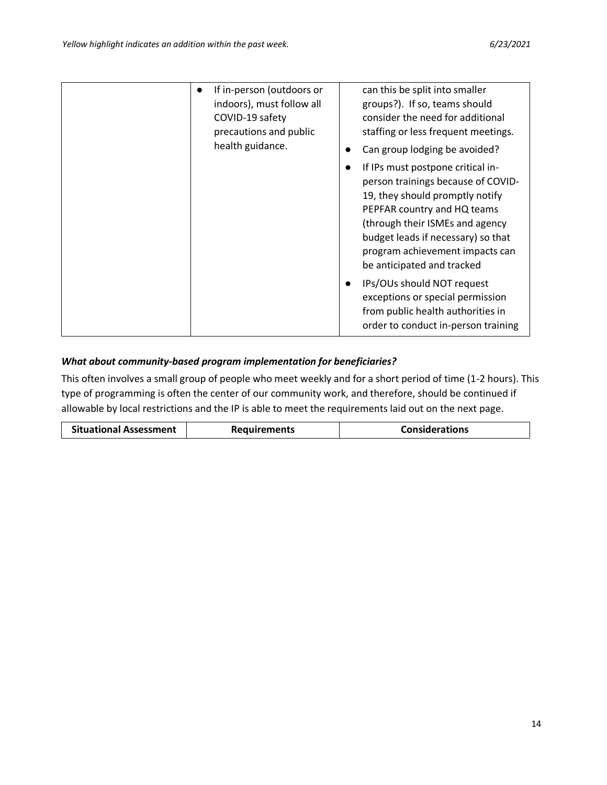| If in-person (outdoors or<br>$\bullet$<br>indoors), must follow all<br>COVID-19 safety<br>precautions and public<br>health guidance. | can this be split into smaller<br>groups?). If so, teams should<br>consider the need for additional<br>staffing or less frequent meetings.<br>Can group lodging be avoided?                                                                                                         |
|--------------------------------------------------------------------------------------------------------------------------------------|-------------------------------------------------------------------------------------------------------------------------------------------------------------------------------------------------------------------------------------------------------------------------------------|
|                                                                                                                                      | If IPs must postpone critical in-<br>person trainings because of COVID-<br>19, they should promptly notify<br>PEPFAR country and HQ teams<br>(through their ISMEs and agency<br>budget leads if necessary) so that<br>program achievement impacts can<br>be anticipated and tracked |
|                                                                                                                                      | IPs/OUs should NOT request<br>exceptions or special permission<br>from public health authorities in<br>order to conduct in-person training                                                                                                                                          |

## *What about community-based program implementation for beneficiaries?*

This often involves a small group of people who meet weekly and for a short period of time (1-2 hours). This type of programming is often the center of our community work, and therefore, should be continued if allowable by local restrictions and the IP is able to meet the requirements laid out on the next page.

| <b>Situational Assessment</b> | <b>Requirements</b> | <b>Considerations</b> |
|-------------------------------|---------------------|-----------------------|
|-------------------------------|---------------------|-----------------------|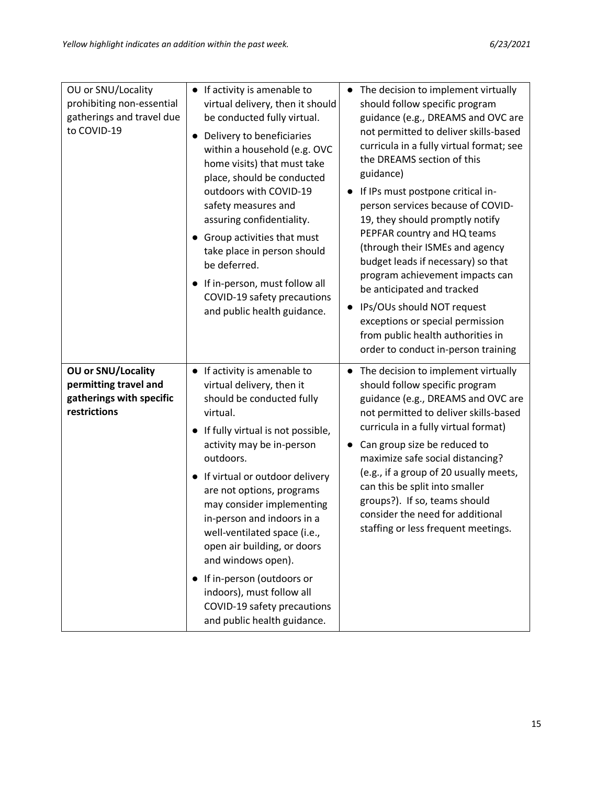| OU or SNU/Locality<br>prohibiting non-essential<br>gatherings and travel due<br>to COVID-19 | • If activity is amenable to<br>virtual delivery, then it should<br>be conducted fully virtual.<br>Delivery to beneficiaries<br>within a household (e.g. OVC<br>home visits) that must take<br>place, should be conducted<br>outdoors with COVID-19<br>safety measures and<br>assuring confidentiality.<br>Group activities that must<br>$\bullet$<br>take place in person should<br>be deferred.<br>If in-person, must follow all<br>$\bullet$<br>COVID-19 safety precautions<br>and public health guidance.                | The decision to implement virtually<br>should follow specific program<br>guidance (e.g., DREAMS and OVC are<br>not permitted to deliver skills-based<br>curricula in a fully virtual format; see<br>the DREAMS section of this<br>guidance)<br>If IPs must postpone critical in-<br>$\bullet$<br>person services because of COVID-<br>19, they should promptly notify<br>PEPFAR country and HQ teams<br>(through their ISMEs and agency<br>budget leads if necessary) so that<br>program achievement impacts can<br>be anticipated and tracked<br>IPs/OUs should NOT request<br>$\bullet$<br>exceptions or special permission<br>from public health authorities in<br>order to conduct in-person training |
|---------------------------------------------------------------------------------------------|------------------------------------------------------------------------------------------------------------------------------------------------------------------------------------------------------------------------------------------------------------------------------------------------------------------------------------------------------------------------------------------------------------------------------------------------------------------------------------------------------------------------------|-----------------------------------------------------------------------------------------------------------------------------------------------------------------------------------------------------------------------------------------------------------------------------------------------------------------------------------------------------------------------------------------------------------------------------------------------------------------------------------------------------------------------------------------------------------------------------------------------------------------------------------------------------------------------------------------------------------|
| OU or SNU/Locality<br>permitting travel and<br>gatherings with specific<br>restrictions     | • If activity is amenable to<br>virtual delivery, then it<br>should be conducted fully<br>virtual.<br>If fully virtual is not possible,<br>activity may be in-person<br>outdoors.<br>• If virtual or outdoor delivery<br>are not options, programs<br>may consider implementing<br>in-person and indoors in a<br>well-ventilated space (i.e.,<br>open air building, or doors<br>and windows open).<br>• If in-person (outdoors or<br>indoors), must follow all<br>COVID-19 safety precautions<br>and public health guidance. | The decision to implement virtually<br>$\bullet$<br>should follow specific program<br>guidance (e.g., DREAMS and OVC are<br>not permitted to deliver skills-based<br>curricula in a fully virtual format)<br>Can group size be reduced to<br>maximize safe social distancing?<br>(e.g., if a group of 20 usually meets,<br>can this be split into smaller<br>groups?). If so, teams should<br>consider the need for additional<br>staffing or less frequent meetings.                                                                                                                                                                                                                                     |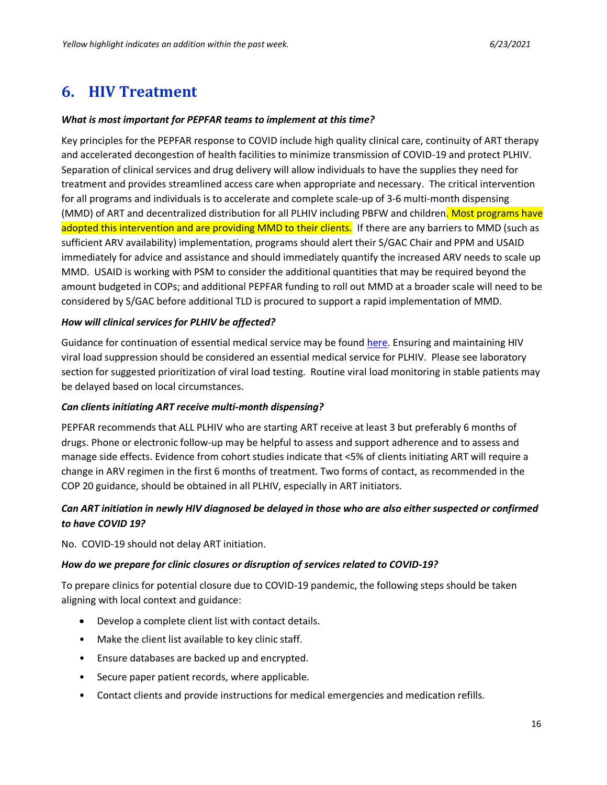# <span id="page-15-0"></span>**6. HIV Treatment**

#### *What is most important for PEPFAR teams to implement at this time?*

Key principles for the PEPFAR response to COVID include high quality clinical care, continuity of ART therapy and accelerated decongestion of health facilities to minimize transmission of COVID-19 and protect PLHIV. Separation of clinical services and drug delivery will allow individuals to have the supplies they need for treatment and provides streamlined access care when appropriate and necessary. The critical intervention for all programs and individuals is to accelerate and complete scale-up of 3-6 multi-month dispensing (MMD) of ART and decentralized distribution for all PLHIV including PBFW and children. Most programs have adopted this intervention and are providing MMD to their clients. If there are any barriers to MMD (such as sufficient ARV availability) implementation, programs should alert their S/GAC Chair and PPM and USAID immediately for advice and assistance and should immediately quantify the increased ARV needs to scale up MMD. USAID is working with PSM to consider the additional quantities that may be required beyond the amount budgeted in COPs; and additional PEPFAR funding to roll out MMD at a broader scale will need to be considered by S/GAC before additional TLD is procured to support a rapid implementation of MMD.

#### *How will clinical services for PLHIV be affected?*

Guidance for continuation of essential medical service may be found [here.](https://www.who.int/publications-detail/responding-to-community-spread-of-covid-19) Ensuring and maintaining HIV viral load suppression should be considered an essential medical service for PLHIV. Please see laboratory section for suggested prioritization of viral load testing. Routine viral load monitoring in stable patients may be delayed based on local circumstances.

### *Can clients initiating ART receive multi-month dispensing?*

PEPFAR recommends that ALL PLHIV who are starting ART receive at least 3 but preferably 6 months of drugs. Phone or electronic follow-up may be helpful to assess and support adherence and to assess and manage side effects. Evidence from cohort studies indicate that <5% of clients initiating ART will require a change in ARV regimen in the first 6 months of treatment. Two forms of contact, as recommended in the COP 20 guidance, should be obtained in all PLHIV, especially in ART initiators.

## *Can ART initiation in newly HIV diagnosed be delayed in those who are also either suspected or confirmed to have COVID 19?*

No. COVID-19 should not delay ART initiation.

### *How do we prepare for clinic closures or disruption of services related to COVID-19?*

To prepare clinics for potential closure due to COVID-19 pandemic, the following steps should be taken aligning with local context and guidance:

- Develop a complete client list with contact details.
- Make the client list available to key clinic staff.
- Ensure databases are backed up and encrypted.
- Secure paper patient records, where applicable.
- Contact clients and provide instructions for medical emergencies and medication refills.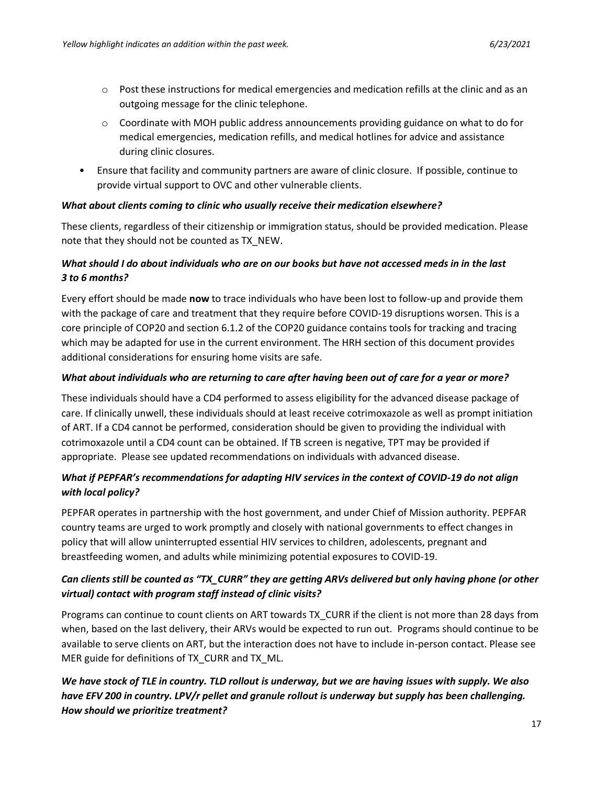- $\circ$  Post these instructions for medical emergencies and medication refills at the clinic and as an outgoing message for the clinic telephone.
- $\circ$  Coordinate with MOH public address announcements providing guidance on what to do for medical emergencies, medication refills, and medical hotlines for advice and assistance during clinic closures.
- Ensure that facility and community partners are aware of clinic closure. If possible, continue to provide virtual support to OVC and other vulnerable clients.

### *What about clients coming to clinic who usually receive their medication elsewhere?*

These clients, regardless of their citizenship or immigration status, should be provided medication. Please note that they should not be counted as TX\_NEW.

## *What should I do about individuals who are on our books but have not accessed meds in in the last 3 to 6 months?*

Every effort should be made **now** to trace individuals who have been lost to follow-up and provide them with the package of care and treatment that they require before COVID-19 disruptions worsen. This is a core principle of COP20 and section 6.1.2 of the COP20 guidance contains tools for tracking and tracing which may be adapted for use in the current environment. The HRH section of this document provides additional considerations for ensuring home visits are safe.

### *What about individuals who are returning to care after having been out of care for a year or more?*

These individuals should have a CD4 performed to assess eligibility for the advanced disease package of care. If clinically unwell, these individuals should at least receive cotrimoxazole as well as prompt initiation of ART. If a CD4 cannot be performed, consideration should be given to providing the individual with cotrimoxazole until a CD4 count can be obtained. If TB screen is negative, TPT may be provided if appropriate. Please see updated recommendations on individuals with advanced disease.

## *What if PEPFAR's recommendations for adapting HIV services in the context of COVID-19 do not align with local policy?*

PEPFAR operates in partnership with the host government, and under Chief of Mission authority. PEPFAR country teams are urged to work promptly and closely with national governments to effect changes in policy that will allow uninterrupted essential HIV services to children, adolescents, pregnant and breastfeeding women, and adults while minimizing potential exposures to COVID-19.

## *Can clients still be counted as "TX\_CURR" they are getting ARVs delivered but only having phone (or other virtual) contact with program staff instead of clinic visits?*

Programs can continue to count clients on ART towards TX\_CURR if the client is not more than 28 days from when, based on the last delivery, their ARVs would be expected to run out. Programs should continue to be available to serve clients on ART, but the interaction does not have to include in-person contact. Please see MER guide for definitions of TX CURR and TX ML.

## *We have stock of TLE in country. TLD rollout is underway, but we are having issues with supply. We also have EFV 200 in country. LPV/r pellet and granule rollout is underway but supply has been challenging. How should we prioritize treatment?*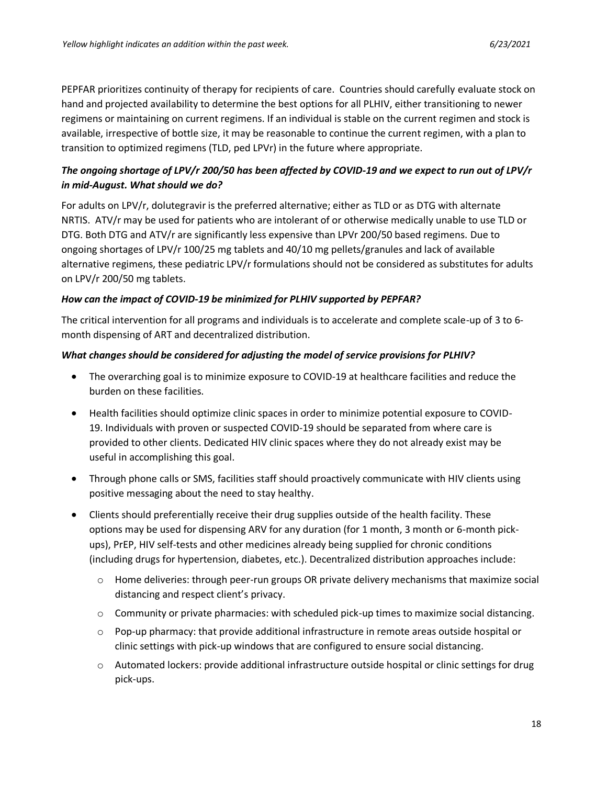PEPFAR prioritizes continuity of therapy for recipients of care. Countries should carefully evaluate stock on hand and projected availability to determine the best options for all PLHIV, either transitioning to newer regimens or maintaining on current regimens. If an individual is stable on the current regimen and stock is available, irrespective of bottle size, it may be reasonable to continue the current regimen, with a plan to transition to optimized regimens (TLD, ped LPVr) in the future where appropriate.

## *The ongoing shortage of LPV/r 200/50 has been affected by COVID-19 and we expect to run out of LPV/r in mid-August. What should we do?*

For adults on LPV/r, dolutegravir is the preferred alternative; either as TLD or as DTG with alternate NRTIS. ATV/r may be used for patients who are intolerant of or otherwise medically unable to use TLD or DTG. Both DTG and ATV/r are significantly less expensive than LPVr 200/50 based regimens. Due to ongoing shortages of LPV/r 100/25 mg tablets and 40/10 mg pellets/granules and lack of available alternative regimens, these pediatric LPV/r formulations should not be considered as substitutes for adults on LPV/r 200/50 mg tablets.

## *How can the impact of COVID-19 be minimized for PLHIV supported by PEPFAR?*

The critical intervention for all programs and individuals is to accelerate and complete scale-up of 3 to 6 month dispensing of ART and decentralized distribution.

## *What changes should be considered for adjusting the model of service provisions for PLHIV?*

- The overarching goal is to minimize exposure to COVID-19 at healthcare facilities and reduce the burden on these facilities.
- Health facilities should optimize clinic spaces in order to minimize potential exposure to COVID-19. Individuals with proven or suspected COVID-19 should be separated from where care is provided to other clients. Dedicated HIV clinic spaces where they do not already exist may be useful in accomplishing this goal.
- Through phone calls or SMS, facilities staff should proactively communicate with HIV clients using positive messaging about the need to stay healthy.
- Clients should preferentially receive their drug supplies outside of the health facility. These options may be used for dispensing ARV for any duration (for 1 month, 3 month or 6-month pickups), PrEP, HIV self-tests and other medicines already being supplied for chronic conditions (including drugs for hypertension, diabetes, etc.). Decentralized distribution approaches include:
	- o Home deliveries: through peer-run groups OR private delivery mechanisms that maximize social distancing and respect client's privacy.
	- $\circ$  Community or private pharmacies: with scheduled pick-up times to maximize social distancing.
	- $\circ$  Pop-up pharmacy: that provide additional infrastructure in remote areas outside hospital or clinic settings with pick-up windows that are configured to ensure social distancing.
	- o Automated lockers: provide additional infrastructure outside hospital or clinic settings for drug pick-ups.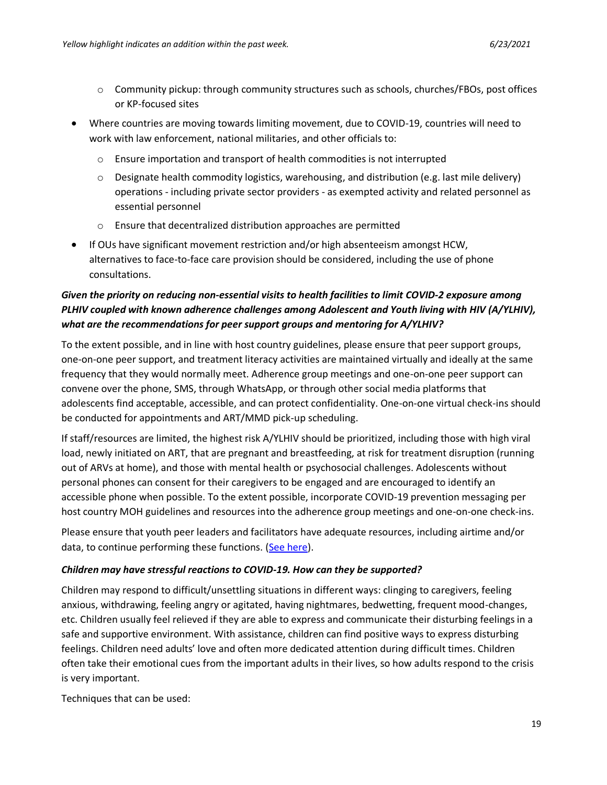- o Community pickup: through community structures such as schools, churches/FBOs, post offices or KP-focused sites
- Where countries are moving towards limiting movement, due to COVID-19, countries will need to work with law enforcement, national militaries, and other officials to:
	- o Ensure importation and transport of health commodities is not interrupted
	- $\circ$  Designate health commodity logistics, warehousing, and distribution (e.g. last mile delivery) operations - including private sector providers - as exempted activity and related personnel as essential personnel
	- o Ensure that decentralized distribution approaches are permitted
- If OUs have significant movement restriction and/or high absenteeism amongst HCW, alternatives to face-to-face care provision should be considered, including the use of phone consultations.

# *Given the priority on reducing non-essential visits to health facilities to limit COVID-2 exposure among PLHIV coupled with known adherence challenges among Adolescent and Youth living with HIV (A/YLHIV), what are the recommendations for peer support groups and mentoring for A/YLHIV?*

To the extent possible, and in line with host country guidelines, please ensure that peer support groups, one-on-one peer support, and treatment literacy activities are maintained virtually and ideally at the same frequency that they would normally meet. Adherence group meetings and one-on-one peer support can convene over the phone, SMS, through WhatsApp, or through other social media platforms that adolescents find acceptable, accessible, and can protect confidentiality. One-on-one virtual check-ins should be conducted for appointments and ART/MMD pick-up scheduling.

If staff/resources are limited, the highest risk A/YLHIV should be prioritized, including those with high viral load, newly initiated on ART, that are pregnant and breastfeeding, at risk for treatment disruption (running out of ARVs at home), and those with mental health or psychosocial challenges. Adolescents without personal phones can consent for their caregivers to be engaged and are encouraged to identify an accessible phone when possible. To the extent possible, incorporate COVID-19 prevention messaging per host country MOH guidelines and resources into the adherence group meetings and one-on-one check-ins.

Please ensure that youth peer leaders and facilitators have adequate resources, including airtime and/or data, to continue performing these functions. [\(See here\)](http://childrenandaids.org/node/1342).

### *Children may have stressful reactions to COVID-19. How can they be supported?*

Children may respond to difficult/unsettling situations in different ways: clinging to caregivers, feeling anxious, withdrawing, feeling angry or agitated, having nightmares, bedwetting, frequent mood-changes, etc. Children usually feel relieved if they are able to express and communicate their disturbing feelings in a safe and supportive environment. With assistance, children can find positive ways to express disturbing feelings. Children need adults' love and often more dedicated attention during difficult times. Children often take their emotional cues from the important adults in their lives, so how adults respond to the crisis is very important.

Techniques that can be used: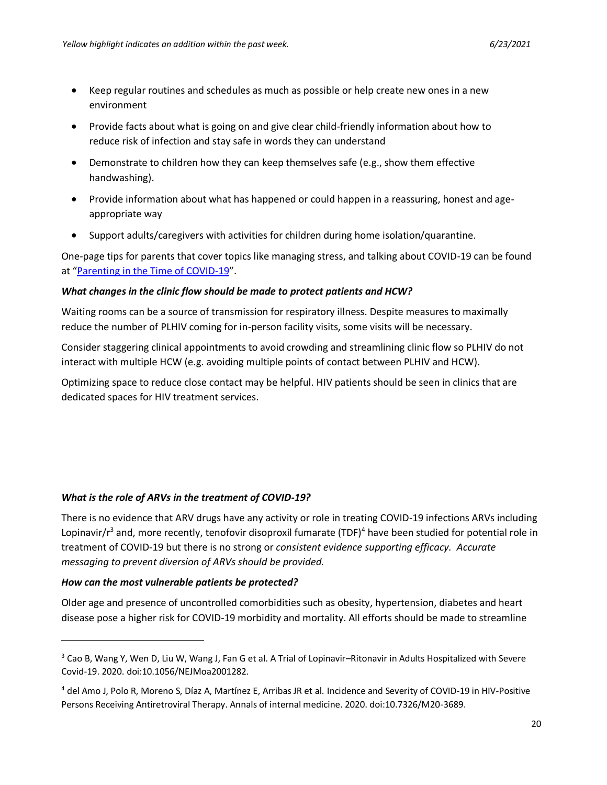- Keep regular routines and schedules as much as possible or help create new ones in a new environment
- Provide facts about what is going on and give clear child-friendly information about how to reduce risk of infection and stay safe in words they can understand
- Demonstrate to children how they can keep themselves safe (e.g., show them effective handwashing).
- Provide information about what has happened or could happen in a reassuring, honest and ageappropriate way
- Support adults/caregivers with activities for children during home isolation/quarantine.

One-page tips for parents that cover topics like managing stress, and talking about COVID-19 can be found at "[Parenting in the Time of COVID-19](https://www.who.int/emergencies/diseases/novel-coronavirus-2019/advice-for-public/healthy-parenting)".

### *What changes in the clinic flow should be made to protect patients and HCW?*

Waiting rooms can be a source of transmission for respiratory illness. Despite measures to maximally reduce the number of PLHIV coming for in-person facility visits, some visits will be necessary.

Consider staggering clinical appointments to avoid crowding and streamlining clinic flow so PLHIV do not interact with multiple HCW (e.g. avoiding multiple points of contact between PLHIV and HCW).

Optimizing space to reduce close contact may be helpful. HIV patients should be seen in clinics that are dedicated spaces for HIV treatment services.

### *What is the role of ARVs in the treatment of COVID-19?*

There is no evidence that ARV drugs have any activity or role in treating COVID-19 infections ARVs including Lopinavir/r<sup>3</sup> and, more recently, tenofovir disoproxil fumarate (TDF)<sup>4</sup> have been studied for potential role in treatment of COVID-19 but there is no strong or *consistent evidence supporting efficacy. Accurate messaging to prevent diversion of ARVs should be provided.*

### *How can the most vulnerable patients be protected?*

Older age and presence of uncontrolled comorbidities such as obesity, hypertension, diabetes and heart disease pose a higher risk for COVID-19 morbidity and mortality. All efforts should be made to streamline

<sup>&</sup>lt;sup>3</sup> Cao B, Wang Y, Wen D, Liu W, Wang J, Fan G et al. A Trial of Lopinavir-Ritonavir in Adults Hospitalized with Severe Covid-19. 2020. doi:10.1056/NEJMoa2001282.

<sup>4</sup> del Amo J, Polo R, Moreno S, Díaz A, Martínez E, Arribas JR et al. Incidence and Severity of COVID-19 in HIV-Positive Persons Receiving Antiretroviral Therapy. Annals of internal medicine. 2020. doi:10.7326/M20-3689.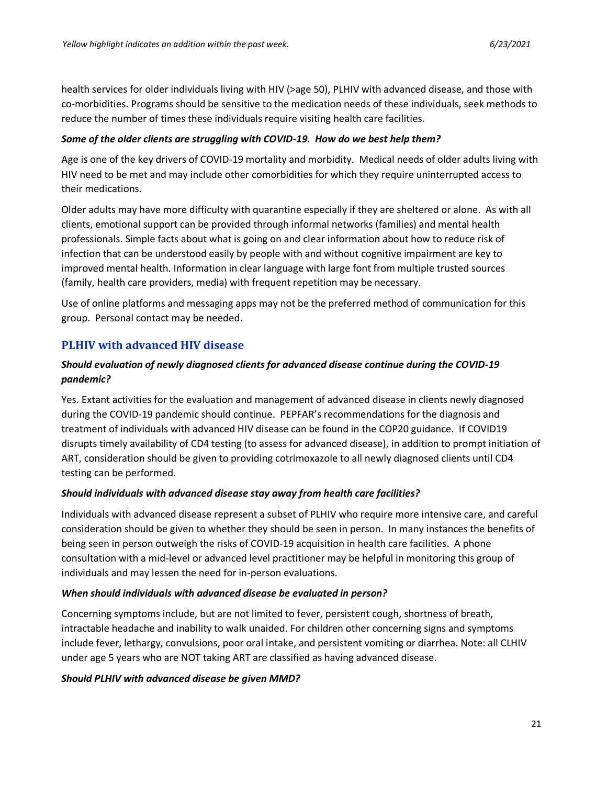health services for older individuals living with HIV (>age 50), PLHIV with advanced disease, and those with co-morbidities. Programs should be sensitive to the medication needs of these individuals, seek methods to reduce the number of times these individuals require visiting health care facilities.

#### *Some of the older clients are struggling with COVID-19. How do we best help them?*

Age is one of the key drivers of COVID-19 mortality and morbidity. Medical needs of older adults living with HIV need to be met and may include other comorbidities for which they require uninterrupted access to their medications.

Older adults may have more difficulty with quarantine especially if they are sheltered or alone. As with all clients, emotional support can be provided through informal networks (families) and mental health professionals. Simple facts about what is going on and clear information about how to reduce risk of infection that can be understood easily by people with and without cognitive impairment are key to improved mental health. Information in clear language with large font from multiple trusted sources (family, health care providers, media) with frequent repetition may be necessary.

Use of online platforms and messaging apps may not be the preferred method of communication for this group. Personal contact may be needed.

## **PLHIV with advanced HIV disease**

### *Should evaluation of newly diagnosed clients for advanced disease continue during the COVID-19 pandemic?*

Yes. Extant activities for the evaluation and management of advanced disease in clients newly diagnosed during the COVID-19 pandemic should continue. PEPFAR's recommendations for the diagnosis and treatment of individuals with advanced HIV disease can be found in the COP20 guidance. If COVID19 disrupts timely availability of CD4 testing (to assess for advanced disease), in addition to prompt initiation of ART, consideration should be given to providing cotrimoxazole to all newly diagnosed clients until CD4 testing can be performed.

### *Should individuals with advanced disease stay away from health care facilities?*

Individuals with advanced disease represent a subset of PLHIV who require more intensive care, and careful consideration should be given to whether they should be seen in person. In many instances the benefits of being seen in person outweigh the risks of COVID-19 acquisition in health care facilities. A phone consultation with a mid-level or advanced level practitioner may be helpful in monitoring this group of individuals and may lessen the need for in-person evaluations.

#### *When should individuals with advanced disease be evaluated in person?*

Concerning symptoms include, but are not limited to fever, persistent cough, shortness of breath, intractable headache and inability to walk unaided. For children other concerning signs and symptoms include fever, lethargy, convulsions, poor oral intake, and persistent vomiting or diarrhea. Note: all CLHIV under age 5 years who are NOT taking ART are classified as having advanced disease.

### *Should PLHIV with advanced disease be given MMD?*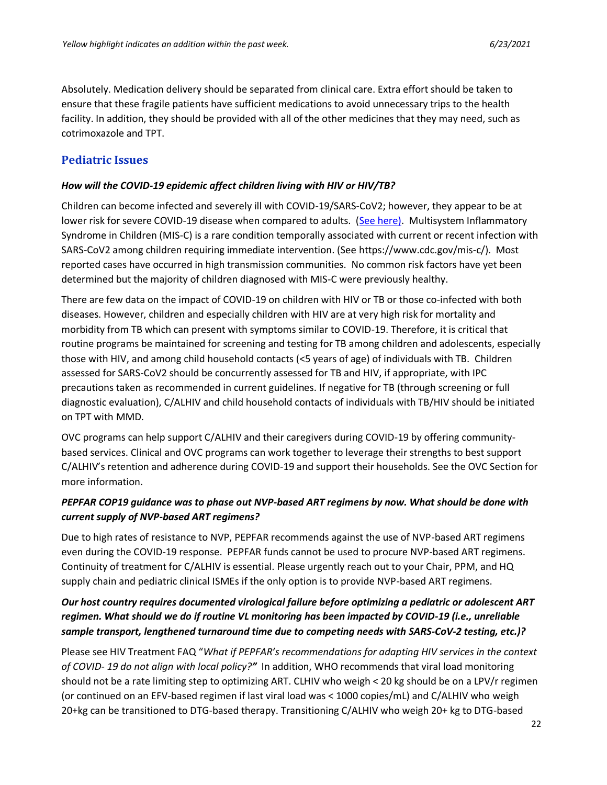Absolutely. Medication delivery should be separated from clinical care. Extra effort should be taken to ensure that these fragile patients have sufficient medications to avoid unnecessary trips to the health facility. In addition, they should be provided with all of the other medicines that they may need, such as cotrimoxazole and TPT.

## **Pediatric Issues**

#### *How will the COVID-19 epidemic affect children living with HIV or HIV/TB?*

Children can become infected and severely ill with COVID-19/SARS-CoV2; however, they appear to be at lower risk for severe COVID-19 disease when compared to adults. [\(See here\)](https://www.cdc.gov/coronavirus/2019-ncov/hcp/pediatric-hcp.html). Multisystem Inflammatory Syndrome in Children (MIS-C) is a rare condition temporally associated with current or recent infection with SARS-CoV2 among children requiring immediate intervention. (See [https://www.cdc.gov/mis-c/\)](https://www.cdc.gov/mis-c/). Most reported cases have occurred in high transmission communities. No common risk factors have yet been determined but the majority of children diagnosed with MIS-C were previously healthy.

There are few data on the impact of COVID-19 on children with HIV or TB or those co-infected with both diseases. However, children and especially children with HIV are at very high risk for mortality and morbidity from TB which can present with symptoms similar to COVID-19. Therefore, it is critical that routine programs be maintained for screening and testing for TB among children and adolescents, especially those with HIV, and among child household contacts (<5 years of age) of individuals with TB. Children assessed for SARS-CoV2 should be concurrently assessed for TB and HIV, if appropriate, with IPC precautions taken as recommended in current guidelines. If negative for TB (through screening or full diagnostic evaluation), C/ALHIV and child household contacts of individuals with TB/HIV should be initiated on TPT with MMD.

OVC programs can help support C/ALHIV and their caregivers during COVID-19 by offering communitybased services. Clinical and OVC programs can work together to leverage their strengths to best support C/ALHIV's retention and adherence during COVID-19 and support their households. See the OVC Section for more information.

### *PEPFAR COP19 guidance was to phase out NVP-based ART regimens by now. What should be done with current supply of NVP-based ART regimens?*

Due to high rates of resistance to NVP, PEPFAR recommends against the use of NVP-based ART regimens even during the COVID-19 response. PEPFAR funds cannot be used to procure NVP-based ART regimens. Continuity of treatment for C/ALHIV is essential. Please urgently reach out to your Chair, PPM, and HQ supply chain and pediatric clinical ISMEs if the only option is to provide NVP-based ART regimens.

## *Our host country requires documented virological failure before optimizing a pediatric or adolescent ART regimen. What should we do if routine VL monitoring has been impacted by COVID-19 (i.e., unreliable sample transport, lengthened turnaround time due to competing needs with SARS-CoV-2 testing, etc.)?*

Please see HIV Treatment FAQ "*What if PEPFAR's recommendations for adapting HIV services in the context of COVID- 19 do not align with local policy?"* In addition, WHO recommends that viral load monitoring should not be a rate limiting step to optimizing ART. CLHIV who weigh < 20 kg should be on a LPV/r regimen (or continued on an EFV-based regimen if last viral load was < 1000 copies/mL) and C/ALHIV who weigh 20+kg can be transitioned to DTG-based therapy. Transitioning C/ALHIV who weigh 20+ kg to DTG-based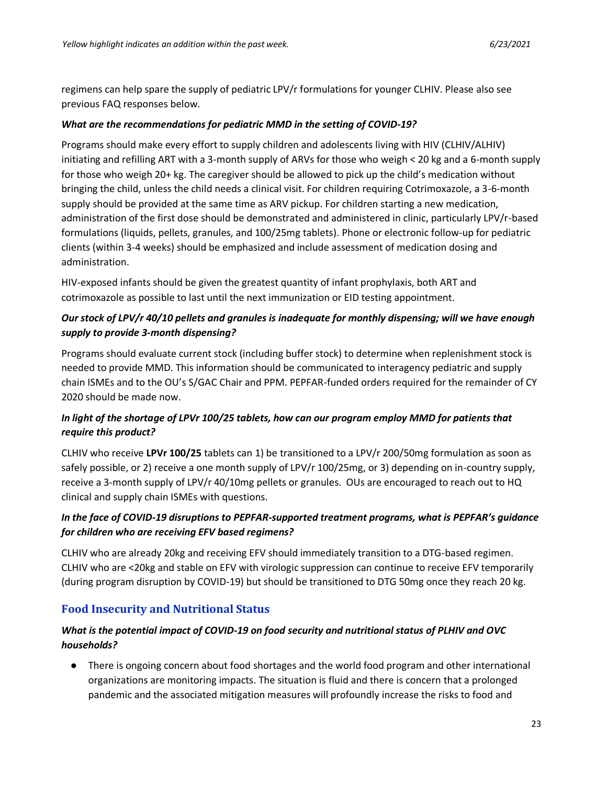regimens can help spare the supply of pediatric LPV/r formulations for younger CLHIV. Please also see previous FAQ responses below.

### *What are the recommendations for pediatric MMD in the setting of COVID-19?*

Programs should make every effort to supply children and adolescents living with HIV (CLHIV/ALHIV) initiating and refilling ART with a 3-month supply of ARVs for those who weigh < 20 kg and a 6-month supply for those who weigh 20+ kg. The caregiver should be allowed to pick up the child's medication without bringing the child, unless the child needs a clinical visit. For children requiring Cotrimoxazole, a 3-6-month supply should be provided at the same time as ARV pickup. For children starting a new medication, administration of the first dose should be demonstrated and administered in clinic, particularly LPV/r-based formulations (liquids, pellets, granules, and 100/25mg tablets). Phone or electronic follow-up for pediatric clients (within 3-4 weeks) should be emphasized and include assessment of medication dosing and administration.

HIV-exposed infants should be given the greatest quantity of infant prophylaxis, both ART and cotrimoxazole as possible to last until the next immunization or EID testing appointment.

## *Our stock of LPV/r 40/10 pellets and granules is inadequate for monthly dispensing; will we have enough supply to provide 3-month dispensing?*

Programs should evaluate current stock (including buffer stock) to determine when replenishment stock is needed to provide MMD. This information should be communicated to interagency pediatric and supply chain ISMEs and to the OU's S/GAC Chair and PPM. PEPFAR-funded orders required for the remainder of CY 2020 should be made now.

## *In light of the shortage of LPVr 100/25 tablets, how can our program employ MMD for patients that require this product?*

CLHIV who receive **LPVr 100/25** tablets can 1) be transitioned to a LPV/r 200/50mg formulation as soon as safely possible, or 2) receive a one month supply of LPV/r 100/25mg, or 3) depending on in-country supply, receive a 3-month supply of LPV/r 40/10mg pellets or granules. OUs are encouraged to reach out to HQ clinical and supply chain ISMEs with questions.

## *In the face of COVID-19 disruptions to PEPFAR-supported treatment programs, what is PEPFAR's guidance for children who are receiving EFV based regimens?*

CLHIV who are already 20kg and receiving EFV should immediately transition to a DTG-based regimen. CLHIV who are <20kg and stable on EFV with virologic suppression can continue to receive EFV temporarily (during program disruption by COVID-19) but should be transitioned to DTG 50mg once they reach 20 kg.

## **Food Insecurity and Nutritional Status**

## *What is the potential impact of COVID-19 on food security and nutritional status of PLHIV and OVC households?*

● There is ongoing concern about food shortages and the world food program and other international organizations are monitoring impacts. The situation is fluid and there is concern that a prolonged pandemic and the associated mitigation measures will profoundly increase the risks to food and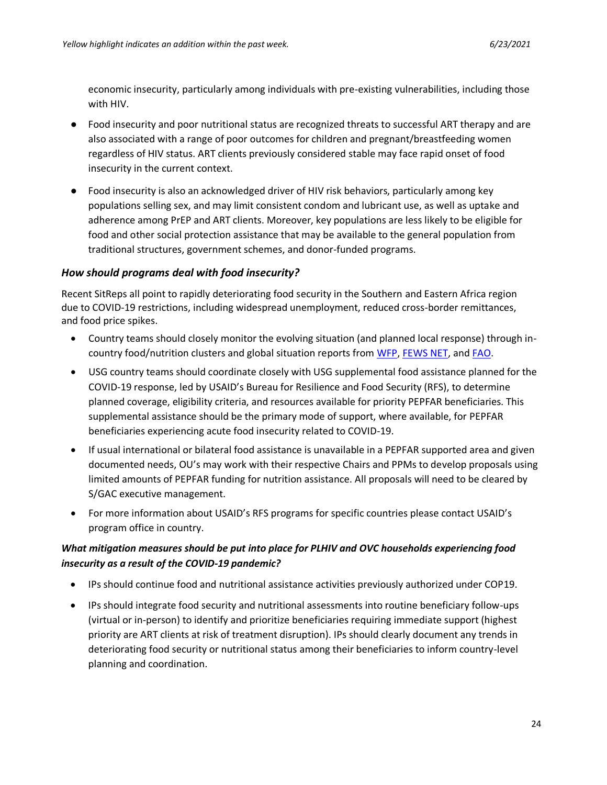economic insecurity, particularly among individuals with pre-existing vulnerabilities, including those with HIV.

- Food insecurity and poor nutritional status are recognized threats to successful ART therapy and are also associated with a range of poor outcomes for children and pregnant/breastfeeding women regardless of HIV status. ART clients previously considered stable may face rapid onset of food insecurity in the current context.
- Food insecurity is also an acknowledged driver of HIV risk behaviors, particularly among key populations selling sex, and may limit consistent condom and lubricant use, as well as uptake and adherence among PrEP and ART clients. Moreover, key populations are less likely to be eligible for food and other social protection assistance that may be available to the general population from traditional structures, government schemes, and donor-funded programs.

### *How should programs deal with food insecurity?*

Recent SitReps all point to rapidly deteriorating food security in the Southern and Eastern Africa region due to COVID-19 restrictions, including widespread unemployment, reduced cross-border remittances, and food price spikes.

- Country teams should closely monitor the evolving situation (and planned local response) through in-country food/nutrition clusters and global situation reports from [WFP,](https://www.wfp.org/publications/covid-19-situation-reports) [FEWS NET,](https://fews.net/covid-19-pandemic-impacts-food-security) an[d FAO.](https://datalab.review.fao.org/)
- USG country teams should coordinate closely with USG supplemental food assistance planned for the COVID-19 response, led by USAID's Bureau for Resilience and Food Security (RFS), to determine planned coverage, eligibility criteria, and resources available for priority PEPFAR beneficiaries. This supplemental assistance should be the primary mode of support, where available, for PEPFAR beneficiaries experiencing acute food insecurity related to COVID-19.
- If usual international or bilateral food assistance is unavailable in a PEPFAR supported area and given documented needs, OU's may work with their respective Chairs and PPMs to develop proposals using limited amounts of PEPFAR funding for nutrition assistance. All proposals will need to be cleared by S/GAC executive management.
- For more information about USAID's RFS programs for specific countries please contact USAID's program office in country.

## *What mitigation measures should be put into place for PLHIV and OVC households experiencing food insecurity as a result of the COVID-19 pandemic?*

- IPs should continue food and nutritional assistance activities previously authorized under COP19.
- IPs should integrate food security and nutritional assessments into routine beneficiary follow-ups (virtual or in-person) to identify and prioritize beneficiaries requiring immediate support (highest priority are ART clients at risk of treatment disruption). IPs should clearly document any trends in deteriorating food security or nutritional status among their beneficiaries to inform country-level planning and coordination.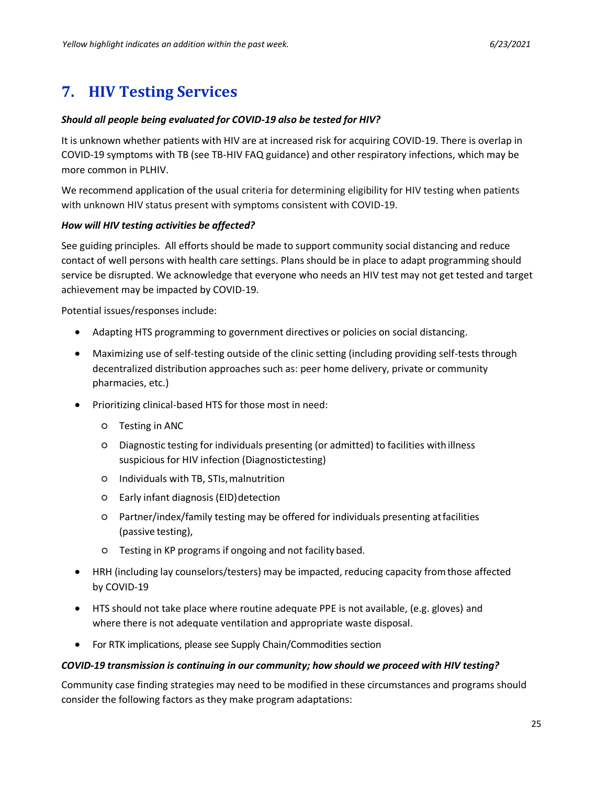# <span id="page-24-0"></span>**7. HIV Testing Services**

### *Should all people being evaluated for COVID-19 also be tested for HIV?*

It is unknown whether patients with HIV are at increased risk for acquiring COVID-19. There is overlap in COVID-19 symptoms with TB (see TB-HIV FAQ guidance) and other respiratory infections, which may be more common in PLHIV.

We recommend application of the usual criteria for determining eligibility for HIV testing when patients with unknown HIV status present with symptoms consistent with COVID-19.

### *How will HIV testing activities be affected?*

See guiding principles. All efforts should be made to support community social distancing and reduce contact of well persons with health care settings. Plans should be in place to adapt programming should service be disrupted. We acknowledge that everyone who needs an HIV test may not get tested and target achievement may be impacted by COVID-19.

Potential issues/responses include:

- Adapting HTS programming to government directives or policies on social distancing.
- Maximizing use of self-testing outside of the clinic setting (including providing self-tests through decentralized distribution approaches such as: peer home delivery, private or community pharmacies, etc.)
- Prioritizing clinical-based HTS for those most in need:
	- Testing in ANC
	- Diagnostic testing for individuals presenting (or admitted) to facilities withillness suspicious for HIV infection (Diagnostictesting)
	- Individuals with TB, STIs,malnutrition
	- Early infant diagnosis (EID)detection
	- Partner/index/family testing may be offered for individuals presenting atfacilities (passive testing),
	- Testing in KP programs if ongoing and not facility based.
- HRH (including lay counselors/testers) may be impacted, reducing capacity fromthose affected by COVID-19
- HTS should not take place where routine adequate PPE is not available, (e.g. gloves) and where there is not adequate ventilation and appropriate waste disposal.
- For RTK implications, please see Supply Chain/Commodities section

### *COVID-19 transmission is continuing in our community; how should we proceed with HIV testing?*

Community case finding strategies may need to be modified in these circumstances and programs should consider the following factors as they make program adaptations: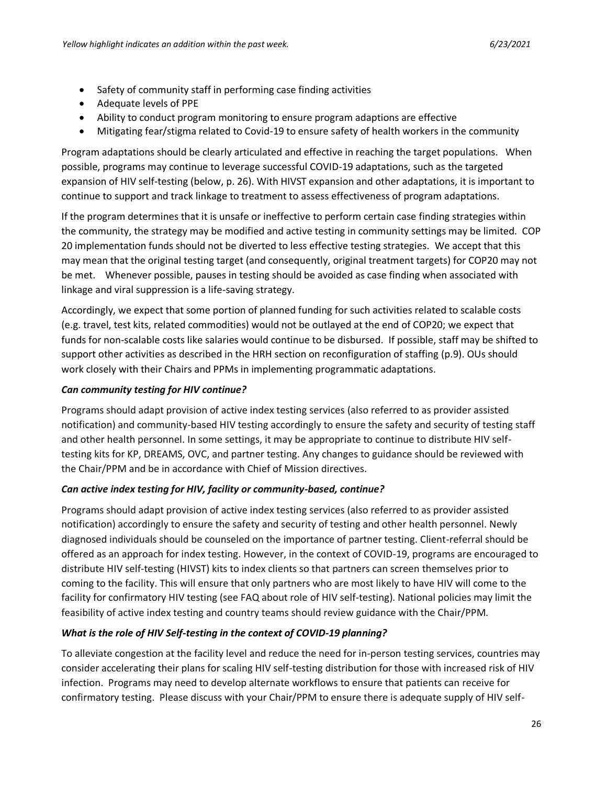- Safety of community staff in performing case finding activities
- Adequate levels of PPE
- Ability to conduct program monitoring to ensure program adaptions are effective
- Mitigating fear/stigma related to Covid-19 to ensure safety of health workers in the community

Program adaptations should be clearly articulated and effective in reaching the target populations. When possible, programs may continue to leverage successful COVID-19 adaptations, such as the targeted expansion of HIV self-testing (below, p. 26). With HIVST expansion and other adaptations, it is important to continue to support and track linkage to treatment to assess effectiveness of program adaptations.

If the program determines that it is unsafe or ineffective to perform certain case finding strategies within the community, the strategy may be modified and active testing in community settings may be limited. COP 20 implementation funds should not be diverted to less effective testing strategies. We accept that this may mean that the original testing target (and consequently, original treatment targets) for COP20 may not be met. Whenever possible, pauses in testing should be avoided as case finding when associated with linkage and viral suppression is a life-saving strategy.

Accordingly, we expect that some portion of planned funding for such activities related to scalable costs (e.g. travel, test kits, related commodities) would not be outlayed at the end of COP20; we expect that funds for non-scalable costs like salaries would continue to be disbursed. If possible, staff may be shifted to support other activities as described in the HRH section on reconfiguration of staffing (p.9). OUs should work closely with their Chairs and PPMs in implementing programmatic adaptations.

### *Can community testing for HIV continue?*

Programs should adapt provision of active index testing services (also referred to as provider assisted notification) and community-based HIV testing accordingly to ensure the safety and security of testing staff and other health personnel. In some settings, it may be appropriate to continue to distribute HIV selftesting kits for KP, DREAMS, OVC, and partner testing. Any changes to guidance should be reviewed with the Chair/PPM and be in accordance with Chief of Mission directives.

### *Can active index testing for HIV, facility or community-based, continue?*

Programs should adapt provision of active index testing services (also referred to as provider assisted notification) accordingly to ensure the safety and security of testing and other health personnel. Newly diagnosed individuals should be counseled on the importance of partner testing. Client-referral should be offered as an approach for index testing. However, in the context of COVID-19, programs are encouraged to distribute HIV self-testing (HIVST) kits to index clients so that partners can screen themselves prior to coming to the facility. This will ensure that only partners who are most likely to have HIV will come to the facility for confirmatory HIV testing (see FAQ about role of HIV self-testing). National policies may limit the feasibility of active index testing and country teams should review guidance with the Chair/PPM.

### *What is the role of HIV Self-testing in the context of COVID-19 planning?*

To alleviate congestion at the facility level and reduce the need for in-person testing services, countries may consider accelerating their plans for scaling HIV self-testing distribution for those with increased risk of HIV infection. Programs may need to develop alternate workflows to ensure that patients can receive for confirmatory testing. Please discuss with your Chair/PPM to ensure there is adequate supply of HIV self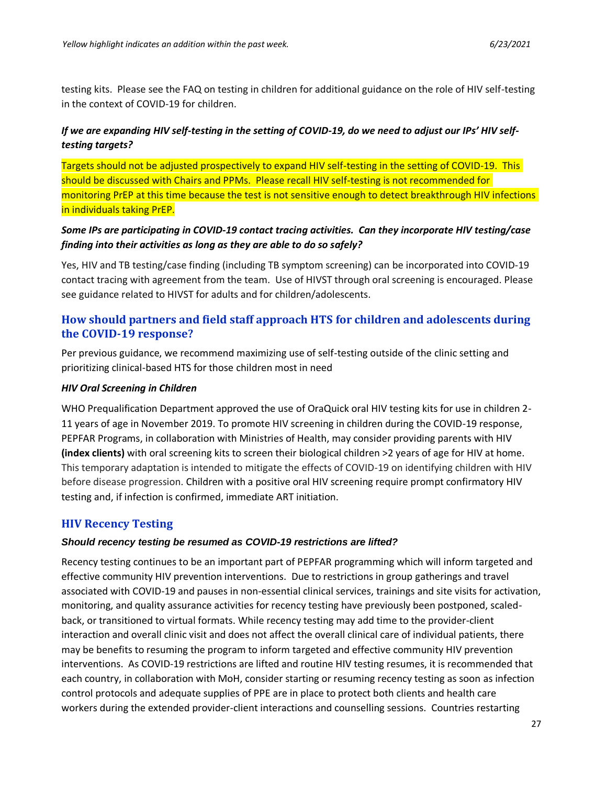testing kits. Please see the FAQ on testing in children for additional guidance on the role of HIV self-testing in the context of COVID-19 for children.

## *If we are expanding HIV self-testing in the setting of COVID-19, do we need to adjust our IPs' HIV selftesting targets?*

Targets should not be adjusted prospectively to expand HIV self-testing in the setting of COVID-19. This should be discussed with Chairs and PPMs. Please recall HIV self-testing is not recommended for monitoring PrEP at this time because the test is not sensitive enough to detect breakthrough HIV infections in individuals taking PrEP.

## *Some IPs are participating in COVID-19 contact tracing activities. Can they incorporate HIV testing/case finding into their activities as long as they are able to do so safely?*

Yes, HIV and TB testing/case finding (including TB symptom screening) can be incorporated into COVID-19 contact tracing with agreement from the team. Use of HIVST through oral screening is encouraged. Please see guidance related to HIVST for adults and for children/adolescents.

# **How should partners and field staff approach HTS for children and adolescents during the COVID-19 response?**

Per previous guidance, we recommend maximizing use of self-testing outside of the clinic setting and prioritizing clinical-based HTS for those children most in need

### *HIV Oral Screening in Children*

WHO Prequalification Department approved the use of OraQuick oral HIV testing kits for use in children 2- 11 years of age in November 2019. To promote HIV screening in children during the COVID-19 response, PEPFAR Programs, in collaboration with Ministries of Health, may consider providing parents with HIV **(index clients)** with oral screening kits to screen their biological children >2 years of age for HIV at home. This temporary adaptation is intended to mitigate the effects of COVID-19 on identifying children with HIV before disease progression. Children with a positive oral HIV screening require prompt confirmatory HIV testing and, if infection is confirmed, immediate ART initiation.

## **HIV Recency Testing**

## *Should recency testing be resumed as COVID-19 restrictions are lifted?*

Recency testing continues to be an important part of PEPFAR programming which will inform targeted and effective community HIV prevention interventions. Due to restrictions in group gatherings and travel associated with COVID-19 and pauses in non-essential clinical services, trainings and site visits for activation, monitoring, and quality assurance activities for recency testing have previously been postponed, scaledback, or transitioned to virtual formats. While recency testing may add time to the provider-client interaction and overall clinic visit and does not affect the overall clinical care of individual patients, there may be benefits to resuming the program to inform targeted and effective community HIV prevention interventions. As COVID-19 restrictions are lifted and routine HIV testing resumes, it is recommended that each country, in collaboration with MoH, consider starting or resuming recency testing as soon as infection control protocols and adequate supplies of PPE are in place to protect both clients and health care workers during the extended provider-client interactions and counselling sessions. Countries restarting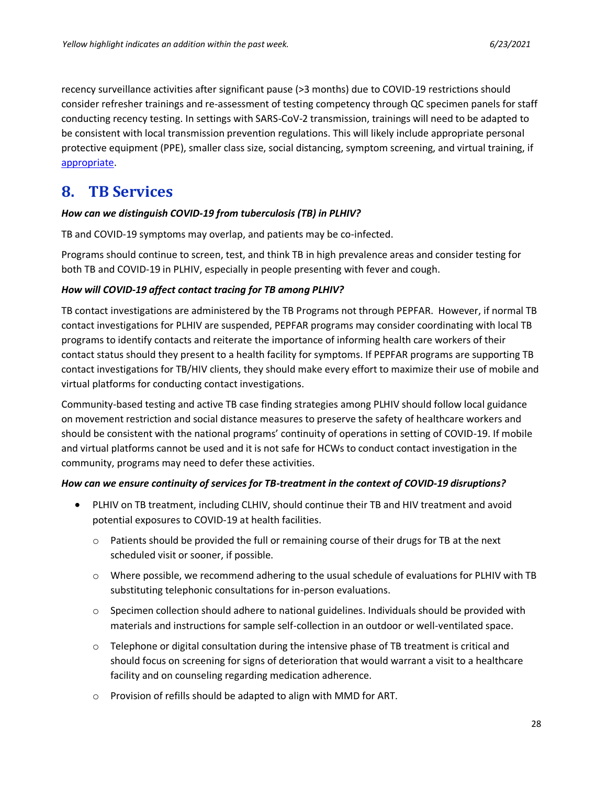recency surveillance activities after significant pause (>3 months) due to COVID-19 restrictions should consider refresher trainings and re-assessment of testing competency through QC specimen panels for staff conducting recency testing. In settings with SARS-CoV-2 transmission, trainings will need to be adapted to be consistent with local transmission prevention regulations. This will likely include appropriate personal protective equipment (PPE), smaller class size, social distancing, symptom screening, and virtual training, if [appropriate.](https://pepfar.sharepoint.com/sites/COVID-19/OtherResources/Forms/AllItems.aspx)

# <span id="page-27-0"></span>**8. TB Services**

### *How can we distinguish COVID-19 from tuberculosis (TB) in PLHIV?*

TB and COVID-19 symptoms may overlap, and patients may be co-infected.

Programs should continue to screen, test, and think TB in high prevalence areas and consider testing for both TB and COVID-19 in PLHIV, especially in people presenting with fever and cough.

### *How will COVID-19 affect contact tracing for TB among PLHIV?*

TB contact investigations are administered by the TB Programs not through PEPFAR. However, if normal TB contact investigations for PLHIV are suspended, PEPFAR programs may consider coordinating with local TB programs to identify contacts and reiterate the importance of informing health care workers of their contact status should they present to a health facility for symptoms. If PEPFAR programs are supporting TB contact investigations for TB/HIV clients, they should make every effort to maximize their use of mobile and virtual platforms for conducting contact investigations.

Community-based testing and active TB case finding strategies among PLHIV should follow local guidance on movement restriction and social distance measures to preserve the safety of healthcare workers and should be consistent with the national programs' continuity of operations in setting of COVID-19. If mobile and virtual platforms cannot be used and it is not safe for HCWs to conduct contact investigation in the community, programs may need to defer these activities.

### *How can we ensure continuity of services for TB-treatment in the context of COVID-19 disruptions?*

- PLHIV on TB treatment, including CLHIV, should continue their TB and HIV treatment and avoid potential exposures to COVID-19 at health facilities.
	- $\circ$  Patients should be provided the full or remaining course of their drugs for TB at the next scheduled visit or sooner, if possible.
	- $\circ$  Where possible, we recommend adhering to the usual schedule of evaluations for PLHIV with TB substituting telephonic consultations for in-person evaluations.
	- $\circ$  Specimen collection should adhere to national guidelines. Individuals should be provided with materials and instructions for sample self-collection in an outdoor or well-ventilated space.
	- $\circ$  Telephone or digital consultation during the intensive phase of TB treatment is critical and should focus on screening for signs of deterioration that would warrant a visit to a healthcare facility and on counseling regarding medication adherence.
	- o Provision of refills should be adapted to align with MMD for ART.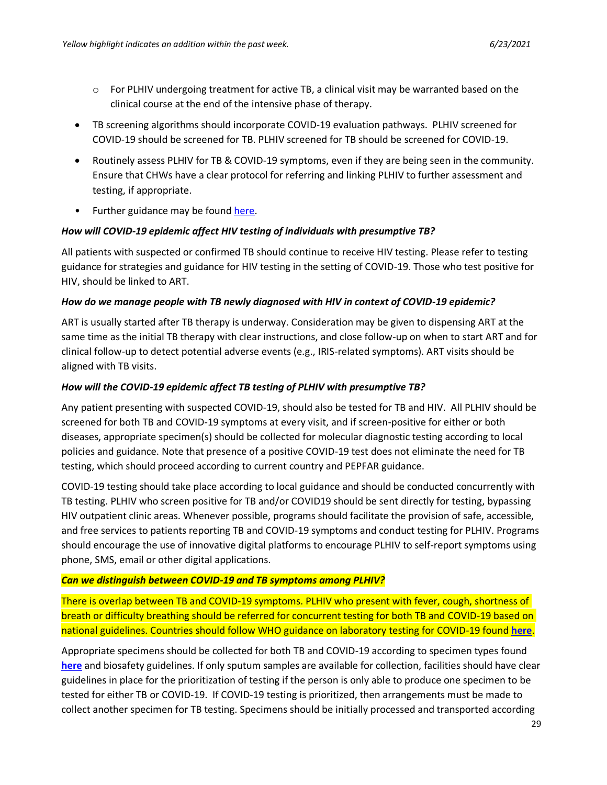- $\circ$  For PLHIV undergoing treatment for active TB, a clinical visit may be warranted based on the clinical course at the end of the intensive phase of therapy.
- TB screening algorithms should incorporate COVID-19 evaluation pathways. PLHIV screened for COVID-19 should be screened for TB. PLHIV screened for TB should be screened for COVID-19.
- Routinely assess PLHIV for TB & COVID-19 symptoms, even if they are being seen in the community. Ensure that CHWs have a clear protocol for referring and linking PLHIV to further assessment and testing, if appropriate.
- Further guidance may be found [here.](https://www.who.int/tb/COVID_19considerations_tuberculosis_services.pdf)

### *How will COVID-19 epidemic affect HIV testing of individuals with presumptive TB?*

All patients with suspected or confirmed TB should continue to receive HIV testing. Please refer to testing guidance for strategies and guidance for HIV testing in the setting of COVID-19. Those who test positive for HIV, should be linked to ART.

### *How do we manage people with TB newly diagnosed with HIV in context of COVID-19 epidemic?*

ART is usually started after TB therapy is underway. Consideration may be given to dispensing ART at the same time as the initial TB therapy with clear instructions, and close follow-up on when to start ART and for clinical follow-up to detect potential adverse events (e.g., IRIS-related symptoms). ART visits should be aligned with TB visits.

### *How will the COVID-19 epidemic affect TB testing of PLHIV with presumptive TB?*

Any patient presenting with suspected COVID-19, should also be tested for TB and HIV. All PLHIV should be screened for both TB and COVID-19 symptoms at every visit, and if screen-positive for either or both diseases, appropriate specimen(s) should be collected for molecular diagnostic testing according to local policies and guidance. Note that presence of a positive COVID-19 test does not eliminate the need for TB testing, which should proceed according to current country and PEPFAR guidance.

COVID-19 testing should take place according to local guidance and should be conducted concurrently with TB testing. PLHIV who screen positive for TB and/or COVID19 should be sent directly for testing, bypassing HIV outpatient clinic areas. Whenever possible, programs should facilitate the provision of safe, accessible, and free services to patients reporting TB and COVID-19 symptoms and conduct testing for PLHIV. Programs should encourage the use of innovative digital platforms to encourage PLHIV to self-report symptoms using phone, SMS, email or other digital applications.

### *Can we distinguish between COVID-19 and TB symptoms among PLHIV?*

There is overlap between TB and COVID-19 symptoms. PLHIV who present with fever, cough, shortness of breath or difficulty breathing should be referred for concurrent testing for both TB and COVID-19 based on national guidelines. Countries should follow WHO guidance on laboratory testing for COVID-19 found **[here](https://www.who.int/emergencies/diseases/novel-coronavirus-2019/technical-guidance/laboratory-guidance)**.

Appropriate specimens should be collected for both TB and COVID-19 according to specimen types found **[here](https://www.cdc.gov/coronavirus/2019-ncov/lab/guidelines-clinical-specimens.html)** and biosafety guidelines. If only sputum samples are available for collection, facilities should have clear guidelines in place for the prioritization of testing if the person is only able to produce one specimen to be tested for either TB or COVID-19. If COVID-19 testing is prioritized, then arrangements must be made to collect another specimen for TB testing. Specimens should be initially processed and transported according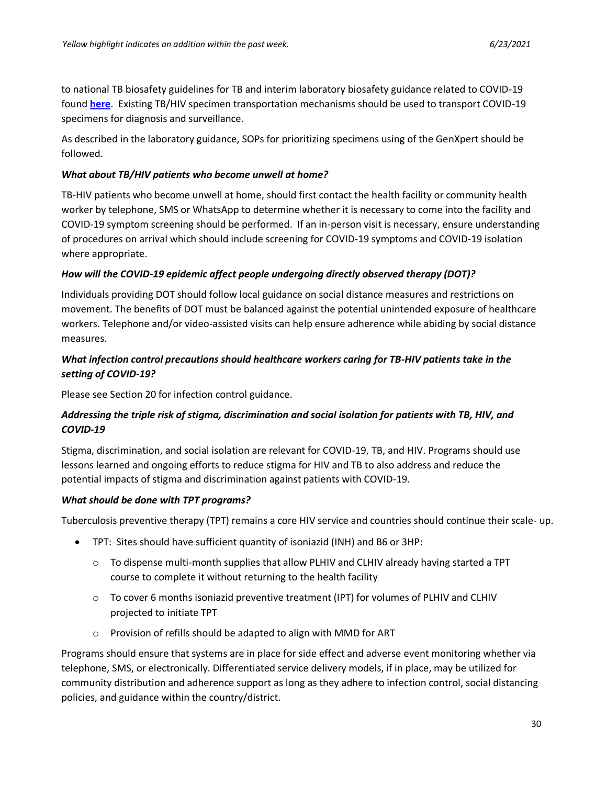to national TB biosafety guidelines for TB and interim laboratory biosafety guidance related to COVID-19 found **[here](https://www.who.int/publications-detail/laboratory-biosafety-guidance-related-to-coronavirus-disease-2019-(covid-19))**. Existing TB/HIV specimen transportation mechanisms should be used to transport COVID-19 specimens for diagnosis and surveillance.

As described in the laboratory guidance, SOPs for prioritizing specimens using of the GenXpert should be followed.

## *What about TB/HIV patients who become unwell at home?*

TB-HIV patients who become unwell at home, should first contact the health facility or community health worker by telephone, SMS or WhatsApp to determine whether it is necessary to come into the facility and COVID-19 symptom screening should be performed. If an in-person visit is necessary, ensure understanding of procedures on arrival which should include screening for COVID-19 symptoms and COVID-19 isolation where appropriate.

## *How will the COVID-19 epidemic affect people undergoing directly observed therapy (DOT)?*

Individuals providing DOT should follow local guidance on social distance measures and restrictions on movement. The benefits of DOT must be balanced against the potential unintended exposure of healthcare workers. Telephone and/or video-assisted visits can help ensure adherence while abiding by social distance measures.

## *What infection control precautions should healthcare workers caring for TB-HIV patients take in the setting of COVID-19?*

Please see Section 20 for infection control guidance.

## *Addressing the triple risk of stigma, discrimination and social isolation for patients with TB, HIV, and COVID-19*

Stigma, discrimination, and social isolation are relevant for COVID-19, TB, and HIV. Programs should use lessons learned and ongoing efforts to reduce stigma for HIV and TB to also address and reduce the potential impacts of stigma and discrimination against patients with COVID-19.

### *What should be done with TPT programs?*

Tuberculosis preventive therapy (TPT) remains a core HIV service and countries should continue their scale- up.

- TPT: Sites should have sufficient quantity of isoniazid (INH) and B6 or 3HP:
	- $\circ$  To dispense multi-month supplies that allow PLHIV and CLHIV already having started a TPT course to complete it without returning to the health facility
	- $\circ$  To cover 6 months isoniazid preventive treatment (IPT) for volumes of PLHIV and CLHIV projected to initiate TPT
	- o Provision of refills should be adapted to align with MMD for ART

Programs should ensure that systems are in place for side effect and adverse event monitoring whether via telephone, SMS, or electronically. Differentiated service delivery models, if in place, may be utilized for community distribution and adherence support as long as they adhere to infection control, social distancing policies, and guidance within the country/district.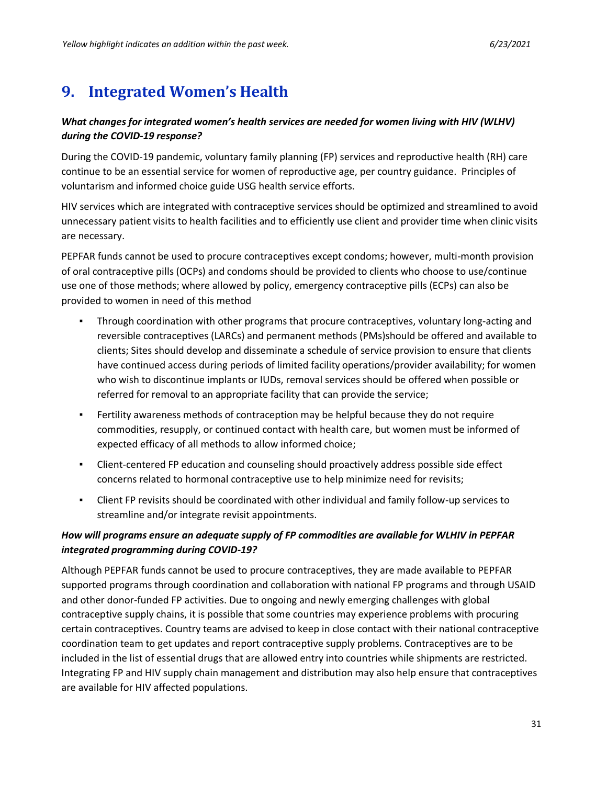# <span id="page-30-0"></span>**9. Integrated Women's Health**

### *What changes for integrated women's health services are needed for women living with HIV (WLHV) during the COVID-19 response?*

During the COVID-19 pandemic, voluntary family planning (FP) services and reproductive health (RH) care continue to be an essential service for women of reproductive age, per country guidance. Principles of voluntarism and informed choice guide USG health service efforts.

HIV services which are integrated with contraceptive services should be optimized and streamlined to avoid unnecessary patient visits to health facilities and to efficiently use client and provider time when clinic visits are necessary.

PEPFAR funds cannot be used to procure contraceptives except condoms; however, multi-month provision of oral contraceptive pills (OCPs) and condoms should be provided to clients who choose to use/continue use one of those methods; where allowed by policy, emergency contraceptive pills (ECPs) can also be provided to women in need of this method

- Through coordination with other programs that procure contraceptives, voluntary long-acting and reversible contraceptives (LARCs) and permanent methods (PMs)should be offered and available to clients; Sites should develop and disseminate a schedule of service provision to ensure that clients have continued access during periods of limited facility operations/provider availability; for women who wish to discontinue implants or IUDs, removal services should be offered when possible or referred for removal to an appropriate facility that can provide the service;
- **•** Fertility awareness methods of contraception may be helpful because they do not require commodities, resupply, or continued contact with health care, but women must be informed of expected efficacy of all methods to allow informed choice;
- Client-centered FP education and counseling should proactively address possible side effect concerns related to hormonal contraceptive use to help minimize need for revisits;
- Client FP revisits should be coordinated with other individual and family follow-up services to streamline and/or integrate revisit appointments.

## *How will programs ensure an adequate supply of FP commodities are available for WLHIV in PEPFAR integrated programming during COVID-19?*

Although PEPFAR funds cannot be used to procure contraceptives, they are made available to PEPFAR supported programs through coordination and collaboration with national FP programs and through USAID and other donor-funded FP activities. Due to ongoing and newly emerging challenges with global contraceptive supply chains, it is possible that some countries may experience problems with procuring certain contraceptives. Country teams are advised to keep in close contact with their national contraceptive coordination team to get updates and report contraceptive supply problems. Contraceptives are to be included in the list of essential drugs that are allowed entry into countries while shipments are restricted. Integrating FP and HIV supply chain management and distribution may also help ensure that contraceptives are available for HIV affected populations.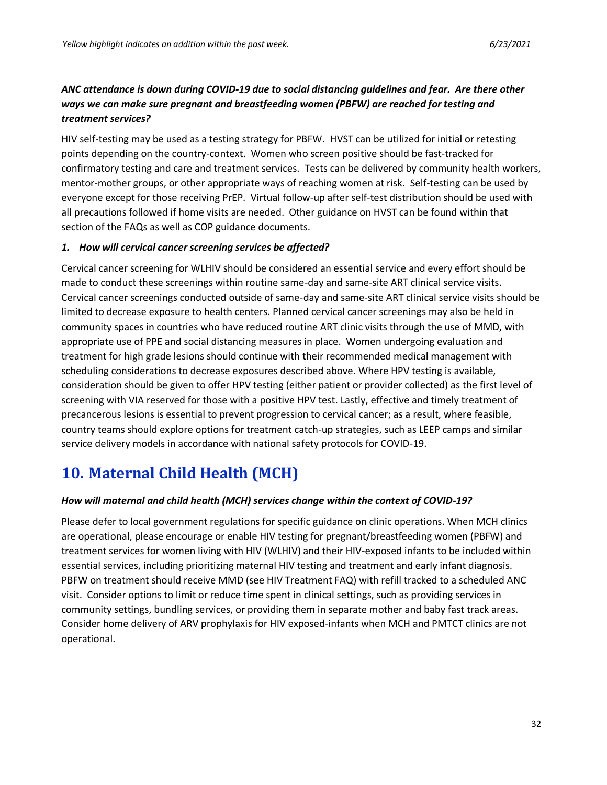## *ANC attendance is down during COVID-19 due to social distancing guidelines and fear. Are there other ways we can make sure pregnant and breastfeeding women (PBFW) are reached for testing and treatment services?*

HIV self-testing may be used as a testing strategy for PBFW. HVST can be utilized for initial or retesting points depending on the country-context. Women who screen positive should be fast-tracked for confirmatory testing and care and treatment services. Tests can be delivered by community health workers, mentor-mother groups, or other appropriate ways of reaching women at risk. Self-testing can be used by everyone except for those receiving PrEP. Virtual follow-up after self-test distribution should be used with all precautions followed if home visits are needed. Other guidance on HVST can be found within that section of the FAQs as well as COP guidance documents.

### *1. How will cervical cancer screening services be affected?*

Cervical cancer screening for WLHIV should be considered an essential service and every effort should be made to conduct these screenings within routine same-day and same-site ART clinical service visits. Cervical cancer screenings conducted outside of same-day and same-site ART clinical service visits should be limited to decrease exposure to health centers. Planned cervical cancer screenings may also be held in community spaces in countries who have reduced routine ART clinic visits through the use of MMD, with appropriate use of PPE and social distancing measures in place. Women undergoing evaluation and treatment for high grade lesions should continue with their recommended medical management with scheduling considerations to decrease exposures described above. Where HPV testing is available, consideration should be given to offer HPV testing (either patient or provider collected) as the first level of screening with VIA reserved for those with a positive HPV test. Lastly, effective and timely treatment of precancerous lesions is essential to prevent progression to cervical cancer; as a result, where feasible, country teams should explore options for treatment catch-up strategies, such as LEEP camps and similar service delivery models in accordance with national safety protocols for COVID-19.

# <span id="page-31-0"></span>**10. Maternal Child Health (MCH)**

### *How will maternal and child health (MCH) services change within the context of COVID-19?*

Please defer to local government regulations for specific guidance on clinic operations. When MCH clinics are operational, please encourage or enable HIV testing for pregnant/breastfeeding women (PBFW) and treatment services for women living with HIV (WLHIV) and their HIV-exposed infants to be included within essential services, including prioritizing maternal HIV testing and treatment and early infant diagnosis. PBFW on treatment should receive MMD (see HIV Treatment FAQ) with refill tracked to a scheduled ANC visit. Consider options to limit or reduce time spent in clinical settings, such as providing services in community settings, bundling services, or providing them in separate mother and baby fast track areas. Consider home delivery of ARV prophylaxis for HIV exposed-infants when MCH and PMTCT clinics are not operational.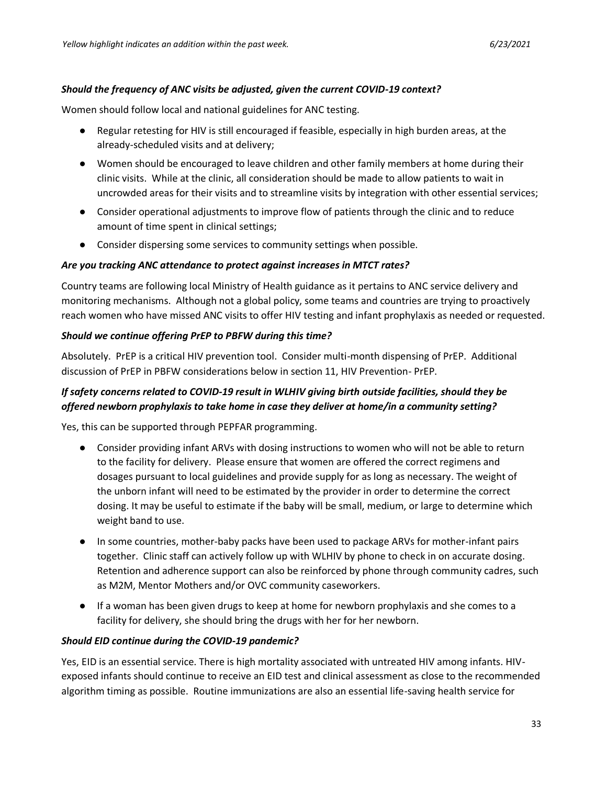#### *Should the frequency of ANC visits be adjusted, given the current COVID-19 context?*

Women should follow local and national guidelines for ANC testing.

- Regular retesting for HIV is still encouraged if feasible, especially in high burden areas, at the already-scheduled visits and at delivery;
- Women should be encouraged to leave children and other family members at home during their clinic visits. While at the clinic, all consideration should be made to allow patients to wait in uncrowded areas for their visits and to streamline visits by integration with other essential services;
- Consider operational adjustments to improve flow of patients through the clinic and to reduce amount of time spent in clinical settings;
- Consider dispersing some services to community settings when possible.

#### *Are you tracking ANC attendance to protect against increases in MTCT rates?*

Country teams are following local Ministry of Health guidance as it pertains to ANC service delivery and monitoring mechanisms. Although not a global policy, some teams and countries are trying to proactively reach women who have missed ANC visits to offer HIV testing and infant prophylaxis as needed or requested.

#### *Should we continue offering PrEP to PBFW during this time?*

Absolutely. PrEP is a critical HIV prevention tool. Consider multi-month dispensing of PrEP. Additional discussion of PrEP in PBFW considerations below in section 11, HIV Prevention- PrEP.

## *If safety concerns related to COVID-19 result in WLHIV giving birth outside facilities, should they be offered newborn prophylaxis to take home in case they deliver at home/in a community setting?*

Yes, this can be supported through PEPFAR programming.

- Consider providing infant ARVs with dosing instructions to women who will not be able to return to the facility for delivery. Please ensure that women are offered the correct regimens and dosages pursuant to local guidelines and provide supply for as long as necessary. The weight of the unborn infant will need to be estimated by the provider in order to determine the correct dosing. It may be useful to estimate if the baby will be small, medium, or large to determine which weight band to use.
- In some countries, mother-baby packs have been used to package ARVs for mother-infant pairs together. Clinic staff can actively follow up with WLHIV by phone to check in on accurate dosing. Retention and adherence support can also be reinforced by phone through community cadres, such as M2M, Mentor Mothers and/or OVC community caseworkers.
- If a woman has been given drugs to keep at home for newborn prophylaxis and she comes to a facility for delivery, she should bring the drugs with her for her newborn.

### *Should EID continue during the COVID-19 pandemic?*

Yes, EID is an essential service. There is high mortality associated with untreated HIV among infants. HIVexposed infants should continue to receive an EID test and clinical assessment as close to the recommended algorithm timing as possible. Routine immunizations are also an essential life-saving health service for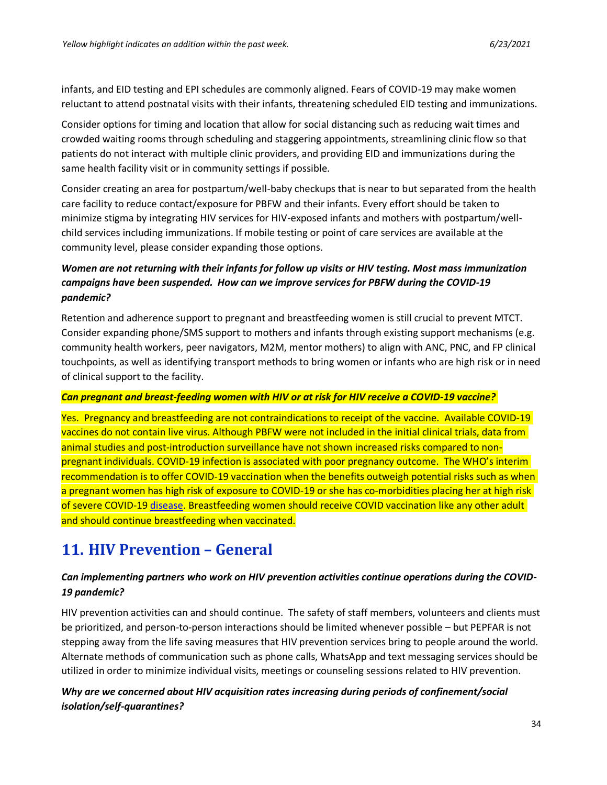infants, and EID testing and EPI schedules are commonly aligned. Fears of COVID-19 may make women reluctant to attend postnatal visits with their infants, threatening scheduled EID testing and immunizations.

Consider options for timing and location that allow for social distancing such as reducing wait times and crowded waiting rooms through scheduling and staggering appointments, streamlining clinic flow so that patients do not interact with multiple clinic providers, and providing EID and immunizations during the same health facility visit or in community settings if possible.

Consider creating an area for postpartum/well-baby checkups that is near to but separated from the health care facility to reduce contact/exposure for PBFW and their infants. Every effort should be taken to minimize stigma by integrating HIV services for HIV-exposed infants and mothers with postpartum/wellchild services including immunizations. If mobile testing or point of care services are available at the community level, please consider expanding those options.

## *Women are not returning with their infants for follow up visits or HIV testing. Most mass immunization campaigns have been suspended. How can we improve services for PBFW during the COVID-19 pandemic?*

Retention and adherence support to pregnant and breastfeeding women is still crucial to prevent MTCT. Consider expanding phone/SMS support to mothers and infants through existing support mechanisms (e.g. community health workers, peer navigators, M2M, mentor mothers) to align with ANC, PNC, and FP clinical touchpoints, as well as identifying transport methods to bring women or infants who are high risk or in need of clinical support to the facility.

### *Can pregnant and breast-feeding women with HIV or at risk for HIV receive a COVID-19 vaccine?*

Yes. Pregnancy and breastfeeding are not contraindications to receipt of the vaccine. Available COVID-19 vaccines do not contain live virus. Although PBFW were not included in the initial clinical trials, data from animal studies and post-introduction surveillance have not shown increased risks compared to nonpregnant individuals. COVID-19 infection is associated with poor pregnancy outcome. The WHO's interim recommendation is to offer COVID-19 vaccination when the benefits outweigh potential risks such as when a pregnant women has high risk of exposure to COVID-19 or she has co-morbidities placing her at high risk of severe COVID-1[9 disease.](https://www.who.int/groups/strategic-advisory-group-of-experts-on-immunization/covid-19-materials) Breastfeeding women should receive COVID vaccination like any other adult and should continue breastfeeding when vaccinated.

# <span id="page-33-0"></span>**11. HIV Prevention – General**

## *Can implementing partners who work on HIV prevention activities continue operations during the COVID-19 pandemic?*

HIV prevention activities can and should continue. The safety of staff members, volunteers and clients must be prioritized, and person-to-person interactions should be limited whenever possible – but PEPFAR is not stepping away from the life saving measures that HIV prevention services bring to people around the world. Alternate methods of communication such as phone calls, WhatsApp and text messaging services should be utilized in order to minimize individual visits, meetings or counseling sessions related to HIV prevention.

## *Why are we concerned about HIV acquisition rates increasing during periods of confinement/social isolation/self-quarantines?*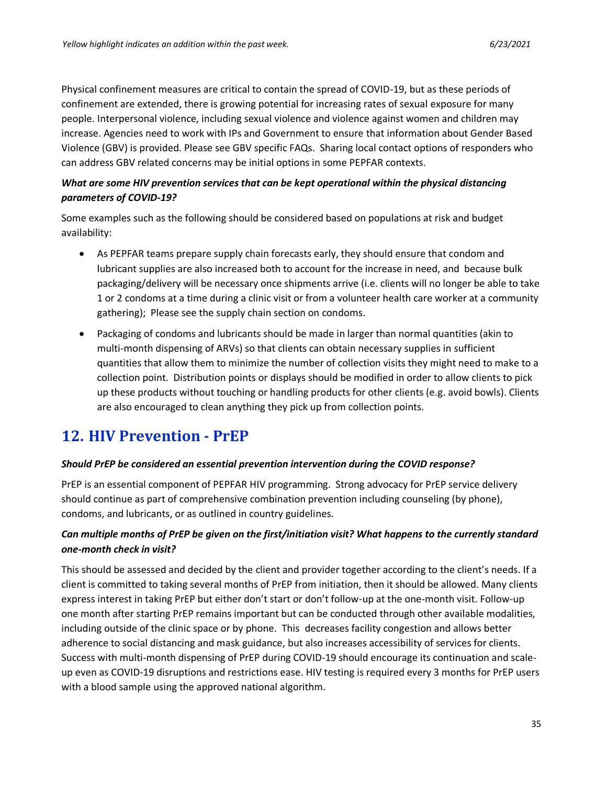Physical confinement measures are critical to contain the spread of COVID-19, but as these periods of confinement are extended, there is growing potential for increasing rates of sexual exposure for many people. Interpersonal violence, including sexual violence and violence against women and children may increase. Agencies need to work with IPs and Government to ensure that information about Gender Based Violence (GBV) is provided. Please see GBV specific FAQs. Sharing local contact options of responders who can address GBV related concerns may be initial options in some PEPFAR contexts.

## *What are some HIV prevention services that can be kept operational within the physical distancing parameters of COVID-19?*

Some examples such as the following should be considered based on populations at risk and budget availability:

- As PEPFAR teams prepare supply chain forecasts early, they should ensure that condom and lubricant supplies are also increased both to account for the increase in need, and because bulk packaging/delivery will be necessary once shipments arrive (i.e. clients will no longer be able to take 1 or 2 condoms at a time during a clinic visit or from a volunteer health care worker at a community gathering); Please see the supply chain section on condoms.
- Packaging of condoms and lubricants should be made in larger than normal quantities (akin to multi-month dispensing of ARVs) so that clients can obtain necessary supplies in sufficient quantities that allow them to minimize the number of collection visits they might need to make to a collection point. Distribution points or displays should be modified in order to allow clients to pick up these products without touching or handling products for other clients (e.g. avoid bowls). Clients are also encouraged to clean anything they pick up from collection points.

# <span id="page-34-0"></span>**12. HIV Prevention - PrEP**

### *Should PrEP be considered an essential prevention intervention during the COVID response?*

PrEP is an essential component of PEPFAR HIV programming. Strong advocacy for PrEP service delivery should continue as part of comprehensive combination prevention including counseling (by phone), condoms, and lubricants, or as outlined in country guidelines.

## *Can multiple months of PrEP be given on the first/initiation visit? What happens to the currently standard one-month check in visit?*

This should be assessed and decided by the client and provider together according to the client's needs. If a client is committed to taking several months of PrEP from initiation, then it should be allowed. Many clients express interest in taking PrEP but either don't start or don't follow-up at the one-month visit. Follow-up one month after starting PrEP remains important but can be conducted through other available modalities, including outside of the clinic space or by phone. This decreases facility congestion and allows better adherence to social distancing and mask guidance, but also increases accessibility of services for clients. Success with multi-month dispensing of PrEP during COVID-19 should encourage its continuation and scaleup even as COVID-19 disruptions and restrictions ease. HIV testing is required every 3 months for PrEP users with a blood sample using the approved national algorithm.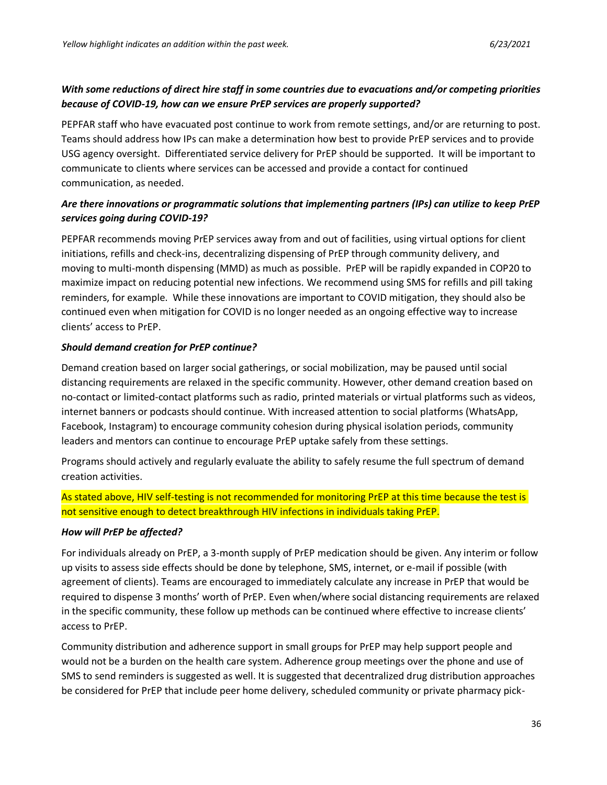## *With some reductions of direct hire staff in some countries due to evacuations and/or competing priorities because of COVID-19, how can we ensure PrEP services are properly supported?*

PEPFAR staff who have evacuated post continue to work from remote settings, and/or are returning to post. Teams should address how IPs can make a determination how best to provide PrEP services and to provide USG agency oversight. Differentiated service delivery for PrEP should be supported. It will be important to communicate to clients where services can be accessed and provide a contact for continued communication, as needed.

## *Are there innovations or programmatic solutions that implementing partners (IPs) can utilize to keep PrEP services going during COVID-19?*

PEPFAR recommends moving PrEP services away from and out of facilities, using virtual options for client initiations, refills and check-ins, decentralizing dispensing of PrEP through community delivery, and moving to multi-month dispensing (MMD) as much as possible. PrEP will be rapidly expanded in COP20 to maximize impact on reducing potential new infections. We recommend using SMS for refills and pill taking reminders, for example. While these innovations are important to COVID mitigation, they should also be continued even when mitigation for COVID is no longer needed as an ongoing effective way to increase clients' access to PrEP.

### *Should demand creation for PrEP continue?*

Demand creation based on larger social gatherings, or social mobilization, may be paused until social distancing requirements are relaxed in the specific community. However, other demand creation based on no-contact or limited-contact platforms such as radio, printed materials or virtual platforms such as videos, internet banners or podcasts should continue. With increased attention to social platforms (WhatsApp, Facebook, Instagram) to encourage community cohesion during physical isolation periods, community leaders and mentors can continue to encourage PrEP uptake safely from these settings.

Programs should actively and regularly evaluate the ability to safely resume the full spectrum of demand creation activities.

As stated above, HIV self-testing is not recommended for monitoring PrEP at this time because the test is not sensitive enough to detect breakthrough HIV infections in individuals taking PrEP.

### *How will PrEP be affected?*

For individuals already on PrEP, a 3-month supply of PrEP medication should be given. Any interim or follow up visits to assess side effects should be done by telephone, SMS, internet, or e-mail if possible (with agreement of clients). Teams are encouraged to immediately calculate any increase in PrEP that would be required to dispense 3 months' worth of PrEP. Even when/where social distancing requirements are relaxed in the specific community, these follow up methods can be continued where effective to increase clients' access to PrEP.

Community distribution and adherence support in small groups for PrEP may help support people and would not be a burden on the health care system. Adherence group meetings over the phone and use of SMS to send reminders is suggested as well. It is suggested that decentralized drug distribution approaches be considered for PrEP that include peer home delivery, scheduled community or private pharmacy pick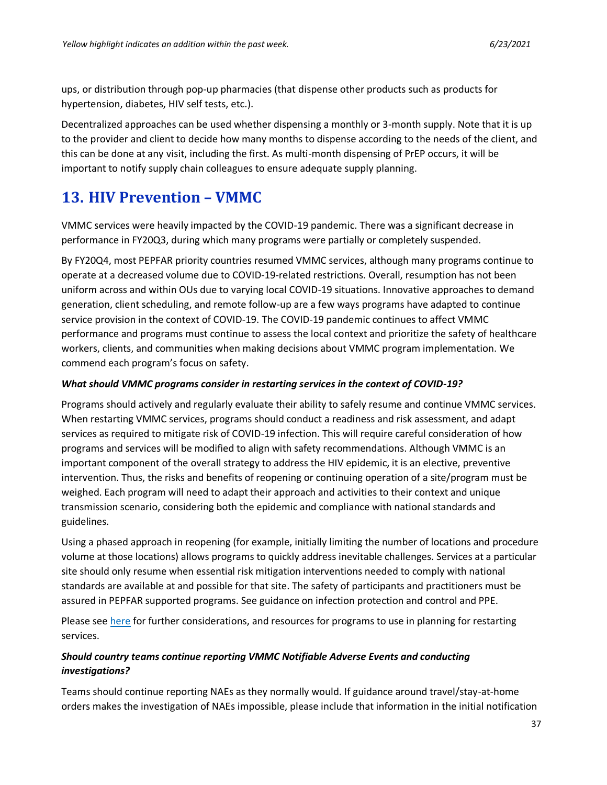ups, or distribution through pop-up pharmacies (that dispense other products such as products for hypertension, diabetes, HIV self tests, etc.).

Decentralized approaches can be used whether dispensing a monthly or 3-month supply. Note that it is up to the provider and client to decide how many months to dispense according to the needs of the client, and this can be done at any visit, including the first. As multi-month dispensing of PrEP occurs, it will be important to notify supply chain colleagues to ensure adequate supply planning.

# <span id="page-36-0"></span>**13. HIV Prevention – VMMC**

VMMC services were heavily impacted by the COVID-19 pandemic. There was a significant decrease in performance in FY20Q3, during which many programs were partially or completely suspended.

By FY20Q4, most PEPFAR priority countries resumed VMMC services, although many programs continue to operate at a decreased volume due to COVID-19-related restrictions. Overall, resumption has not been uniform across and within OUs due to varying local COVID-19 situations. Innovative approaches to demand generation, client scheduling, and remote follow-up are a few ways programs have adapted to continue service provision in the context of COVID-19. The COVID-19 pandemic continues to affect VMMC performance and programs must continue to assess the local context and prioritize the safety of healthcare workers, clients, and communities when making decisions about VMMC program implementation. We commend each program's focus on safety.

### *What should VMMC programs consider in restarting services in the context of COVID-19?*

Programs should actively and regularly evaluate their ability to safely resume and continue VMMC services. When restarting VMMC services, programs should conduct a readiness and risk assessment, and adapt services as required to mitigate risk of COVID-19 infection. This will require careful consideration of how programs and services will be modified to align with safety recommendations. Although VMMC is an important component of the overall strategy to address the HIV epidemic, it is an elective, preventive intervention. Thus, the risks and benefits of reopening or continuing operation of a site/program must be weighed. Each program will need to adapt their approach and activities to their context and unique transmission scenario, considering both the epidemic and compliance with national standards and guidelines.

Using a phased approach in reopening (for example, initially limiting the number of locations and procedure volume at those locations) allows programs to quickly address inevitable challenges. Services at a particular site should only resume when essential risk mitigation interventions needed to comply with national standards are available at and possible for that site. The safety of participants and practitioners must be assured in PEPFAR supported programs. See guidance on infection protection and control and PPE.

Please see here for further considerations, and resources for programs to use in planning for restarting services.

## *Should country teams continue reporting VMMC Notifiable Adverse Events and conducting investigations?*

Teams should continue reporting NAEs as they normally would. If guidance around travel/stay-at-home orders makes the investigation of NAEs impossible, please include that information in the initial notification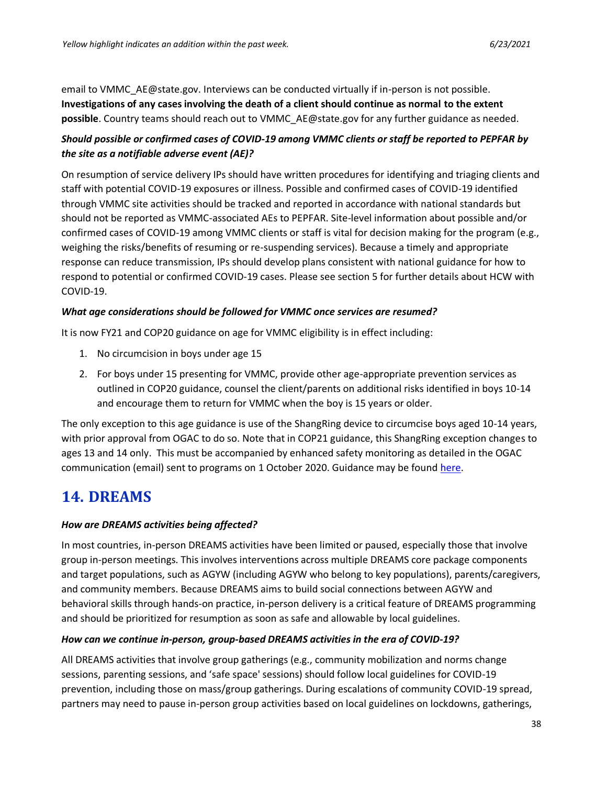email to VMMC\_AE@state.gov. Interviews can be conducted virtually if in-person is not possible. **Investigations of any cases involving the death of a client should continue as normal to the extent possible**. Country teams should reach out to VMMC\_AE@state.gov for any further guidance as needed.

# *Should possible or confirmed cases of COVID-19 among VMMC clients or staff be reported to PEPFAR by the site as a notifiable adverse event (AE)?*

On resumption of service delivery IPs should have written procedures for identifying and triaging clients and staff with potential COVID-19 exposures or illness. Possible and confirmed cases of COVID-19 identified through VMMC site activities should be tracked and reported in accordance with national standards but should not be reported as VMMC-associated AEs to PEPFAR. Site-level information about possible and/or confirmed cases of COVID-19 among VMMC clients or staff is vital for decision making for the program (e.g., weighing the risks/benefits of resuming or re-suspending services). Because a timely and appropriate response can reduce transmission, IPs should develop plans consistent with national guidance for how to respond to potential or confirmed COVID-19 cases. Please see section 5 for further details about HCW with COVID-19.

## *What age considerations should be followed for VMMC once services are resumed?*

It is now FY21 and COP20 guidance on age for VMMC eligibility is in effect including:

- 1. No circumcision in boys under age 15
- 2. For boys under 15 presenting for VMMC, provide other age-appropriate prevention services as outlined in COP20 guidance, counsel the client/parents on additional risks identified in boys 10-14 and encourage them to return for VMMC when the boy is 15 years or older.

The only exception to this age guidance is use of the ShangRing device to circumcise boys aged 10-14 years, with prior approval from OGAC to do so. Note that in COP21 guidance, this ShangRing exception changes to ages 13 and 14 only. This must be accompanied by enhanced safety monitoring as detailed in the OGAC communication (email) sent to programs on 1 October 2020. Guidance may be found [here.](https://pepfar.sharepoint.com/:f:/r/sites/ProgramQuality/Shared%20Documents/VMMC%20Guidance/Enhanced%20ShangRing%20Monitoring?csf=1&web=1&e=7Oy899)

# <span id="page-37-0"></span>**14. DREAMS**

## *How are DREAMS activities being affected?*

In most countries, in-person DREAMS activities have been limited or paused, especially those that involve group in-person meetings. This involves interventions across multiple DREAMS core package components and target populations, such as AGYW (including AGYW who belong to key populations), parents/caregivers, and community members. Because DREAMS aims to build social connections between AGYW and behavioral skills through hands-on practice, in-person delivery is a critical feature of DREAMS programming and should be prioritized for resumption as soon as safe and allowable by local guidelines.

## *How can we continue in-person, group-based DREAMS activities in the era of COVID-19?*

All DREAMS activities that involve group gatherings (e.g., community mobilization and norms change sessions, parenting sessions, and 'safe space' sessions) should follow local guidelines for COVID-19 prevention, including those on mass/group gatherings. During escalations of community COVID-19 spread, partners may need to pause in-person group activities based on local guidelines on lockdowns, gatherings,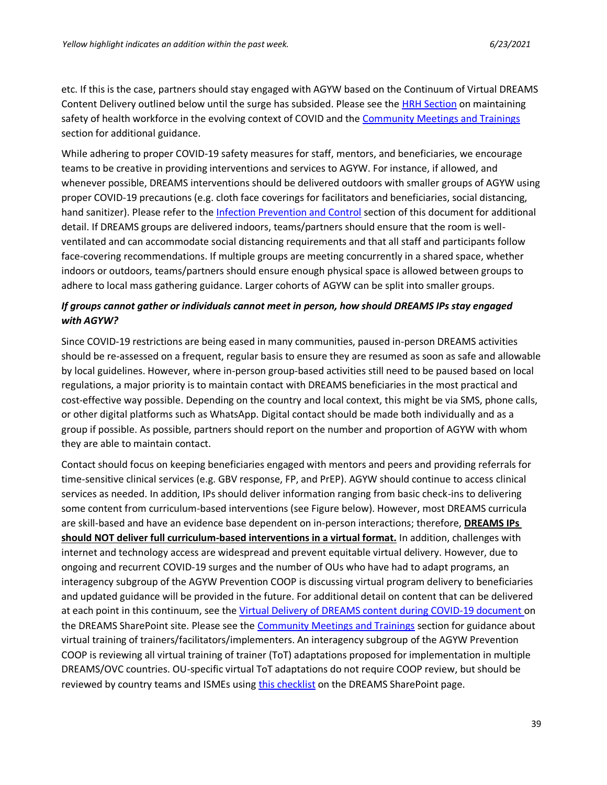etc. If this is the case, partners should stay engaged with AGYW based on the Continuum of Virtual DREAMS Content Delivery outlined below until the surge has subsided. Please see the [HRH Section](#page-5-0) on maintaining safety of health workforce in the evolving context of COVID and the [Community Meetings and Trainings](#page-10-0) section for additional guidance.

While adhering to proper COVID-19 safety measures for staff, mentors, and beneficiaries, we encourage teams to be creative in providing interventions and services to AGYW. For instance, if allowed, and whenever possible, DREAMS interventions should be delivered outdoors with smaller groups of AGYW using proper COVID-19 precautions (e.g. cloth face coverings for facilitators and beneficiaries, social distancing, hand sanitizer). Please refer to the [Infection Prevention and Control](#page-47-0) section of this document for additional detail. If DREAMS groups are delivered indoors, teams/partners should ensure that the room is wellventilated and can accommodate social distancing requirements and that all staff and participants follow face-covering recommendations. If multiple groups are meeting concurrently in a shared space, whether indoors or outdoors, teams/partners should ensure enough physical space is allowed between groups to adhere to local mass gathering guidance. Larger cohorts of AGYW can be split into smaller groups.

## *If groups cannot gather or individuals cannot meet in person, how should DREAMS IPs stay engaged with AGYW?*

Since COVID-19 restrictions are being eased in many communities, paused in-person DREAMS activities should be re-assessed on a frequent, regular basis to ensure they are resumed as soon as safe and allowable by local guidelines. However, where in-person group-based activities still need to be paused based on local regulations, a major priority is to maintain contact with DREAMS beneficiaries in the most practical and cost-effective way possible. Depending on the country and local context, this might be via SMS, phone calls, or other digital platforms such as WhatsApp. Digital contact should be made both individually and as a group if possible. As possible, partners should report on the number and proportion of AGYW with whom they are able to maintain contact.

Contact should focus on keeping beneficiaries engaged with mentors and peers and providing referrals for time-sensitive clinical services (e.g. GBV response, FP, and PrEP). AGYW should continue to access clinical services as needed. In addition, IPs should deliver information ranging from basic check-ins to delivering some content from curriculum-based interventions (see Figure below). However, most DREAMS curricula are skill-based and have an evidence base dependent on in-person interactions; therefore, **DREAMS IPs should NOT deliver full curriculum-based interventions in a virtual format.** In addition, challenges with internet and technology access are widespread and prevent equitable virtual delivery. However, due to ongoing and recurrent COVID-19 surges and the number of OUs who have had to adapt programs, an interagency subgroup of the AGYW Prevention COOP is discussing virtual program delivery to beneficiaries and updated guidance will be provided in the future. For additional detail on content that can be delivered at each point in this continuum, see the [Virtual Delivery of DREAMS content during COVID-19 document](https://pepfar.sharepoint.com/:f:/r/sites/DREAMS/Shared%20Documents/Tools%20and%20Guiding%20Documents/COVID-19%20Guidance?csf=1&web=1&e=VbiAEt) on the DREAMS SharePoint site. Please see the [Community Meetings and Trainings](#page-10-0) section for guidance about virtual training of trainers/facilitators/implementers. An interagency subgroup of the AGYW Prevention COOP is reviewing all virtual training of trainer (ToT) adaptations proposed for implementation in multiple DREAMS/OVC countries. OU-specific virtual ToT adaptations do not require COOP review, but should be reviewed by country teams and ISMEs using [this checklist](https://pepfar.sharepoint.com/:w:/s/DREAMS/EWfWHEKRLHRKkrCxQRGV3kMB0WIA32NtdEkZoMq8GuTPvg?e=x6yGxt) on the DREAMS SharePoint page.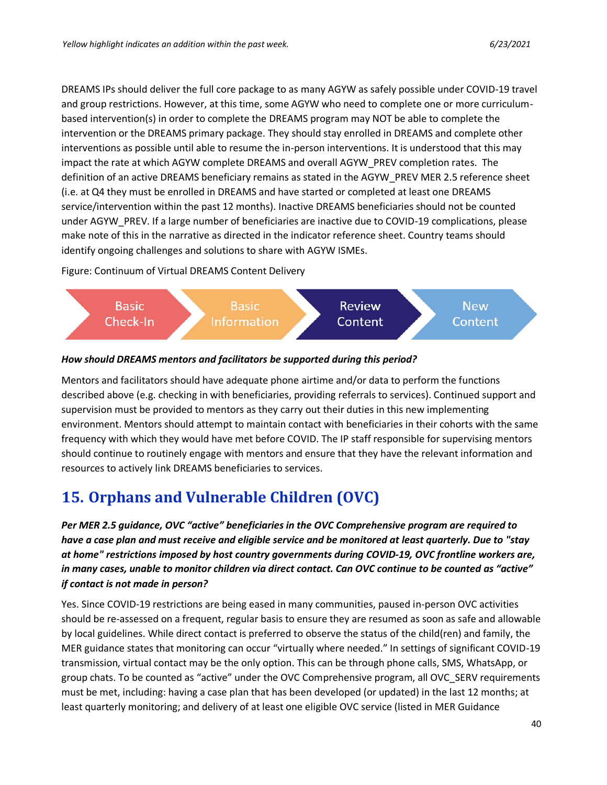DREAMS IPs should deliver the full core package to as many AGYW as safely possible under COVID-19 travel and group restrictions. However, at this time, some AGYW who need to complete one or more curriculumbased intervention(s) in order to complete the DREAMS program may NOT be able to complete the intervention or the DREAMS primary package. They should stay enrolled in DREAMS and complete other interventions as possible until able to resume the in-person interventions. It is understood that this may impact the rate at which AGYW complete DREAMS and overall AGYW\_PREV completion rates. The definition of an active DREAMS beneficiary remains as stated in the AGYW\_PREV MER 2.5 reference sheet (i.e. at Q4 they must be enrolled in DREAMS and have started or completed at least one DREAMS service/intervention within the past 12 months). Inactive DREAMS beneficiaries should not be counted under AGYW\_PREV. If a large number of beneficiaries are inactive due to COVID-19 complications, please make note of this in the narrative as directed in the indicator reference sheet. Country teams should identify ongoing challenges and solutions to share with AGYW ISMEs.

Figure: Continuum of Virtual DREAMS Content Delivery



#### *How should DREAMS mentors and facilitators be supported during this period?*

Mentors and facilitators should have adequate phone airtime and/or data to perform the functions described above (e.g. checking in with beneficiaries, providing referrals to services). Continued support and supervision must be provided to mentors as they carry out their duties in this new implementing environment. Mentors should attempt to maintain contact with beneficiaries in their cohorts with the same frequency with which they would have met before COVID. The IP staff responsible for supervising mentors should continue to routinely engage with mentors and ensure that they have the relevant information and resources to actively link DREAMS beneficiaries to services.

# <span id="page-39-0"></span>**15. Orphans and Vulnerable Children (OVC)**

*Per MER 2.5 guidance, OVC "active" beneficiaries in the OVC Comprehensive program are required to have a case plan and must receive and eligible service and be monitored at least quarterly. Due to "stay at home" restrictions imposed by host country governments during COVID-19, OVC frontline workers are, in many cases, unable to monitor children via direct contact. Can OVC continue to be counted as "active" if contact is not made in person?* 

Yes. Since COVID-19 restrictions are being eased in many communities, paused in-person OVC activities should be re-assessed on a frequent, regular basis to ensure they are resumed as soon as safe and allowable by local guidelines. While direct contact is preferred to observe the status of the child(ren) and family, the MER guidance states that monitoring can occur "virtually where needed." In settings of significant COVID-19 transmission, virtual contact may be the only option. This can be through phone calls, SMS, WhatsApp, or group chats. To be counted as "active" under the OVC Comprehensive program, all OVC\_SERV requirements must be met, including: having a case plan that has been developed (or updated) in the last 12 months; at least quarterly monitoring; and delivery of at least one eligible OVC service (listed in MER Guidance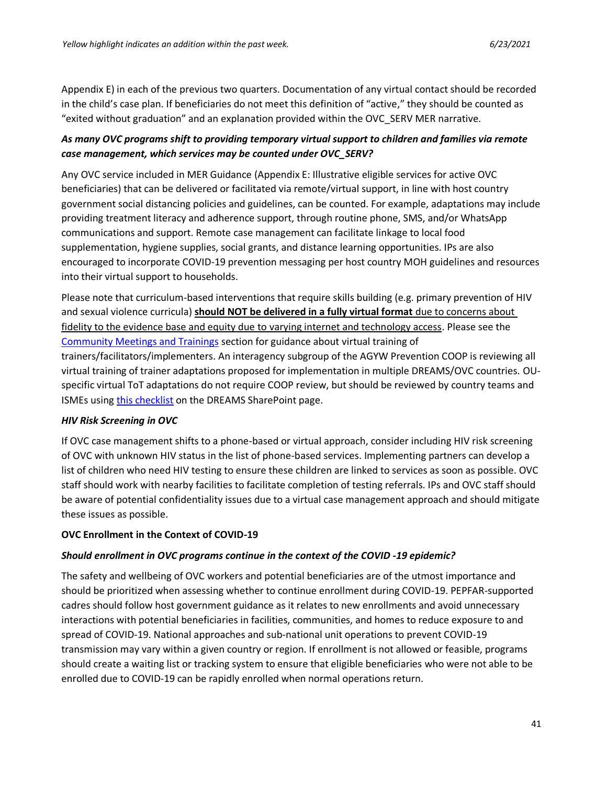Appendix E) in each of the previous two quarters. Documentation of any virtual contact should be recorded in the child's case plan. If beneficiaries do not meet this definition of "active," they should be counted as "exited without graduation" and an explanation provided within the OVC\_SERV MER narrative.

## *As many OVC programs shift to providing temporary virtual support to children and families via remote case management, which services may be counted under OVC\_SERV?*

Any OVC service included in MER Guidance (Appendix E: Illustrative eligible services for active OVC beneficiaries) that can be delivered or facilitated via remote/virtual support, in line with host country government social distancing policies and guidelines, can be counted. For example, adaptations may include providing treatment literacy and adherence support, through routine phone, SMS, and/or WhatsApp communications and support. Remote case management can facilitate linkage to local food supplementation, hygiene supplies, social grants, and distance learning opportunities. IPs are also encouraged to incorporate COVID-19 prevention messaging per host country MOH guidelines and resources into their virtual support to households.

Please note that curriculum-based interventions that require skills building (e.g. primary prevention of HIV and sexual violence curricula) **should NOT be delivered in a fully virtual format** due to concerns about fidelity to the evidence base and equity due to varying internet and technology access. Please see the [Community Meetings and Trainings](#page-10-0) section for guidance about virtual training of trainers/facilitators/implementers. An interagency subgroup of the AGYW Prevention COOP is reviewing all virtual training of trainer adaptations proposed for implementation in multiple DREAMS/OVC countries. OUspecific virtual ToT adaptations do not require COOP review, but should be reviewed by country teams and ISMEs usin[g this checklist](https://pepfar.sharepoint.com/:w:/s/DREAMS/EWfWHEKRLHRKkrCxQRGV3kMB0WIA32NtdEkZoMq8GuTPvg?e=x6yGxt) on the DREAMS SharePoint page.

### *HIV Risk Screening in OVC*

If OVC case management shifts to a phone-based or virtual approach, consider including HIV risk screening of OVC with unknown HIV status in the list of phone-based services. Implementing partners can develop a list of children who need HIV testing to ensure these children are linked to services as soon as possible. OVC staff should work with nearby facilities to facilitate completion of testing referrals. IPs and OVC staff should be aware of potential confidentiality issues due to a virtual case management approach and should mitigate these issues as possible.

### **OVC Enrollment in the Context of COVID-19**

#### *Should enrollment in OVC programs continue in the context of the COVID -19 epidemic?*

The safety and wellbeing of OVC workers and potential beneficiaries are of the utmost importance and should be prioritized when assessing whether to continue enrollment during COVID-19. PEPFAR-supported cadres should follow host government guidance as it relates to new enrollments and avoid unnecessary interactions with potential beneficiaries in facilities, communities, and homes to reduce exposure to and spread of COVID-19. National approaches and sub-national unit operations to prevent COVID-19 transmission may vary within a given country or region. If enrollment is not allowed or feasible, programs should create a waiting list or tracking system to ensure that eligible beneficiaries who were not able to be enrolled due to COVID-19 can be rapidly enrolled when normal operations return.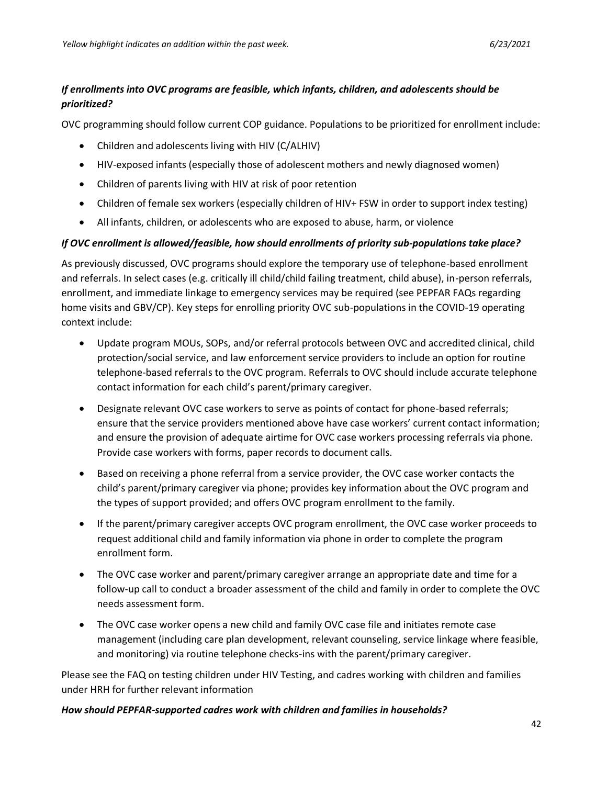## *If enrollments into OVC programs are feasible, which infants, children, and adolescents should be prioritized?*

OVC programming should follow current COP guidance. Populations to be prioritized for enrollment include:

- Children and adolescents living with HIV (C/ALHIV)
- HIV-exposed infants (especially those of adolescent mothers and newly diagnosed women)
- Children of parents living with HIV at risk of poor retention
- Children of female sex workers (especially children of HIV+ FSW in order to support index testing)
- All infants, children, or adolescents who are exposed to abuse, harm, or violence

### *If OVC enrollment is allowed/feasible, how should enrollments of priority sub-populations take place?*

As previously discussed, OVC programs should explore the temporary use of telephone-based enrollment and referrals. In select cases (e.g. critically ill child/child failing treatment, child abuse), in-person referrals, enrollment, and immediate linkage to emergency services may be required (see PEPFAR FAQs regarding home visits and GBV/CP). Key steps for enrolling priority OVC sub-populations in the COVID-19 operating context include:

- Update program MOUs, SOPs, and/or referral protocols between OVC and accredited clinical, child protection/social service, and law enforcement service providers to include an option for routine telephone-based referrals to the OVC program. Referrals to OVC should include accurate telephone contact information for each child's parent/primary caregiver.
- Designate relevant OVC case workers to serve as points of contact for phone-based referrals; ensure that the service providers mentioned above have case workers' current contact information; and ensure the provision of adequate airtime for OVC case workers processing referrals via phone. Provide case workers with forms, paper records to document calls.
- Based on receiving a phone referral from a service provider, the OVC case worker contacts the child's parent/primary caregiver via phone; provides key information about the OVC program and the types of support provided; and offers OVC program enrollment to the family.
- If the parent/primary caregiver accepts OVC program enrollment, the OVC case worker proceeds to request additional child and family information via phone in order to complete the program enrollment form.
- The OVC case worker and parent/primary caregiver arrange an appropriate date and time for a follow-up call to conduct a broader assessment of the child and family in order to complete the OVC needs assessment form.
- The OVC case worker opens a new child and family OVC case file and initiates remote case management (including care plan development, relevant counseling, service linkage where feasible, and monitoring) via routine telephone checks-ins with the parent/primary caregiver.

Please see the FAQ on testing children under HIV Testing, and cadres working with children and families under HRH for further relevant information

### *How should PEPFAR-supported cadres work with children and families in households?*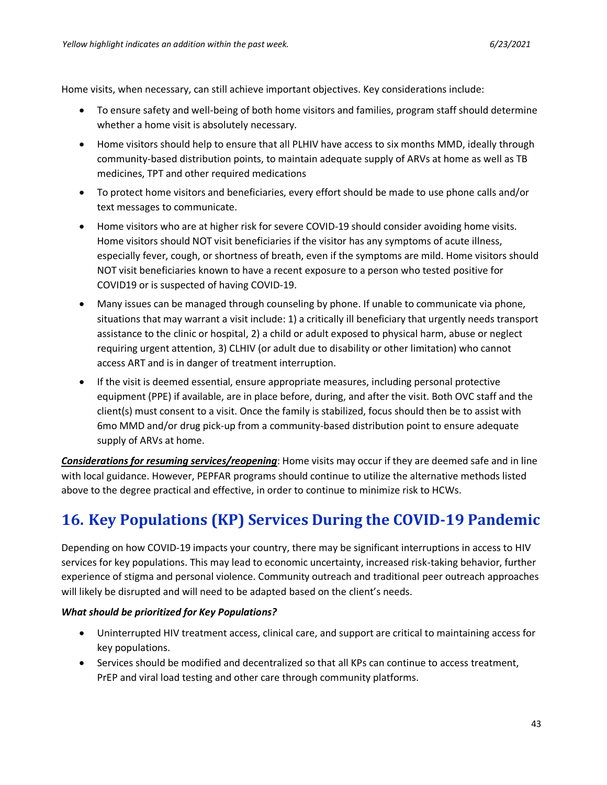Home visits, when necessary, can still achieve important objectives. Key considerations include:

- To ensure safety and well-being of both home visitors and families, program staff should determine whether a home visit is absolutely necessary.
- Home visitors should help to ensure that all PLHIV have access to six months MMD, ideally through community-based distribution points, to maintain adequate supply of ARVs at home as well as TB medicines, TPT and other required medications
- To protect home visitors and beneficiaries, every effort should be made to use phone calls and/or text messages to communicate.
- Home visitors who are at higher risk for severe COVID-19 should consider avoiding home visits. Home visitors should NOT visit beneficiaries if the visitor has any symptoms of acute illness, especially fever, cough, or shortness of breath, even if the symptoms are mild. Home visitors should NOT visit beneficiaries known to have a recent exposure to a person who tested positive for COVID19 or is suspected of having COVID-19.
- Many issues can be managed through counseling by phone. If unable to communicate via phone, situations that may warrant a visit include: 1) a critically ill beneficiary that urgently needs transport assistance to the clinic or hospital, 2) a child or adult exposed to physical harm, abuse or neglect requiring urgent attention, 3) CLHIV (or adult due to disability or other limitation) who cannot access ART and is in danger of treatment interruption.
- If the visit is deemed essential, ensure appropriate measures, including personal protective equipment (PPE) if available, are in place before, during, and after the visit. Both OVC staff and the client(s) must consent to a visit. Once the family is stabilized, focus should then be to assist with 6mo MMD and/or drug pick-up from a community-based distribution point to ensure adequate supply of ARVs at home.

*Considerations for resuming services/reopening*: Home visits may occur if they are deemed safe and in line with local guidance. However, PEPFAR programs should continue to utilize the alternative methods listed above to the degree practical and effective, in order to continue to minimize risk to HCWs.

# <span id="page-42-0"></span>**16. Key Populations (KP) Services During the COVID-19 Pandemic**

Depending on how COVID-19 impacts your country, there may be significant interruptions in access to HIV services for key populations. This may lead to economic uncertainty, increased risk-taking behavior, further experience of stigma and personal violence. Community outreach and traditional peer outreach approaches will likely be disrupted and will need to be adapted based on the client's needs.

### *What should be prioritized for Key Populations?*

- Uninterrupted HIV treatment access, clinical care, and support are critical to maintaining access for key populations.
- Services should be modified and decentralized so that all KPs can continue to access treatment, PrEP and viral load testing and other care through community platforms.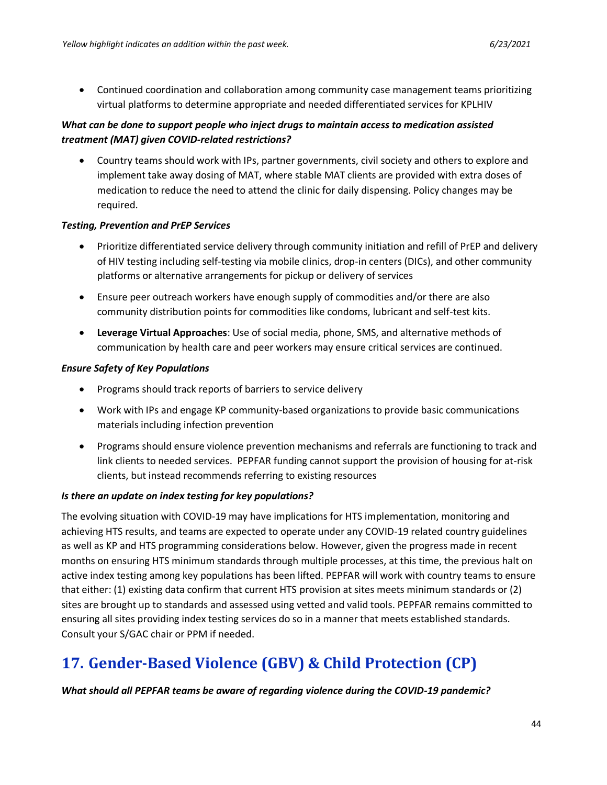• Continued coordination and collaboration among community case management teams prioritizing virtual platforms to determine appropriate and needed differentiated services for KPLHIV

## *What can be done to support people who inject drugs to maintain access to medication assisted treatment (MAT) given COVID-related restrictions?*

• Country teams should work with IPs, partner governments, civil society and others to explore and implement take away dosing of MAT, where stable MAT clients are provided with extra doses of medication to reduce the need to attend the clinic for daily dispensing. Policy changes may be required.

#### *Testing, Prevention and PrEP Services*

- Prioritize differentiated service delivery through community initiation and refill of PrEP and delivery of HIV testing including self-testing via mobile clinics, drop-in centers (DICs), and other community platforms or alternative arrangements for pickup or delivery of services
- Ensure peer outreach workers have enough supply of commodities and/or there are also community distribution points for commodities like condoms, lubricant and self-test kits.
- **Leverage Virtual Approaches**: Use of social media, phone, SMS, and alternative methods of communication by health care and peer workers may ensure critical services are continued.

#### *Ensure Safety of Key Populations*

- Programs should track reports of barriers to service delivery
- Work with IPs and engage KP community-based organizations to provide basic communications materials including infection prevention
- Programs should ensure violence prevention mechanisms and referrals are functioning to track and link clients to needed services. PEPFAR funding cannot support the provision of housing for at-risk clients, but instead recommends referring to existing resources

### *Is there an update on index testing for key populations?*

The evolving situation with COVID-19 may have implications for HTS implementation, monitoring and achieving HTS results, and teams are expected to operate under any COVID-19 related country guidelines as well as KP and HTS programming considerations below. However, given the progress made in recent months on ensuring HTS minimum standards through multiple processes, at this time, the previous halt on active index testing among key populations has been lifted. PEPFAR will work with country teams to ensure that either: (1) existing data confirm that current HTS provision at sites meets minimum standards or (2) sites are brought up to standards and assessed using vetted and valid tools. PEPFAR remains committed to ensuring all sites providing index testing services do so in a manner that meets established standards. Consult your S/GAC chair or PPM if needed.

# <span id="page-43-0"></span>**17. Gender-Based Violence (GBV) & Child Protection (CP)**

*What should all PEPFAR teams be aware of regarding violence during the COVID-19 pandemic?*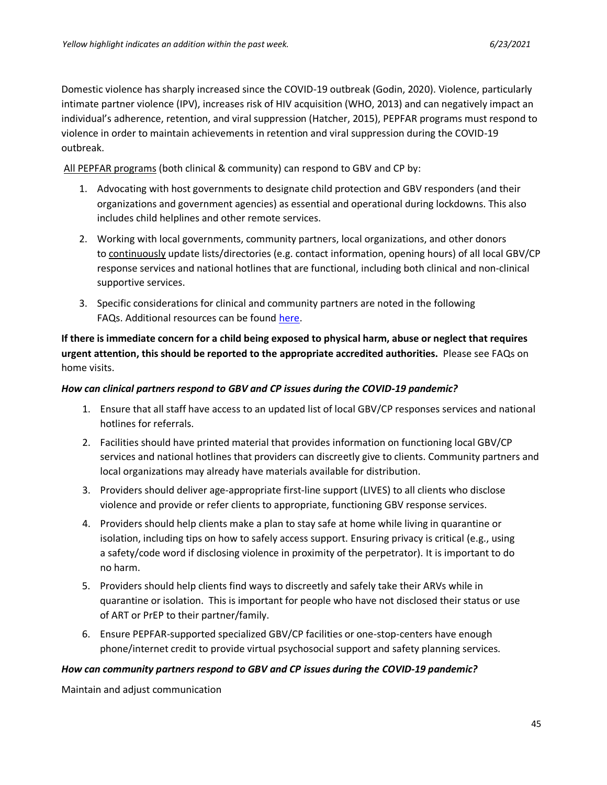Domestic violence has sharply increased since the COVID-19 outbreak (Godin, 2020). Violence, particularly intimate partner violence (IPV), increases risk of HIV acquisition (WHO, 2013) and can negatively impact an individual's adherence, retention, and viral suppression (Hatcher, 2015), PEPFAR programs must respond to violence in order to maintain achievements in retention and viral suppression during the COVID-19 outbreak.   

All PEPFAR programs (both clinical & community) can respond to GBV and CP by: 

- 1. Advocating with host governments to designate child protection and GBV responders (and their organizations and government agencies) as essential and operational during lockdowns. This also includes child helplines and other remote services.
- 2. Working with local governments, community partners, local organizations, and other donors to continuously update lists/directories (e.g. contact information, opening hours) of all local GBV/CP response services and national hotlines that are functional, including both clinical and non-clinical supportive services.
- 3. Specific considerations for clinical and community partners are noted in the following FAQs. Additional resources can be found [here.](https://gbvguidelines.org/en/knowledgehub/covid-19/)

**If there is immediate concern for a child being exposed to physical harm, abuse or neglect that requires urgent attention, this should be reported to the appropriate accredited authorities.** Please see FAQs on home visits.   

#### *How can clinical partners respond to GBV and CP issues during the COVID-19 pandemic?*

- 1. Ensure that all staff have access to an updated list of local GBV/CP responses services and national hotlines for referrals.
- 2. Facilities should have printed material that provides information on functioning local GBV/CP services and national hotlines that providers can discreetly give to clients. Community partners and local organizations may already have materials available for distribution.
- 3. Providers should deliver age-appropriate first-line support (LIVES) to all clients who disclose violence and provide or refer clients to appropriate, functioning GBV response services.
- 4. Providers should help clients make a plan to stay safe at home while living in quarantine or isolation, including tips on how to safely access support. Ensuring privacy is critical (e.g., using a safety/code word if disclosing violence in proximity of the perpetrator). It is important to do no harm.
- 5. Providers should help clients find ways to discreetly and safely take their ARVs while in quarantine or isolation.  This is important for people who have not disclosed their status or use of ART or PrEP to their partner/family.
- 6. Ensure PEPFAR-supported specialized GBV/CP facilities or one-stop-centers have enough phone/internet credit to provide virtual psychosocial support and safety planning services.

#### *How can community partners respond to GBV and CP issues during the COVID-19 pandemic?*

Maintain and adjust communication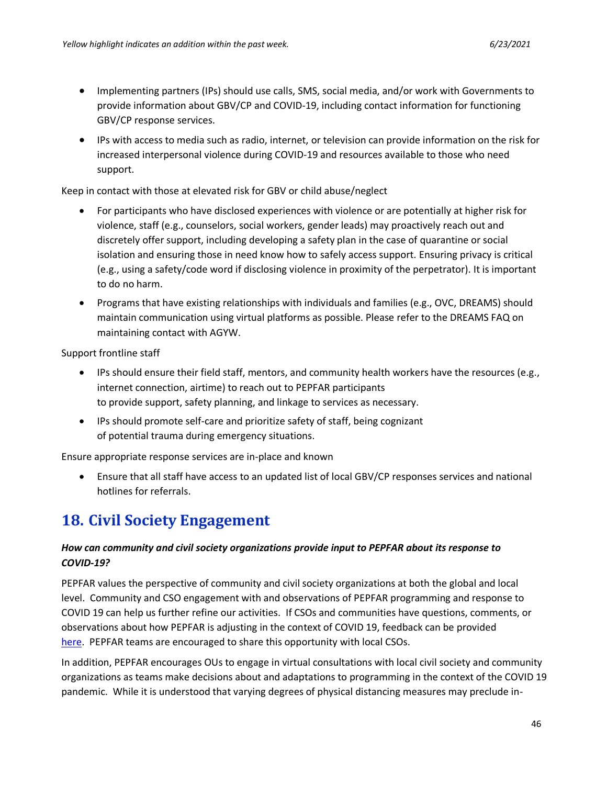- Implementing partners (IPs) should use calls, SMS, social media, and/or work with Governments to provide information about GBV/CP and COVID-19, including contact information for functioning GBV/CP response services.
- IPs with access to media such as radio, internet, or television can provide information on the risk for increased interpersonal violence during COVID-19 and resources available to those who need support.

Keep in contact with those at elevated risk for GBV or child abuse/neglect

- For participants who have disclosed experiences with violence or are potentially at higher risk for violence, staff (e.g., counselors, social workers, gender leads) may proactively reach out and discretely offer support, including developing a safety plan in the case of quarantine or social isolation and ensuring those in need know how to safely access support. Ensuring privacy is critical (e.g., using a safety/code word if disclosing violence in proximity of the perpetrator). It is important to do no harm.
- Programs that have existing relationships with individuals and families (e.g., OVC, DREAMS) should maintain communication using virtual platforms as possible. Please refer to the DREAMS FAQ on maintaining contact with AGYW.

Support frontline staff 

- IPs should ensure their field staff, mentors, and community health workers have the resources (e.g., internet connection, airtime) to reach out to PEPFAR participants to provide support, safety planning, and linkage to services as necessary.
- IPs should promote self-care and prioritize safety of staff, being cognizant of potential trauma during emergency situations.

Ensure appropriate response services are in-place and known 

• Ensure that all staff have access to an updated list of local GBV/CP responses services and national hotlines for referrals.

# <span id="page-45-0"></span>**18. Civil Society Engagement**

## *How can community and civil society organizations provide input to PEPFAR about its response to COVID-19?*

PEPFAR values the perspective of community and civil society organizations at both the global and local level. Community and CSO engagement with and observations of PEPFAR programming and response to COVID 19 can help us further refine our activities. If CSOs and communities have questions, comments, or observations about how PEPFAR is adjusting in the context of COVID 19, feedback can be provided [here.](https://www.surveymonkey.com/r/V7RJW59) PEPFAR teams are encouraged to share this opportunity with local CSOs.

In addition, PEPFAR encourages OUs to engage in virtual consultations with local civil society and community organizations as teams make decisions about and adaptations to programming in the context of the COVID 19 pandemic. While it is understood that varying degrees of physical distancing measures may preclude in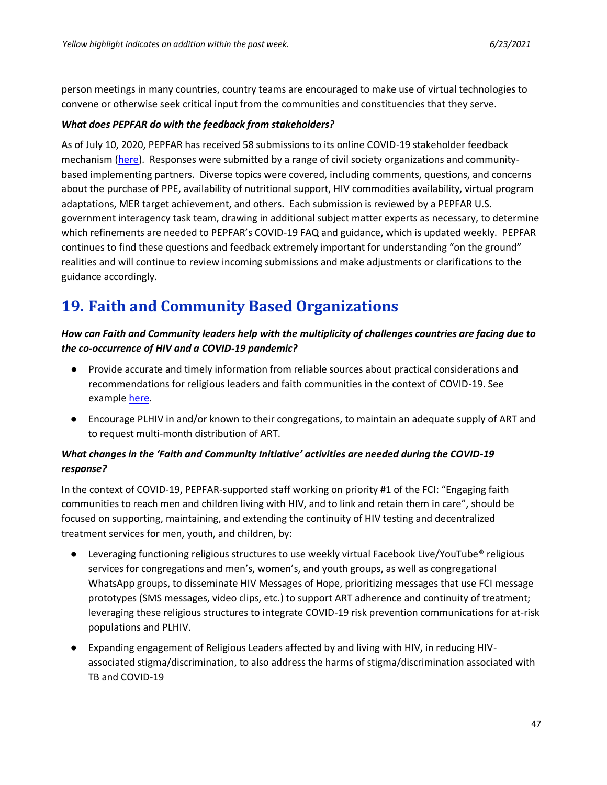person meetings in many countries, country teams are encouraged to make use of virtual technologies to convene or otherwise seek critical input from the communities and constituencies that they serve.

#### *What does PEPFAR do with the feedback from stakeholders?*

As of July 10, 2020, PEPFAR has received 58 submissions to its online COVID-19 stakeholder feedback mechanism [\(here\)](https://www.surveymonkey.com/r/V7RJW59). Responses were submitted by a range of civil society organizations and communitybased implementing partners. Diverse topics were covered, including comments, questions, and concerns about the purchase of PPE, availability of nutritional support, HIV commodities availability, virtual program adaptations, MER target achievement, and others. Each submission is reviewed by a PEPFAR U.S. government interagency task team, drawing in additional subject matter experts as necessary, to determine which refinements are needed to PEPFAR's COVID-19 FAQ and guidance, which is updated weekly. PEPFAR continues to find these questions and feedback extremely important for understanding "on the ground" realities and will continue to review incoming submissions and make adjustments or clarifications to the guidance accordingly.

# <span id="page-46-0"></span>**19. Faith and Community Based Organizations**

## *How can Faith and Community leaders help with the multiplicity of challenges countries are facing due to the co-occurrence of HIV and a COVID-19 pandemic?*

- Provide accurate and timely information from reliable sources about practical considerations and recommendations for religious leaders and faith communities in the context of COVID-19. See example [here.](https://www.who.int/publications-detail/practical-considerations-and-recommendations-for-religious-leaders-and-faith-based-communities-in-the-context-of-covid-19)
- Encourage PLHIV in and/or known to their congregations, to maintain an adequate supply of ART and to request multi-month distribution of ART.

## *What changes in the 'Faith and Community Initiative' activities are needed during the COVID-19 response?*

In the context of COVID-19, PEPFAR-supported staff working on priority #1 of the FCI: "Engaging faith communities to reach men and children living with HIV, and to link and retain them in care", should be focused on supporting, maintaining, and extending the continuity of HIV testing and decentralized treatment services for men, youth, and children, by:

- Leveraging functioning religious structures to use weekly virtual Facebook Live/YouTube® religious services for congregations and men's, women's, and youth groups, as well as congregational WhatsApp groups, to disseminate HIV Messages of Hope, prioritizing messages that use FCI message prototypes (SMS messages, video clips, etc.) to support ART adherence and continuity of treatment; leveraging these religious structures to integrate COVID-19 risk prevention communications for at-risk populations and PLHIV.
- Expanding engagement of Religious Leaders affected by and living with HIV, in reducing HIVassociated stigma/discrimination, to also address the harms of stigma/discrimination associated with TB and COVID-19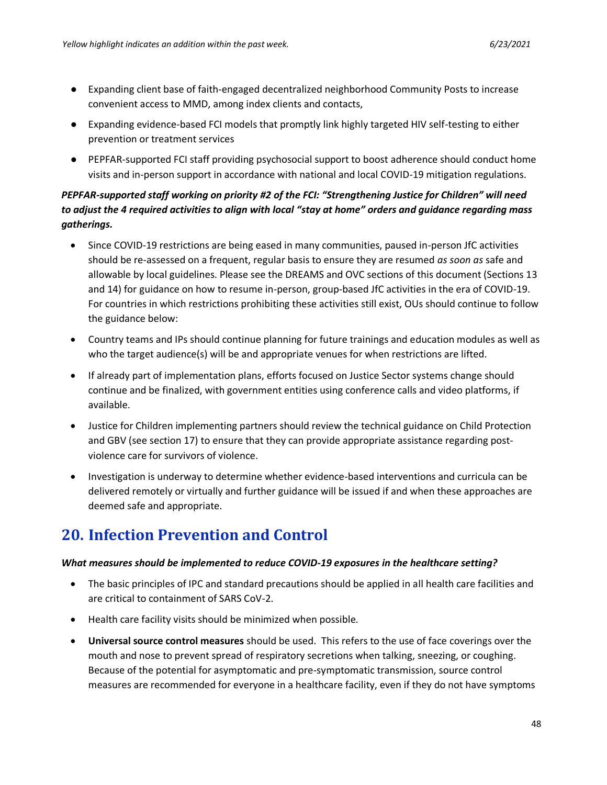- Expanding client base of faith-engaged decentralized neighborhood Community Posts to increase convenient access to MMD, among index clients and contacts,
- Expanding evidence-based FCI models that promptly link highly targeted HIV self-testing to either prevention or treatment services
- PEPFAR-supported FCI staff providing psychosocial support to boost adherence should conduct home visits and in-person support in accordance with national and local COVID-19 mitigation regulations.

## *PEPFAR-supported staff working on priority #2 of the FCI: "Strengthening Justice for Children" will need to adjust the 4 required activities to align with local "stay at home" orders and guidance regarding mass gatherings.*

- Since COVID-19 restrictions are being eased in many communities, paused in-person JfC activities should be re-assessed on a frequent, regular basis to ensure they are resumed *as soon as* safe and allowable by local guidelines. Please see the DREAMS and OVC sections of this document (Sections 13 and 14) for guidance on how to resume in-person, group-based JfC activities in the era of COVID-19. For countries in which restrictions prohibiting these activities still exist, OUs should continue to follow the guidance below:
- Country teams and IPs should continue planning for future trainings and education modules as well as who the target audience(s) will be and appropriate venues for when restrictions are lifted.
- If already part of implementation plans, efforts focused on Justice Sector systems change should continue and be finalized, with government entities using conference calls and video platforms, if available.
- Justice for Children implementing partners should review the technical guidance on Child Protection and GBV (see section 17) to ensure that they can provide appropriate assistance regarding postviolence care for survivors of violence.
- Investigation is underway to determine whether evidence-based interventions and curricula can be delivered remotely or virtually and further guidance will be issued if and when these approaches are deemed safe and appropriate.

# <span id="page-47-0"></span>**20. Infection Prevention and Control**

### *What measures should be implemented to reduce COVID-19 exposures in the healthcare setting?*

- The basic principles of IPC and standard precautions should be applied in all health care facilities and are critical to containment of SARS CoV-2.
- Health care facility visits should be minimized when possible.
- **Universal source control measures** should be used. This refers to the use of face coverings over the mouth and nose to prevent spread of respiratory secretions when talking, sneezing, or coughing. Because of the potential for asymptomatic and pre-symptomatic transmission, source control measures are recommended for everyone in a healthcare facility, even if they do not have symptoms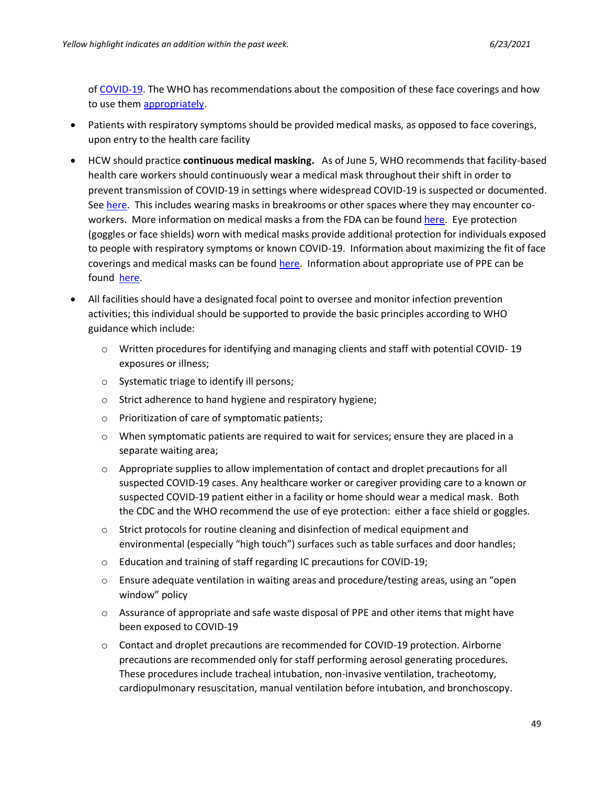o[f COVID-19.](https://www.cdc.gov/coronavirus/2019-ncov/hcp/infection-control-recommendations.html) The WHO has recommendations about the composition of these face coverings and how to use them [appropriately.](https://www.who.int/emergencies/diseases/novel-coronavirus-2019/advice-for-public/when-and-how-to-use-masks)

- Patients with respiratory symptoms should be provided medical masks, as opposed to face coverings, upon entry to the health care facility
- HCW should practice **continuous medical masking.** As of June 5, WHO recommends that facility-based health care workers should continuously wear a medical mask throughout their shift in order to prevent transmission of COVID-19 in settings where widespread COVID-19 is suspected or documented. Se[e here.](https://www.who.int/publications/i/item/advice-on-the-use-of-masks-in-the-community-during-home-care-and-in-healthcare-settings-in-the-context-of-the-novel-coronavirus-(2019-ncov)-outbreak) This includes wearing masks in breakrooms or other spaces where they may encounter coworkers. More information on medical masks a from the FDA can be found [here.](https://www.fda.gov/medical-devices/coronavirus-covid-19-and-medical-devices/face-masks-including-surgical-masks-and-respirators-covid-19?utm_medium=email&utm_source=govdelivery) Eye protection (goggles or face shields) worn with medical masks provide additional protection for individuals exposed to people with respiratory symptoms or known COVID-19. Information about maximizing the fit of face coverings and medical masks can be found [here.](https://www.cdc.gov/mmwr/volumes/70/wr/mm7007e1.htm) Information about appropriate use of PPE can be found [here.](https://apps.who.int/iris/bitstream/handle/10665/331498/WHO-2019-nCoV-IPCPPE_use-2020.2-eng.pdf)
- All facilities should have a designated focal point to oversee and monitor infection prevention activities; this individual should be supported to provide the basic principles according to WHO guidance which include:
	- o Written procedures for identifying and managing clients and staff with potential COVID- 19 exposures or illness;
	- o Systematic triage to identify ill persons;
	- o Strict adherence to hand hygiene and respiratory hygiene;
	- o Prioritization of care of symptomatic patients;
	- $\circ$  When symptomatic patients are required to wait for services; ensure they are placed in a separate waiting area;
	- $\circ$  Appropriate supplies to allow implementation of contact and droplet precautions for all suspected COVID-19 cases. Any healthcare worker or caregiver providing care to a known or suspected COVID-19 patient either in a facility or home should wear a medical mask. Both the CDC and the WHO recommend the use of eye protection: either a face shield or goggles.
	- $\circ$  Strict protocols for routine cleaning and disinfection of medical equipment and environmental (especially "high touch") surfaces such as table surfaces and door handles;
	- o Education and training of staff regarding IC precautions for COVID-19;
	- $\circ$  Ensure adequate ventilation in waiting areas and procedure/testing areas, using an "open" window" policy
	- o Assurance of appropriate and safe waste disposal of PPE and other items that might have been exposed to COVID-19
	- $\circ$  Contact and droplet precautions are recommended for COVID-19 protection. Airborne precautions are recommended only for staff performing aerosol generating procedures. These procedures include tracheal intubation, non-invasive ventilation, tracheotomy, cardiopulmonary resuscitation, manual ventilation before intubation, and bronchoscopy.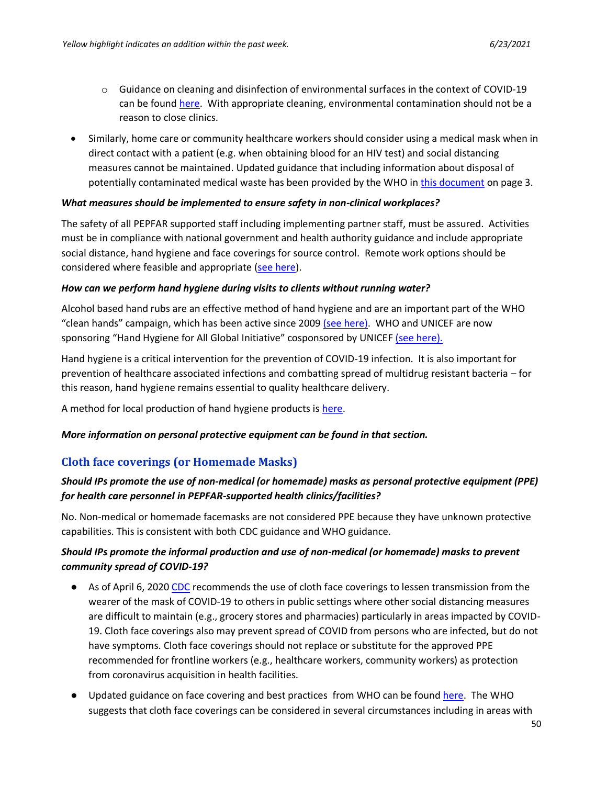- $\circ$  Guidance on cleaning and disinfection of environmental surfaces in the context of COVID-19 can be found [here.](https://www.who.int/publications/i/item/cleaning-and-disinfection-of-environmental-surfaces-inthe-context-of-covid-19) With appropriate cleaning, environmental contamination should not be a reason to close clinics.
- Similarly, home care or community healthcare workers should consider using a medical mask when in direct contact with a patient (e.g. when obtaining blood for an HIV test) and social distancing measures cannot be maintained. Updated guidance that including information about disposal of potentially contaminated medical waste has been provided by the WHO i[n this document](https://www.who.int/publications/i/item/home-care-for-patients-with-suspected-novel-coronavirus-(ncov)-infection-presenting-with-mild-symptoms-and-management-of-contacts) on page 3.

#### *What measures should be implemented to ensure safety in non-clinical workplaces?*

The safety of all PEPFAR supported staff including implementing partner staff, must be assured. Activities must be in compliance with national government and health authority guidance and include appropriate social distance, hand hygiene and face coverings for source control. Remote work options should be considered where feasible and appropriate [\(see here\)](https://www.who.int/publications/i/item/home-care-for-patients-with-suspected-novel-coronavirus-(ncov)-infection-presenting-with-mild-symptoms-and-management-of-contacts).

#### *How can we perform hand hygiene during visits to clients without running water?*

Alcohol based hand rubs are an effective method of hand hygiene and are an important part of the WHO "clean hands" campaign, which has been active since 2009 [\(see](https://www.who.int/infection-prevention/publications/hh_evidence/en/) here). WHO and UNICEF are now sponsoring "Hand Hygiene for All Global Initiative" cosponsored by UNICEF [\(see](https://www.who.int/water_sanitation_health/sanitation-waste/sanitation/hand-hygiene-for-all/en/) here).

Hand hygiene is a critical intervention for the prevention of COVID-19 infection. It is also important for prevention of healthcare associated infections and combatting spread of multidrug resistant bacteria – for this reason, hand hygiene remains essential to quality healthcare delivery.

A method for local production of hand hygiene products is [here.](https://www.who.int/gpsc/5may/Guide_to_Local_Production.pdf?ua=1)

#### *More information on personal protective equipment can be found in that section.*

## **Cloth face coverings (or Homemade Masks)**

## *Should IPs promote the use of non-medical (or homemade) masks as personal protective equipment (PPE) for health care personnel in PEPFAR-supported health clinics/facilities?*

No. Non-medical or homemade facemasks are not considered PPE because they have unknown protective capabilities. This is consistent with both [CDC guidance](https://www.cdc.gov/coronavirus/2019-ncov/hcp/ppe-strategy/face-masks.html) and WHO guidance.

## *Should IPs promote the informal production and use of non-medical (or homemade) masks to prevent community spread of COVID-19?*

- As of April 6, 2020 [CDC](https://www.cdc.gov/coronavirus/2019-ncov/prevent-getting-sick/cloth-face-cover.html) recommends the use of cloth face coverings to lessen transmission from the wearer of the mask of COVID-19 to others in public settings where other social distancing measures are difficult to maintain (e.g., grocery stores and pharmacies) particularly in areas impacted by COVID-19. Cloth face coverings also may prevent spread of COVID from persons who are infected, but do not have symptoms. Cloth face coverings should not replace or substitute for the approved PPE recommended for frontline workers (e.g., healthcare workers, community workers) as protection from coronavirus acquisition in health facilities.
- Updated guidance on face covering and best practices from WHO can be found [here.](https://www.who.int/publications/i/item/advice-on-the-use-of-masks-in-the-community-during-home-care-and-in-healthcare-settings-in-the-context-of-the-novel-coronavirus-(2019-ncov)-outbreak) The WHO suggests that cloth face coverings can be considered in several circumstances including in areas with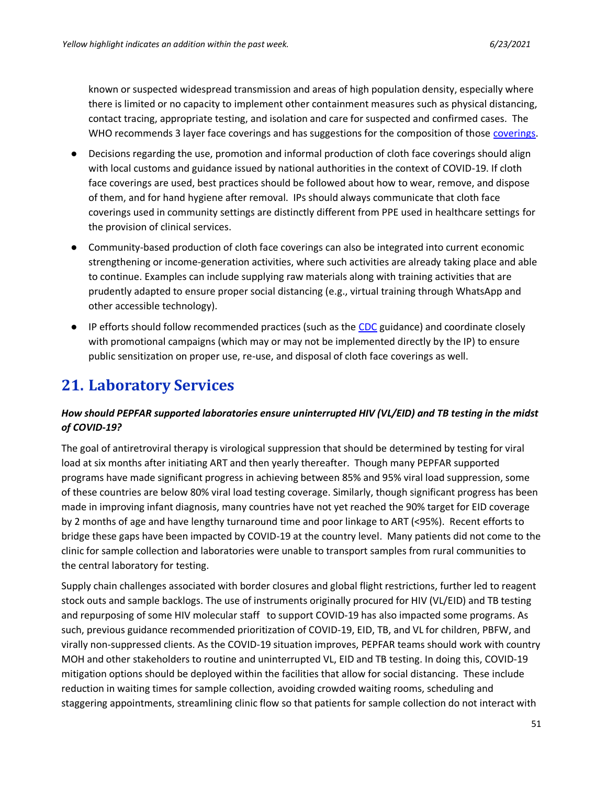known or suspected widespread transmission and areas of high population density, especially where there is limited or no capacity to implement other containment measures such as physical distancing, contact tracing, appropriate testing, and isolation and care for suspected and confirmed cases. The WHO recommends 3 layer face coverings and has suggestions for the composition of those [coverings.](https://www.who.int/emergencies/diseases/novel-coronavirus-2019/advice-for-public/when-and-how-to-use-masks)

- Decisions regarding the use, promotion and informal production of cloth face coverings should align with local customs and guidance issued by national authorities in the context of COVID-19. If cloth face coverings are used, best practices should be followed about how to wear, remove, and dispose of them, and for hand hygiene after removal. IPs should always communicate that cloth face coverings used in community settings are distinctly different from PPE used in healthcare settings for the provision of clinical services.
- Community-based production of cloth face coverings can also be integrated into current economic strengthening or income-generation activities, where such activities are already taking place and able to continue. Examples can include supplying raw materials along with training activities that are prudently adapted to ensure proper social distancing (e.g., virtual training through WhatsApp and other accessible technology).
- IP efforts should follow recommended practices (such as the [CDC](https://www.cdc.gov/coronavirus/2019-ncov/prevent-getting-sick/diy-cloth-face-coverings.html) guidance) and coordinate closely with promotional campaigns (which may or may not be implemented directly by the IP) to ensure public sensitization on proper use, re-use, and disposal of cloth face coverings as well.

# <span id="page-50-0"></span>**21. Laboratory Services**

## *How should PEPFAR supported laboratories ensure uninterrupted HIV (VL/EID) and TB testing in the midst of COVID-19?*

The goal of antiretroviral therapy is virological suppression that should be determined by testing for viral load at six months after initiating ART and then yearly thereafter. Though many PEPFAR supported programs have made significant progress in achieving between 85% and 95% viral load suppression, some of these countries are below 80% viral load testing coverage. Similarly, though significant progress has been made in improving infant diagnosis, many countries have not yet reached the 90% target for EID coverage by 2 months of age and have lengthy turnaround time and poor linkage to ART (<95%). Recent efforts to bridge these gaps have been impacted by COVID-19 at the country level. Many patients did not come to the clinic for sample collection and laboratories were unable to transport samples from rural communities to the central laboratory for testing.

Supply chain challenges associated with border closures and global flight restrictions, further led to reagent stock outs and sample backlogs. The use of instruments originally procured for HIV (VL/EID) and TB testing and repurposing of some HIV molecular staff to support COVID-19 has also impacted some programs. As such, previous guidance recommended prioritization of COVID-19, EID, TB, and VL for children, PBFW, and virally non-suppressed clients. As the COVID-19 situation improves, PEPFAR teams should work with country MOH and other stakeholders to routine and uninterrupted VL, EID and TB testing. In doing this, COVID-19 mitigation options should be deployed within the facilities that allow for social distancing. These include reduction in waiting times for sample collection, avoiding crowded waiting rooms, scheduling and staggering appointments, streamlining clinic flow so that patients for sample collection do not interact with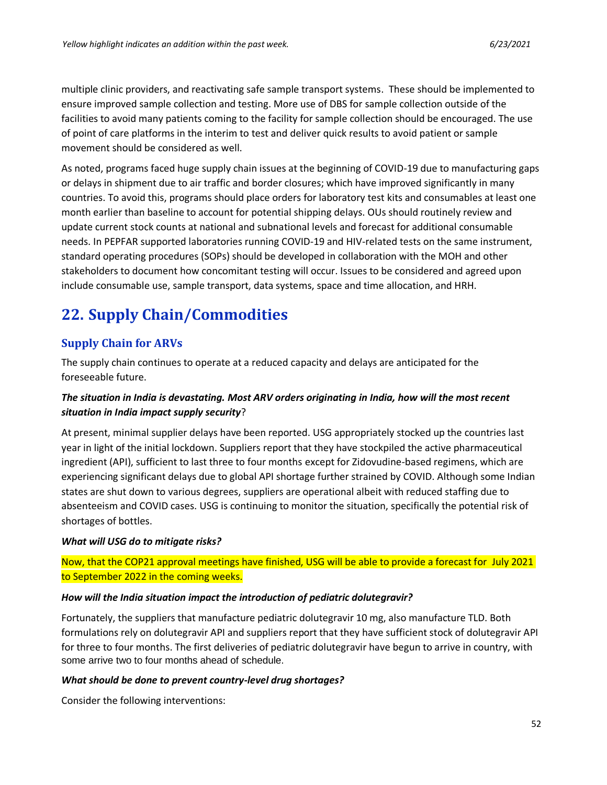multiple clinic providers, and reactivating safe sample transport systems. These should be implemented to ensure improved sample collection and testing. More use of DBS for sample collection outside of the facilities to avoid many patients coming to the facility for sample collection should be encouraged. The use of point of care platforms in the interim to test and deliver quick results to avoid patient or sample movement should be considered as well.

As noted, programs faced huge supply chain issues at the beginning of COVID-19 due to manufacturing gaps or delays in shipment due to air traffic and border closures; which have improved significantly in many countries. To avoid this, programs should place orders for laboratory test kits and consumables at least one month earlier than baseline to account for potential shipping delays. OUs should routinely review and update current stock counts at national and subnational levels and forecast for additional consumable needs. In PEPFAR supported laboratories running COVID-19 and HIV-related tests on the same instrument, standard operating procedures (SOPs) should be developed in collaboration with the MOH and other stakeholders to document how concomitant testing will occur. Issues to be considered and agreed upon include consumable use, sample transport, data systems, space and time allocation, and HRH.

# <span id="page-51-0"></span>**22. Supply Chain/Commodities**

## **Supply Chain for ARVs**

The supply chain continues to operate at a reduced capacity and delays are anticipated for the foreseeable future.

## *The situation in India is devastating. Most ARV orders originating in India, how will the most recent situation in India impact supply security*?

At present, minimal supplier delays have been reported. USG appropriately stocked up the countries last year in light of the initial lockdown. Suppliers report that they have stockpiled the active pharmaceutical ingredient (API), sufficient to last three to four months except for Zidovudine-based regimens, which are experiencing significant delays due to global API shortage further strained by COVID. Although some Indian states are shut down to various degrees, suppliers are operational albeit with reduced staffing due to absenteeism and COVID cases. USG is continuing to monitor the situation, specifically the potential risk of shortages of bottles.

### *What will USG do to mitigate risks?*

Now, that the COP21 approval meetings have finished, USG will be able to provide a forecast for July 2021 to September 2022 in the coming weeks.

### *How will the India situation impact the introduction of pediatric dolutegravir?*

Fortunately, the suppliers that manufacture pediatric dolutegravir 10 mg, also manufacture TLD. Both formulations rely on dolutegravir API and suppliers report that they have sufficient stock of dolutegravir API for three to four months. The first deliveries of pediatric dolutegravir have begun to arrive in country, with some arrive two to four months ahead of schedule.

### *What should be done to prevent country-level drug shortages?*

Consider the following interventions: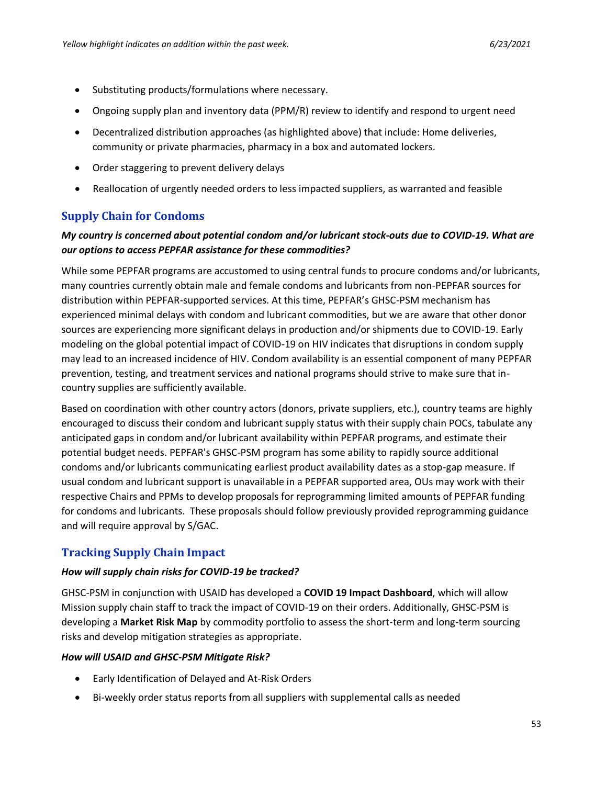- Substituting products/formulations where necessary.
- Ongoing supply plan and inventory data (PPM/R) review to identify and respond to urgent need
- Decentralized distribution approaches (as highlighted above) that include: Home deliveries, community or private pharmacies, pharmacy in a box and automated lockers.
- Order staggering to prevent delivery delays
- Reallocation of urgently needed orders to less impacted suppliers, as warranted and feasible

## **Supply Chain for Condoms**

## *My country is concerned about potential condom and/or lubricant stock-outs due to COVID-19. What are our options to access PEPFAR assistance for these commodities?*

While some PEPFAR programs are accustomed to using central funds to procure condoms and/or lubricants, many countries currently obtain male and female condoms and lubricants from non-PEPFAR sources for distribution within PEPFAR-supported services. At this time, PEPFAR's GHSC-PSM mechanism has experienced minimal delays with condom and lubricant commodities, but we are aware that other donor sources are experiencing more significant delays in production and/or shipments due to COVID-19. Early modeling on the global potential impact of COVID-19 on HIV indicates that disruptions in condom supply may lead to an increased incidence of HIV. Condom availability is an essential component of many PEPFAR prevention, testing, and treatment services and national programs should strive to make sure that incountry supplies are sufficiently available.

Based on coordination with other country actors (donors, private suppliers, etc.), country teams are highly encouraged to discuss their condom and lubricant supply status with their supply chain POCs, tabulate any anticipated gaps in condom and/or lubricant availability within PEPFAR programs, and estimate their potential budget needs. PEPFAR's GHSC-PSM program has some ability to rapidly source additional condoms and/or lubricants communicating earliest product availability dates as a stop-gap measure. If usual condom and lubricant support is unavailable in a PEPFAR supported area, OUs may work with their respective Chairs and PPMs to develop proposals for reprogramming limited amounts of PEPFAR funding for condoms and lubricants. These proposals should follow previously provided reprogramming guidance and will require approval by S/GAC.

## **Tracking Supply Chain Impact**

### *How will supply chain risks for COVID-19 be tracked?*

GHSC-PSM in conjunction with USAID has developed a **COVID 19 Impact Dashboard**, which will allow Mission supply chain staff to track the impact of COVID-19 on their orders. Additionally, GHSC-PSM is developing a **Market Risk Map** by commodity portfolio to assess the short-term and long-term sourcing risks and develop mitigation strategies as appropriate.

### *How will USAID and GHSC-PSM Mitigate Risk?*

- Early Identification of Delayed and At-Risk Orders
- Bi-weekly order status reports from all suppliers with supplemental calls as needed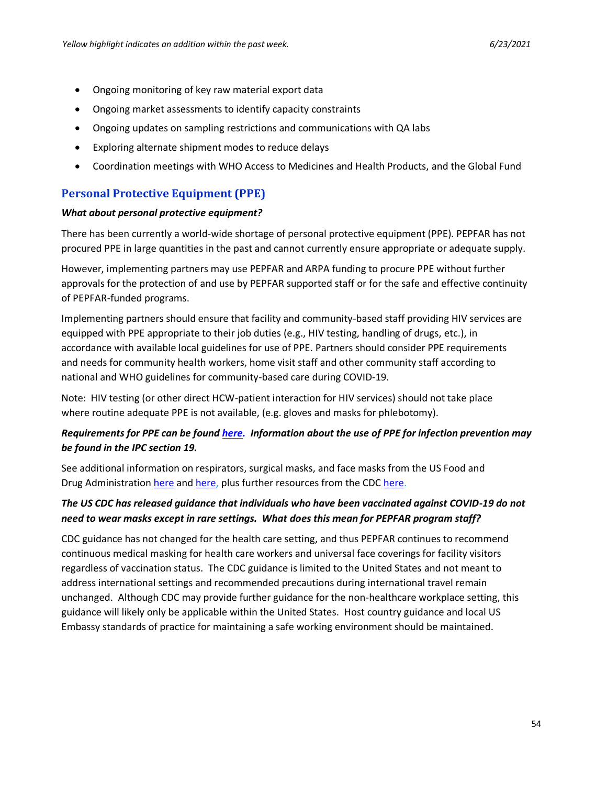- Ongoing monitoring of key raw material export data
- Ongoing market assessments to identify capacity constraints
- Ongoing updates on sampling restrictions and communications with QA labs
- Exploring alternate shipment modes to reduce delays
- Coordination meetings with WHO Access to Medicines and Health Products, and the Global Fund

## **Personal Protective Equipment (PPE)**

#### *What about personal protective equipment?*

There has been currently a world-wide shortage of personal protective equipment (PPE). PEPFAR has not procured PPE in large quantities in the past and cannot currently ensure appropriate or adequate supply.

However, implementing partners may use PEPFAR and ARPA funding to procure PPE without further approvals for the protection of and use by PEPFAR supported staff or for the safe and effective continuity of PEPFAR-funded programs.

Implementing partners should ensure that facility and community-based staff providing HIV services are equipped with PPE appropriate to their job duties (e.g., HIV testing, handling of drugs, etc.), in accordance with available local guidelines for use of PPE. Partners should consider PPE requirements and needs for community health workers, home visit staff and other community staff according to national and WHO guidelines for community-based care during COVID-19.

Note: HIV testing (or other direct HCW-patient interaction for HIV services) should not take place where routine adequate PPE is not available, (e.g. gloves and masks for phlebotomy).

## *Requirements for PPE can be found [here.](https://apps.who.int/iris/bitstream/handle/10665/331695/WHO-2019-nCov-IPC_PPE_use-2020.3-eng.pdf) Information about the use of PPE for infection prevention may be found in the IPC section 19.*

See additional information on respirators, surgical masks, and face masks from the US Food and Drug Administration [here](https://www.fda.gov/medical-devices/personal-protective-equipment-infection-control/n95-respirators-surgical-masks-and-face-masks) and [here,](https://www.fda.gov/medical-devices/coronavirus-disease-2019-covid-19-emergency-use-authorizations-medical-devices/personal-protective-equipment-euas) plus further resources from the CDC [here.](https://www.cdc.gov/niosh/npptl/topics/respirators/disp_part/)

## *The US CDC has released guidance that individuals who have been vaccinated against COVID-19 do not need to wear masks except in rare settings. What does this mean for PEPFAR program staff?*

CDC guidance has not changed for the health care setting, and thus PEPFAR continues to recommend continuous medical masking for health care workers and universal face coverings for facility visitors regardless of vaccination status. The CDC guidance is limited to the United States and not meant to address international settings and recommended precautions during international travel remain unchanged. Although CDC may provide further guidance for the non-healthcare workplace setting, this guidance will likely only be applicable within the United States. Host country guidance and local US Embassy standards of practice for maintaining a safe working environment should be maintained.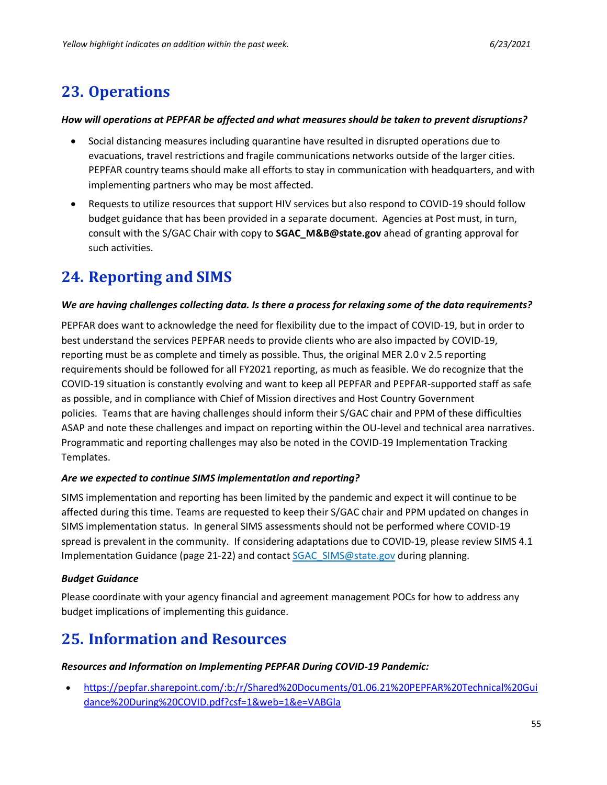# <span id="page-54-0"></span>**23. Operations**

### *How will operations at PEPFAR be affected and what measures should be taken to prevent disruptions?*

- Social distancing measures including quarantine have resulted in disrupted operations due to evacuations, travel restrictions and fragile communications networks outside of the larger cities. PEPFAR country teams should make all efforts to stay in communication with headquarters, and with implementing partners who may be most affected.
- Requests to utilize resources that support HIV services but also respond to COVID-19 should follow budget guidance that has been provided in a separate document. Agencies at Post must, in turn, consult with the S/GAC Chair with copy to **[SGAC\\_M&B@state.gov](mailto:SGAC_M%26B@state.gov)** ahead of granting approval for such activities.

# <span id="page-54-1"></span>**24. Reporting and SIMS**

### *We are having challenges collecting data. Is there a process for relaxing some of the data requirements?*

PEPFAR does want to acknowledge the need for flexibility due to the impact of COVID-19, but in order to best understand the services PEPFAR needs to provide clients who are also impacted by COVID-19, reporting must be as complete and timely as possible. Thus, the original MER 2.0 v 2.5 reporting requirements should be followed for all FY2021 reporting, as much as feasible. We do recognize that the COVID-19 situation is constantly evolving and want to keep all PEPFAR and PEPFAR-supported staff as safe as possible, and in compliance with Chief of Mission directives and Host Country Government policies. Teams that are having challenges should inform their S/GAC chair and PPM of these difficulties ASAP and note these challenges and impact on reporting within the OU-level and technical area narratives. Programmatic and reporting challenges may also be noted in the COVID-19 Implementation Tracking Templates.

### *Are we expected to continue SIMS implementation and reporting?*

SIMS implementation and reporting has been limited by the pandemic and expect it will continue to be affected during this time. Teams are requested to keep their S/GAC chair and PPM updated on changes in SIMS implementation status. In general SIMS assessments should not be performed where COVID-19 spread is prevalent in the community. If considering adaptations due to COVID-19, please review SIMS 4.1 Implementation Guidance (page 21-22) and contact [SGAC\\_SIMS@state.gov](mailto:SGAC_SIMS@state.gov) during planning.

## *Budget Guidance*

Please coordinate with your agency financial and agreement management POCs for how to address any budget implications of implementing this guidance.

# <span id="page-54-2"></span>**25. Information and Resources**

### *Resources and Information on Implementing PEPFAR During COVID-19 Pandemic:*

• [https://pepfar.sharepoint.com/:b:/r/Shared%20Documents/01.06.21%20PEPFAR%20Technical%20Gui](https://pepfar.sharepoint.com/:b:/r/Shared%20Documents/01.06.21%20PEPFAR%20Technical%20Guidance%20During%20COVID.pdf?csf=1&web=1&e=VABGla) [dance%20During%20COVID.pdf?csf=1&web=1&e=VABGla](https://pepfar.sharepoint.com/:b:/r/Shared%20Documents/01.06.21%20PEPFAR%20Technical%20Guidance%20During%20COVID.pdf?csf=1&web=1&e=VABGla)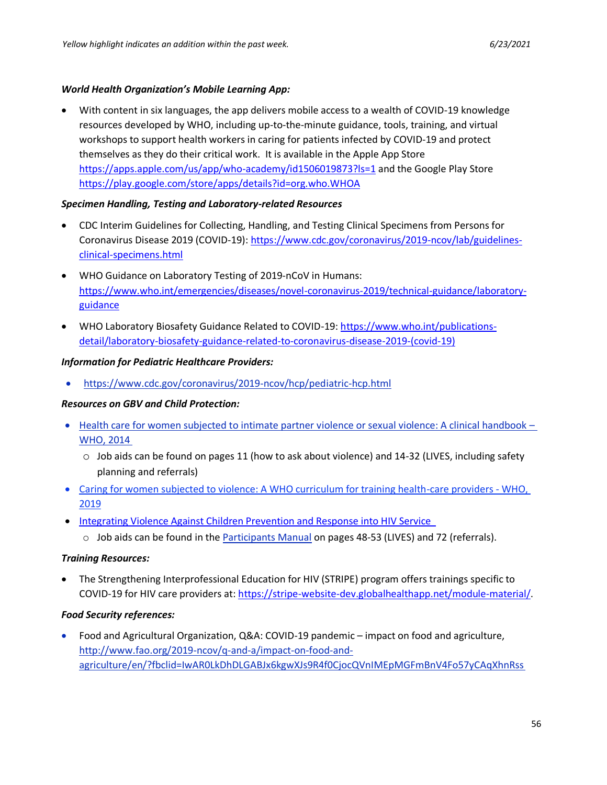#### *World Health Organization's Mobile Learning App:*

• With content in six languages, the app delivers mobile access to a wealth of COVID-19 knowledge resources developed by WHO, including up-to-the-minute guidance, tools, training, and virtual workshops to support health workers in caring for patients infected by COVID-19 and protect themselves as they do their critical work. It is available in the Apple App Store <https://apps.apple.com/us/app/who-academy/id1506019873?ls=1> and the Google Play Store <https://play.google.com/store/apps/details?id=org.who.WHOA>

#### *Specimen Handling, Testing and Laboratory-related Resources*

- CDC Interim Guidelines for Collecting, Handling, and Testing Clinical Specimens from Persons for Coronavirus Disease 2019 (COVID-19): [https://www.cdc.gov/coronavirus/2019-ncov/lab/guidelines](https://www.cdc.gov/coronavirus/2019-ncov/lab/guidelines-clinical-specimens.html)[clinical-specimens.html](https://www.cdc.gov/coronavirus/2019-ncov/lab/guidelines-clinical-specimens.html)
- WHO Guidance on Laboratory Testing of 2019-nCoV in Humans: [https://www.who.int/emergencies/diseases/novel-coronavirus-2019/technical-guidance/laboratory](https://www.who.int/emergencies/diseases/novel-coronavirus-2019/technical-guidance/laboratory-guidance)[guidance](https://www.who.int/emergencies/diseases/novel-coronavirus-2019/technical-guidance/laboratory-guidance)
- WHO Laboratory Biosafety Guidance Related to COVID-19: [https://www.who.int/publications](https://www.who.int/publications-detail/laboratory-biosafety-guidance-related-to-coronavirus-disease-2019-(covid-19))[detail/laboratory-biosafety-guidance-related-to-coronavirus-disease-2019-\(covid-19\)](https://www.who.int/publications-detail/laboratory-biosafety-guidance-related-to-coronavirus-disease-2019-(covid-19))

#### *Information for Pediatric Healthcare Providers:*

• [https://www.cdc.gov/coronavirus/2019-ncov/hcp/pediatric-hcp.html](https://gcc01.safelinks.protection.outlook.com/?url=https%3A%2F%2Fwww.cdc.gov%2Fcoronavirus%2F2019-ncov%2Fhcp%2Fpediatric-hcp.html&data=02%7C01%7CAchrekarA%40state.gov%7C14e593a780a24aef715b08d7f7820fe7%7C66cf50745afe48d1a691a12b2121f44b%7C0%7C0%7C637250010301917160&sdata=MItAbu7GmB9WhtES%2FqvJOibqwQeHUqz8WMAN0BUbk5I%3D&reserved=0)

### *Resources on GBV and Child Protection:*

- Health care for women subjected to intimate partner violence or sexual violence: A clinical handbook WHO, 2014
	- $\circ$  Job aids can be found on pages 11 (how to ask about violence) and 14-32 (LIVES, including safety planning and referrals)
- [Caring for women subjected to violence: A WHO curriculum for training health-care providers -](https://www.who.int/reproductivehealth/publications/caring-for-women-subject-to-violence/en/) WHO, [2019](https://www.who.int/reproductivehealth/publications/caring-for-women-subject-to-violence/en/)
- [Integrating Violence Against Children Prevention and Response into HIV Service](http://ovcsupport.org/resource/integrating-violence-against-children-prevention-and-response-into-hiv-services/)
	- o Job aids can be found in the [Participants Manual](http://ovcsupport.org/wp-content/uploads/2019/10/Final-PARTICIPANTS-MANUAL-2019B-1.pdf) on pages 48-53 (LIVES) and 72 (referrals).

### *Training Resources:*

• The Strengthening Interprofessional Education for HIV (STRIPE) program offers trainings specific to COVID-19 for HIV care providers at: [https://stripe-website-dev.globalhealthapp.net/module-material/.](https://stripe-website-dev.globalhealthapp.net/module-material/)

#### *Food Security references:*

• Food and Agricultural Organization, Q&A: COVID-19 pandemic – impact on food and agriculture, [http://www.fao.org/2019-ncov/q-and-a/impact-on-food-and](http://www.fao.org/2019-ncov/q-and-a/impact-on-food-and-agriculture/en/?fbclid=IwAR0LkDhDLGABJx6kgwXJs9R4f0CjocQVnIMEpMGFmBnV4Fo57yCAqXhnRss)[agriculture/en/?fbclid=IwAR0LkDhDLGABJx6kgwXJs9R4f0CjocQVnIMEpMGFmBnV4Fo57yCAqXhnRss](http://www.fao.org/2019-ncov/q-and-a/impact-on-food-and-agriculture/en/?fbclid=IwAR0LkDhDLGABJx6kgwXJs9R4f0CjocQVnIMEpMGFmBnV4Fo57yCAqXhnRss)